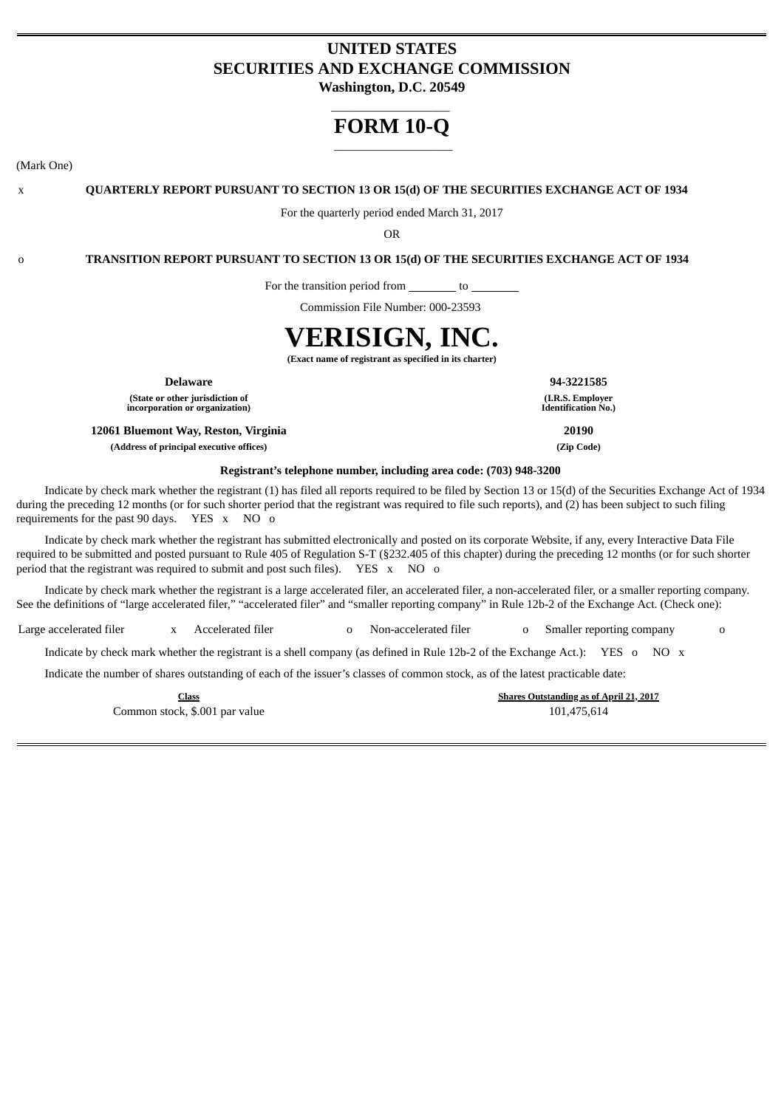# **UNITED STATES SECURITIES AND EXCHANGE COMMISSION**

**Washington, D.C. 20549** \_\_\_\_\_\_\_\_\_\_\_\_\_\_\_\_\_\_\_\_

# **FORM 10-Q** \_\_\_\_\_\_\_\_\_\_\_\_\_\_\_\_\_\_\_\_

(Mark One)

x **QUARTERLY REPORT PURSUANT TO SECTION 13 OR 15(d) OF THE SECURITIES EXCHANGE ACT OF 1934**

For the quarterly period ended March 31, 2017

OR

o **TRANSITION REPORT PURSUANT TO SECTION 13 OR 15(d) OF THE SECURITIES EXCHANGE ACT OF 1934**

For the transition period from \_\_\_\_\_\_\_\_ to \_

Commission File Number: 000-23593

# **VERISIGN, INC.**

**(Exact name of registrant as specified in its charter)**

**(State or other jurisdiction of incorporation or organization)**

**12061 Bluemont Way, Reston, Virginia 20190 (Address of principal executive offices) (Zip Code)**

**Delaware 94-3221585 (I.R.S. Employer Identification No.)**

# **Registrant's telephone number, including area code: (703) 948-3200**

Indicate by check mark whether the registrant (1) has filed all reports required to be filed by Section 13 or 15(d) of the Securities Exchange Act of 1934 during the preceding 12 months (or for such shorter period that the registrant was required to file such reports), and (2) has been subject to such filing requirements for the past 90 days. YES x NO o

Indicate by check mark whether the registrant has submitted electronically and posted on its corporate Website, if any, every Interactive Data File required to be submitted and posted pursuant to Rule 405 of Regulation S-T (§232.405 of this chapter) during the preceding 12 months (or for such shorter period that the registrant was required to submit and post such files). YES x NO o

Indicate by check mark whether the registrant is a large accelerated filer, an accelerated filer, a non-accelerated filer, or a smaller reporting company. See the definitions of "large accelerated filer," "accelerated filer" and "smaller reporting company" in Rule 12b-2 of the Exchange Act. (Check one):

Large accelerated filer x Accelerated filer o Non-accelerated filer o Smaller reporting company o

Indicate by check mark whether the registrant is a shell company (as defined in Rule 12b-2 of the Exchange Act.): YES o NO x

Indicate the number of shares outstanding of each of the issuer's classes of common stock, as of the latest practicable date:

Common stock, \$.001 par value 101,475,614

**Class Shares Outstanding as of April 21, 2017**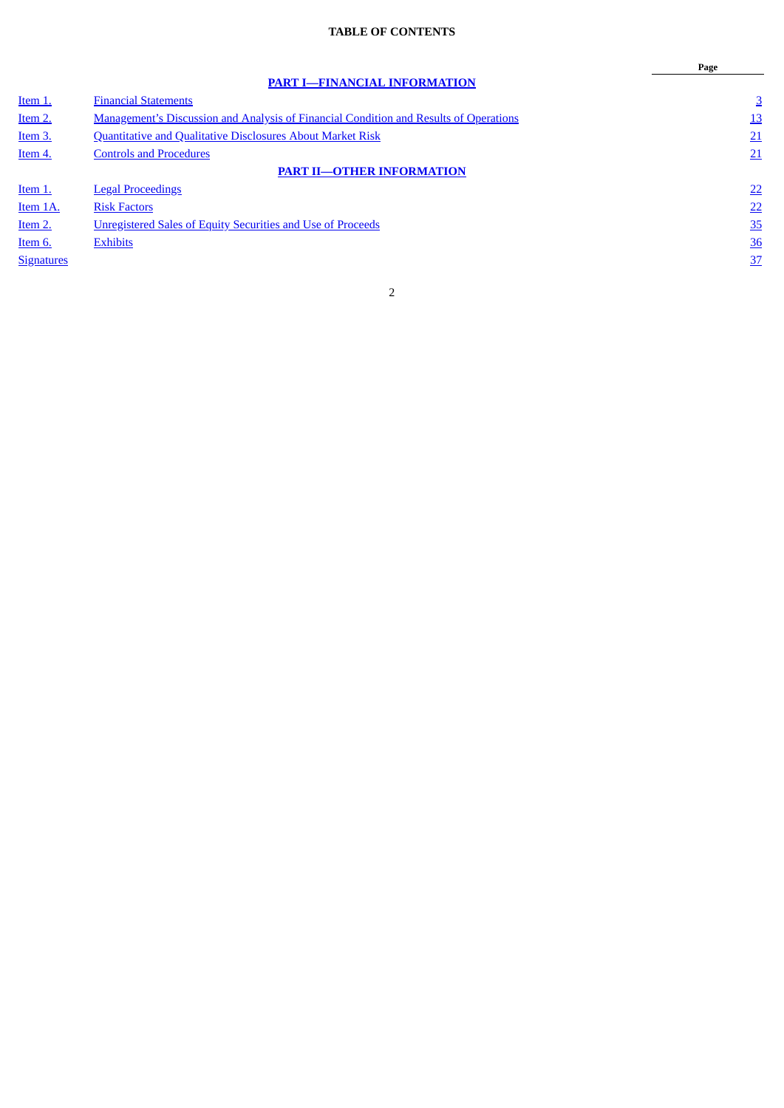# **TABLE OF CONTENTS**

<span id="page-1-0"></span>

|                   |                                                                                              | Page           |
|-------------------|----------------------------------------------------------------------------------------------|----------------|
|                   | <b>PART I-FINANCIAL INFORMATION</b>                                                          |                |
| Item 1.           | <b>Financial Statements</b>                                                                  | $\overline{3}$ |
| Item 2.           | <b>Management's Discussion and Analysis of Financial Condition and Results of Operations</b> | 13             |
| Item 3.           | <b>Quantitative and Qualitative Disclosures About Market Risk</b>                            | 21             |
| Item 4.           | <b>Controls and Procedures</b>                                                               | 21             |
|                   | <b>PART II-OTHER INFORMATION</b>                                                             |                |
| Item 1.           | <b>Legal Proceedings</b>                                                                     | 22             |
| Item 1A.          | <b>Risk Factors</b>                                                                          | 22             |
| Item 2.           | <b>Unregistered Sales of Equity Securities and Use of Proceeds</b>                           | 35             |
| Item 6.           | <b>Exhibits</b>                                                                              | 36             |
| <b>Signatures</b> |                                                                                              | 37             |
|                   |                                                                                              |                |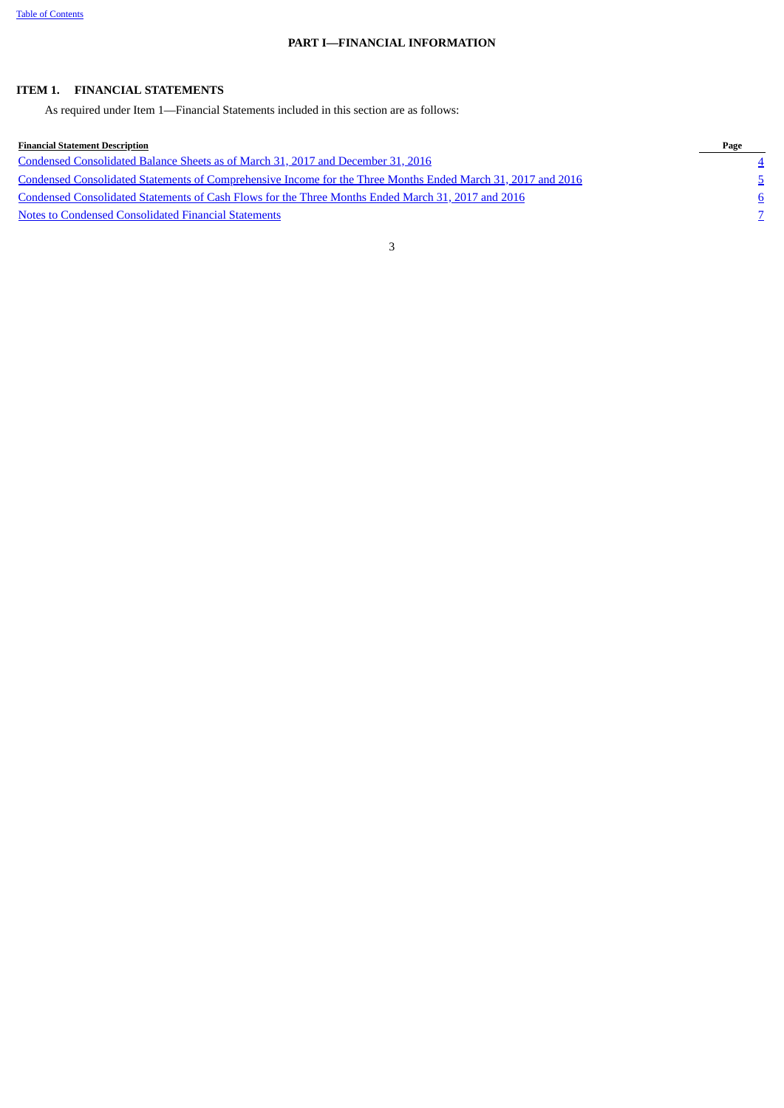# **PART I—FINANCIAL INFORMATION**

# <span id="page-2-1"></span><span id="page-2-0"></span>**ITEM 1. FINANCIAL STATEMENTS**

As required under Item 1—Financial Statements included in this section are as follows:

| Financial Statement Description                                                                              | Page |
|--------------------------------------------------------------------------------------------------------------|------|
| Condensed Consolidated Balance Sheets as of March 31, 2017 and December 31, 2016                             |      |
| Condensed Consolidated Statements of Comprehensive Income for the Three Months Ended March 31, 2017 and 2016 |      |
| Condensed Consolidated Statements of Cash Flows for the Three Months Ended March 31, 2017 and 2016           |      |
| Notes to Condensed Consolidated Financial Statements                                                         |      |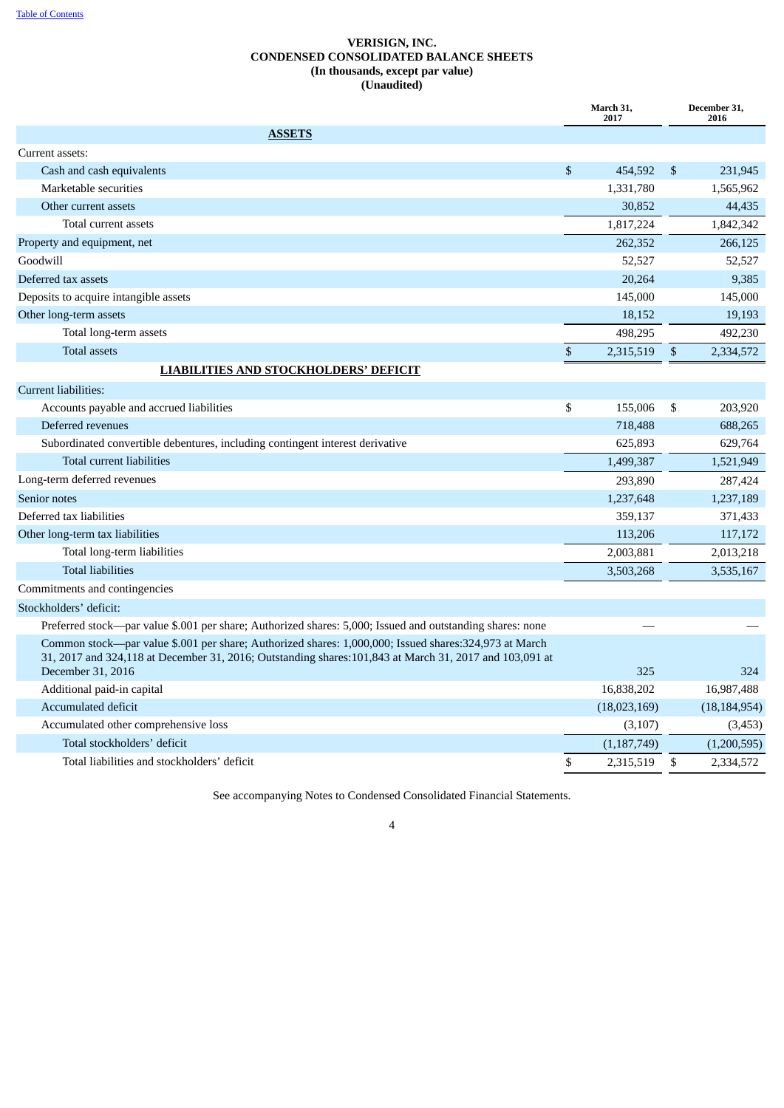# **VERISIGN, INC. CONDENSED CONSOLIDATED BALANCE SHEETS (In thousands, except par value) (Unaudited)**

<span id="page-3-0"></span>

|                                                                                                                                                                                                                                        |                | March 31,<br>2017 |            | December 31,<br>2016 |
|----------------------------------------------------------------------------------------------------------------------------------------------------------------------------------------------------------------------------------------|----------------|-------------------|------------|----------------------|
| <b>ASSETS</b>                                                                                                                                                                                                                          |                |                   |            |                      |
| Current assets:                                                                                                                                                                                                                        |                |                   |            |                      |
| Cash and cash equivalents                                                                                                                                                                                                              | $\mathfrak{S}$ | 454,592           | \$         | 231,945              |
| Marketable securities                                                                                                                                                                                                                  |                | 1,331,780         |            | 1,565,962            |
| Other current assets                                                                                                                                                                                                                   |                | 30,852            |            | 44,435               |
| Total current assets                                                                                                                                                                                                                   |                | 1,817,224         |            | 1,842,342            |
| Property and equipment, net                                                                                                                                                                                                            |                | 262,352           |            | 266,125              |
| Goodwill                                                                                                                                                                                                                               |                | 52,527            |            | 52,527               |
| Deferred tax assets                                                                                                                                                                                                                    |                | 20,264            |            | 9,385                |
| Deposits to acquire intangible assets                                                                                                                                                                                                  |                | 145,000           |            | 145,000              |
| Other long-term assets                                                                                                                                                                                                                 |                | 18,152            |            | 19,193               |
| Total long-term assets                                                                                                                                                                                                                 |                | 498,295           |            | 492,230              |
| Total assets                                                                                                                                                                                                                           | $\,$           | 2,315,519         | $\sqrt{3}$ | 2,334,572            |
| <b>LIABILITIES AND STOCKHOLDERS' DEFICIT</b>                                                                                                                                                                                           |                |                   |            |                      |
| <b>Current liabilities:</b>                                                                                                                                                                                                            |                |                   |            |                      |
| Accounts payable and accrued liabilities                                                                                                                                                                                               | \$             | 155,006           | \$         | 203,920              |
| Deferred revenues                                                                                                                                                                                                                      |                | 718,488           |            | 688,265              |
| Subordinated convertible debentures, including contingent interest derivative                                                                                                                                                          |                | 625,893           |            | 629,764              |
| Total current liabilities                                                                                                                                                                                                              |                | 1,499,387         |            | 1,521,949            |
| Long-term deferred revenues                                                                                                                                                                                                            |                | 293,890           |            | 287,424              |
| Senior notes                                                                                                                                                                                                                           |                | 1,237,648         |            | 1,237,189            |
| Deferred tax liabilities                                                                                                                                                                                                               |                | 359,137           |            | 371,433              |
| Other long-term tax liabilities                                                                                                                                                                                                        |                | 113,206           |            | 117,172              |
| Total long-term liabilities                                                                                                                                                                                                            |                | 2,003,881         |            | 2,013,218            |
| <b>Total liabilities</b>                                                                                                                                                                                                               |                | 3,503,268         |            | 3,535,167            |
| Commitments and contingencies                                                                                                                                                                                                          |                |                   |            |                      |
| Stockholders' deficit:                                                                                                                                                                                                                 |                |                   |            |                      |
| Preferred stock—par value \$.001 per share; Authorized shares: 5,000; Issued and outstanding shares: none                                                                                                                              |                |                   |            |                      |
| Common stock—par value \$.001 per share; Authorized shares: 1,000,000; Issued shares: 324,973 at March<br>31, 2017 and 324,118 at December 31, 2016; Outstanding shares: 101,843 at March 31, 2017 and 103,091 at<br>December 31, 2016 |                | 325               |            | 324                  |
| Additional paid-in capital                                                                                                                                                                                                             |                | 16,838,202        |            | 16,987,488           |
| Accumulated deficit                                                                                                                                                                                                                    |                | (18,023,169)      |            | (18, 184, 954)       |
| Accumulated other comprehensive loss                                                                                                                                                                                                   |                | (3,107)           |            | (3, 453)             |
| Total stockholders' deficit                                                                                                                                                                                                            |                | (1, 187, 749)     |            | (1,200,595)          |
| Total liabilities and stockholders' deficit                                                                                                                                                                                            | \$             | 2,315,519         | \$         | 2,334,572            |
|                                                                                                                                                                                                                                        |                |                   |            |                      |

See accompanying Notes to Condensed Consolidated Financial Statements.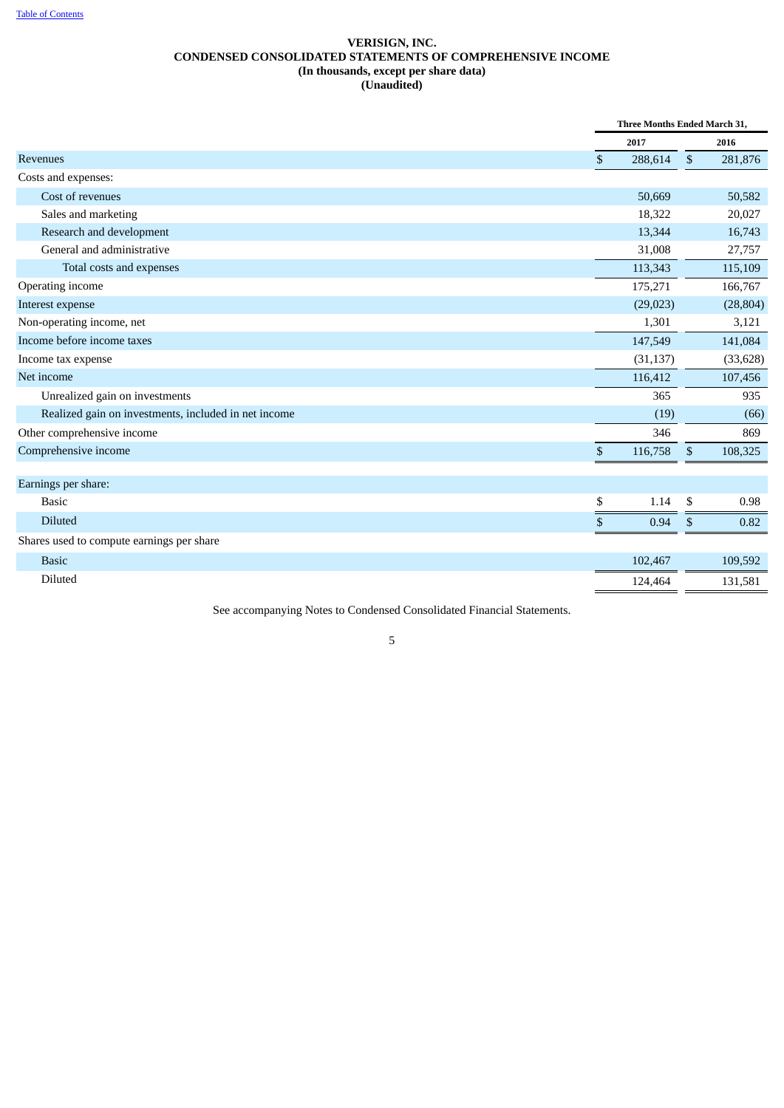# **VERISIGN, INC. CONDENSED CONSOLIDATED STATEMENTS OF COMPREHENSIVE INCOME (In thousands, except per share data) (Unaudited)**

<span id="page-4-0"></span>

|                                                      | Three Months Ended March 31, |                |           |  |
|------------------------------------------------------|------------------------------|----------------|-----------|--|
|                                                      | 2017                         |                | 2016      |  |
| Revenues                                             | \$<br>288,614                | $\mathfrak{S}$ | 281,876   |  |
| Costs and expenses:                                  |                              |                |           |  |
| Cost of revenues                                     | 50,669                       |                | 50,582    |  |
| Sales and marketing                                  | 18,322                       |                | 20,027    |  |
| Research and development                             | 13,344                       |                | 16,743    |  |
| General and administrative                           | 31,008                       |                | 27,757    |  |
| Total costs and expenses                             | 113,343                      |                | 115,109   |  |
| Operating income                                     | 175,271                      |                | 166,767   |  |
| Interest expense                                     | (29, 023)                    |                | (28, 804) |  |
| Non-operating income, net                            | 1,301                        |                | 3,121     |  |
| Income before income taxes                           | 147,549                      |                | 141,084   |  |
| Income tax expense                                   | (31, 137)                    |                | (33, 628) |  |
| Net income                                           | 116,412                      |                | 107,456   |  |
| Unrealized gain on investments                       | 365                          |                | 935       |  |
| Realized gain on investments, included in net income | (19)                         |                | (66)      |  |
| Other comprehensive income                           | 346                          |                | 869       |  |
| Comprehensive income                                 | \$<br>116,758                | $\$$           | 108,325   |  |
| Earnings per share:                                  |                              |                |           |  |
| <b>Basic</b>                                         | \$<br>1.14                   | \$             | 0.98      |  |
| <b>Diluted</b>                                       | \$<br>0.94                   | \$             | 0.82      |  |
| Shares used to compute earnings per share            |                              |                |           |  |
| <b>Basic</b>                                         | 102,467                      |                | 109,592   |  |
| Diluted                                              | 124,464                      |                | 131,581   |  |

See accompanying Notes to Condensed Consolidated Financial Statements.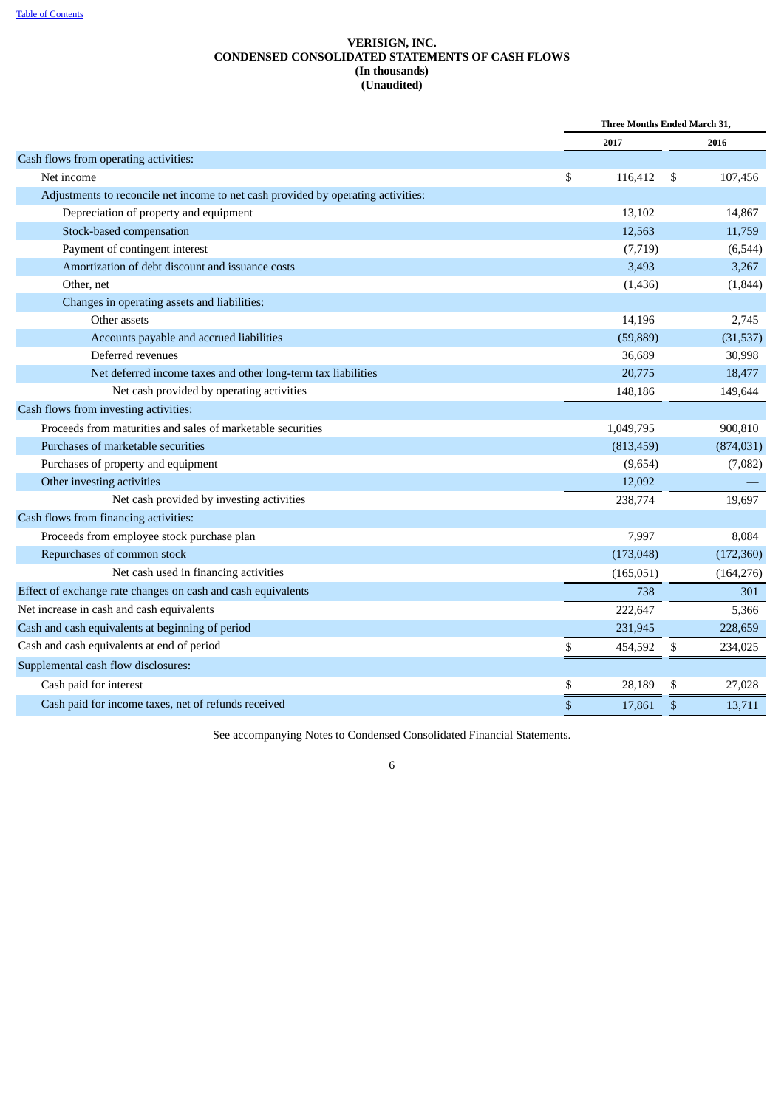# **VERISIGN, INC. CONDENSED CONSOLIDATED STATEMENTS OF CASH FLOWS (In thousands) (Unaudited)**

<span id="page-5-0"></span>

|                                                                                   |    | Three Months Ended March 31, |    |            |
|-----------------------------------------------------------------------------------|----|------------------------------|----|------------|
|                                                                                   |    | 2017                         |    | 2016       |
| Cash flows from operating activities:                                             |    |                              |    |            |
| Net income                                                                        | \$ | 116,412                      | \$ | 107,456    |
| Adjustments to reconcile net income to net cash provided by operating activities: |    |                              |    |            |
| Depreciation of property and equipment                                            |    | 13,102                       |    | 14,867     |
| Stock-based compensation                                                          |    | 12,563                       |    | 11,759     |
| Payment of contingent interest                                                    |    | (7, 719)                     |    | (6, 544)   |
| Amortization of debt discount and issuance costs                                  |    | 3,493                        |    | 3,267      |
| Other, net                                                                        |    | (1, 436)                     |    | (1, 844)   |
| Changes in operating assets and liabilities:                                      |    |                              |    |            |
| Other assets                                                                      |    | 14,196                       |    | 2,745      |
| Accounts payable and accrued liabilities                                          |    | (59, 889)                    |    | (31,537)   |
| Deferred revenues                                                                 |    | 36,689                       |    | 30,998     |
| Net deferred income taxes and other long-term tax liabilities                     |    | 20,775                       |    | 18,477     |
| Net cash provided by operating activities                                         |    | 148,186                      |    | 149,644    |
| Cash flows from investing activities:                                             |    |                              |    |            |
| Proceeds from maturities and sales of marketable securities                       |    | 1,049,795                    |    | 900,810    |
| Purchases of marketable securities                                                |    | (813, 459)                   |    | (874, 031) |
| Purchases of property and equipment                                               |    | (9,654)                      |    | (7,082)    |
| Other investing activities                                                        |    | 12,092                       |    |            |
| Net cash provided by investing activities                                         |    | 238,774                      |    | 19,697     |
| Cash flows from financing activities:                                             |    |                              |    |            |
| Proceeds from employee stock purchase plan                                        |    | 7,997                        |    | 8,084      |
| Repurchases of common stock                                                       |    | (173, 048)                   |    | (172, 360) |
| Net cash used in financing activities                                             |    | (165, 051)                   |    | (164, 276) |
| Effect of exchange rate changes on cash and cash equivalents                      |    | 738                          |    | 301        |
| Net increase in cash and cash equivalents                                         |    | 222,647                      |    | 5,366      |
| Cash and cash equivalents at beginning of period                                  |    | 231,945                      |    | 228,659    |
| Cash and cash equivalents at end of period                                        | \$ | 454,592                      | \$ | 234,025    |
| Supplemental cash flow disclosures:                                               |    |                              |    |            |
| Cash paid for interest                                                            | \$ | 28,189                       | S  | 27,028     |
| Cash paid for income taxes, net of refunds received                               | \$ | 17,861                       | \$ | 13,711     |

See accompanying Notes to Condensed Consolidated Financial Statements.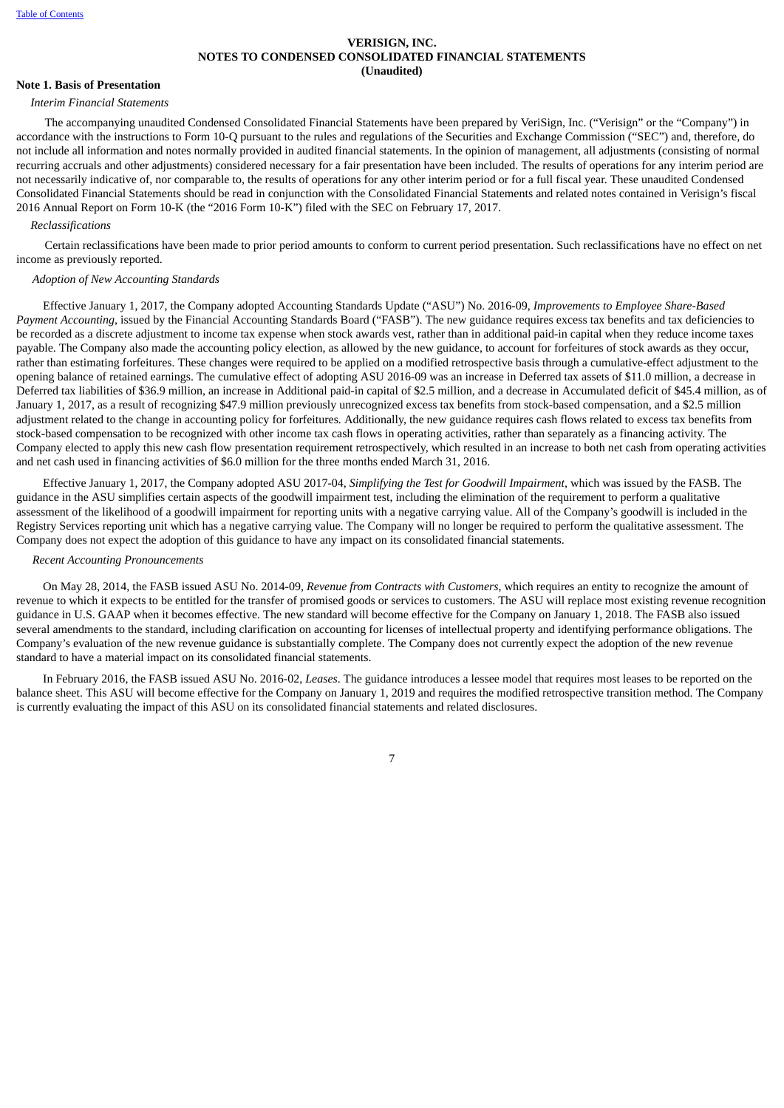#### **VERISIGN, INC. NOTES TO CONDENSED CONSOLIDATED FINANCIAL STATEMENTS (Unaudited)**

#### <span id="page-6-0"></span>**Note 1. Basis of Presentation**

#### *Interim Financial Statements*

The accompanying unaudited Condensed Consolidated Financial Statements have been prepared by VeriSign, Inc. ("Verisign" or the "Company") in accordance with the instructions to Form 10-Q pursuant to the rules and regulations of the Securities and Exchange Commission ("SEC") and, therefore, do not include all information and notes normally provided in audited financial statements. In the opinion of management, all adjustments (consisting of normal recurring accruals and other adjustments) considered necessary for a fair presentation have been included. The results of operations for any interim period are not necessarily indicative of, nor comparable to, the results of operations for any other interim period or for a full fiscal year. These unaudited Condensed Consolidated Financial Statements should be read in conjunction with the Consolidated Financial Statements and related notes contained in Verisign's fiscal 2016 Annual Report on Form 10-K (the "2016 Form 10-K") filed with the SEC on February 17, 2017.

#### *Reclassifications*

Certain reclassifications have been made to prior period amounts to conform to current period presentation. Such reclassifications have no effect on net income as previously reported.

# *Adoption of New Accounting Standards*

Effective January 1, 2017, the Company adopted Accounting Standards Update ("ASU") No. 2016-09, *Improvements to Employee Share-Based Payment Accounting*, issued by the Financial Accounting Standards Board ("FASB"). The new guidance requires excess tax benefits and tax deficiencies to be recorded as a discrete adjustment to income tax expense when stock awards vest, rather than in additional paid-in capital when they reduce income taxes payable. The Company also made the accounting policy election, as allowed by the new guidance, to account for forfeitures of stock awards as they occur, rather than estimating forfeitures. These changes were required to be applied on a modified retrospective basis through a cumulative-effect adjustment to the opening balance of retained earnings. The cumulative effect of adopting ASU 2016-09 was an increase in Deferred tax assets of \$11.0 million, a decrease in Deferred tax liabilities of \$36.9 million, an increase in Additional paid-in capital of \$2.5 million, and a decrease in Accumulated deficit of \$45.4 million, as of January 1, 2017, as a result of recognizing \$47.9 million previously unrecognized excess tax benefits from stock-based compensation, and a \$2.5 million adjustment related to the change in accounting policy for forfeitures. Additionally, the new guidance requires cash flows related to excess tax benefits from stock-based compensation to be recognized with other income tax cash flows in operating activities, rather than separately as a financing activity. The Company elected to apply this new cash flow presentation requirement retrospectively, which resulted in an increase to both net cash from operating activities and net cash used in financing activities of \$6.0 million for the three months ended March 31, 2016.

Effective January 1, 2017, the Company adopted ASU 2017-04, *Simplifying the Test for Goodwill Impairment,* which was issued by the FASB. The guidance in the ASU simplifies certain aspects of the goodwill impairment test, including the elimination of the requirement to perform a qualitative assessment of the likelihood of a goodwill impairment for reporting units with a negative carrying value. All of the Company's goodwill is included in the Registry Services reporting unit which has a negative carrying value. The Company will no longer be required to perform the qualitative assessment. The Company does not expect the adoption of this guidance to have any impact on its consolidated financial statements.

#### *Recent Accounting Pronouncements*

On May 28, 2014, the FASB issued ASU No. 2014-09, *Revenue from Contracts with Customers*, which requires an entity to recognize the amount of revenue to which it expects to be entitled for the transfer of promised goods or services to customers. The ASU will replace most existing revenue recognition guidance in U.S. GAAP when it becomes effective. The new standard will become effective for the Company on January 1, 2018. The FASB also issued several amendments to the standard, including clarification on accounting for licenses of intellectual property and identifying performance obligations. The Company's evaluation of the new revenue guidance is substantially complete. The Company does not currently expect the adoption of the new revenue standard to have a material impact on its consolidated financial statements.

In February 2016, the FASB issued ASU No. 2016-02, *Leases*. The guidance introduces a lessee model that requires most leases to be reported on the balance sheet. This ASU will become effective for the Company on January 1, 2019 and requires the modified retrospective transition method. The Company is currently evaluating the impact of this ASU on its consolidated financial statements and related disclosures.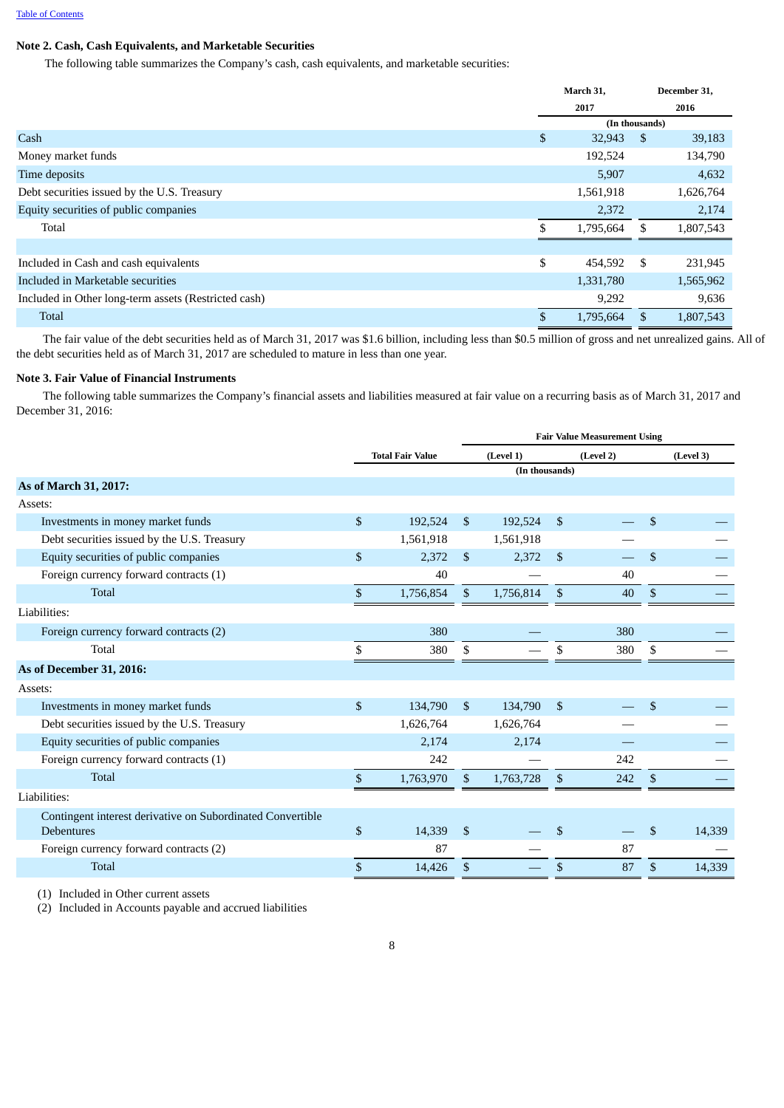# **Note 2. Cash, Cash Equivalents, and Marketable Securities**

The following table summarizes the Company's cash, cash equivalents, and marketable securities:

|                                                      |              | March 31,      |     | December 31, |
|------------------------------------------------------|--------------|----------------|-----|--------------|
|                                                      |              | 2017           |     | 2016         |
|                                                      |              | (In thousands) |     |              |
| Cash                                                 | $\mathbb{S}$ | 32,943         | -S  | 39,183       |
| Money market funds                                   |              | 192,524        |     | 134,790      |
| Time deposits                                        |              | 5,907          |     | 4,632        |
| Debt securities issued by the U.S. Treasury          |              | 1,561,918      |     | 1,626,764    |
| Equity securities of public companies                |              | 2,372          |     | 2,174        |
| Total                                                |              | 1,795,664      | \$. | 1,807,543    |
|                                                      |              |                |     |              |
| Included in Cash and cash equivalents                | \$           | 454,592        | \$  | 231,945      |
| Included in Marketable securities                    |              | 1,331,780      |     | 1,565,962    |
| Included in Other long-term assets (Restricted cash) |              | 9,292          |     | 9,636        |
| <b>Total</b>                                         |              | 1,795,664      | \$. | 1,807,543    |

The fair value of the debt securities held as of March 31, 2017 was \$1.6 billion, including less than \$0.5 million of gross and net unrealized gains. All of the debt securities held as of March 31, 2017 are scheduled to mature in less than one year.

# **Note 3. Fair Value of Financial Instruments**

The following table summarizes the Company's financial assets and liabilities measured at fair value on a recurring basis as of March 31, 2017 and December 31, 2016:

|                                                            |              |                         | <b>Fair Value Measurement Using</b> |           |              |           |    |           |
|------------------------------------------------------------|--------------|-------------------------|-------------------------------------|-----------|--------------|-----------|----|-----------|
|                                                            |              | <b>Total Fair Value</b> |                                     | (Level 1) |              | (Level 2) |    | (Level 3) |
|                                                            |              |                         | (In thousands)                      |           |              |           |    |           |
| As of March 31, 2017:                                      |              |                         |                                     |           |              |           |    |           |
| Assets:                                                    |              |                         |                                     |           |              |           |    |           |
| Investments in money market funds                          | $\mathbb{S}$ | 192,524                 | $\mathbb{S}$                        | 192,524   | $\mathbb{S}$ |           | \$ |           |
| Debt securities issued by the U.S. Treasury                |              | 1,561,918               |                                     | 1,561,918 |              |           |    |           |
| Equity securities of public companies                      | \$           | 2,372                   | \$                                  | 2,372     | \$           |           | \$ |           |
| Foreign currency forward contracts (1)                     |              | 40                      |                                     |           |              | 40        |    |           |
| <b>Total</b>                                               | \$           | 1,756,854               | $\mathfrak{S}$                      | 1,756,814 | \$           | 40        | \$ |           |
| Liabilities:                                               |              |                         |                                     |           |              |           |    |           |
| Foreign currency forward contracts (2)                     |              | 380                     |                                     |           |              | 380       |    |           |
| Total                                                      | \$           | 380                     | S                                   |           | \$           | 380       | \$ |           |
| As of December 31, 2016:                                   |              |                         |                                     |           |              |           |    |           |
| Assets:                                                    |              |                         |                                     |           |              |           |    |           |
| Investments in money market funds                          | \$           | 134,790                 | $\mathbb{S}$                        | 134,790   | $\mathbb{S}$ |           | \$ |           |
| Debt securities issued by the U.S. Treasury                |              | 1,626,764               |                                     | 1,626,764 |              |           |    |           |
| Equity securities of public companies                      |              | 2,174                   |                                     | 2,174     |              |           |    |           |
| Foreign currency forward contracts (1)                     |              | 242                     |                                     |           |              | 242       |    |           |
| <b>Total</b>                                               | \$           | 1,763,970               | $\mathbb{S}$                        | 1,763,728 | \$           | 242       | \$ |           |
| Liabilities:                                               |              |                         |                                     |           |              |           |    |           |
| Contingent interest derivative on Subordinated Convertible |              |                         |                                     |           |              |           |    |           |
| <b>Debentures</b>                                          | \$           | 14,339                  | <sup>\$</sup>                       |           | \$           |           | \$ | 14,339    |
| Foreign currency forward contracts (2)                     |              | 87                      |                                     |           |              | 87        |    |           |
| <b>Total</b>                                               | \$           | 14,426                  | \$                                  |           | \$           | 87        | \$ | 14,339    |

(1) Included in Other current assets

(2) Included in Accounts payable and accrued liabilities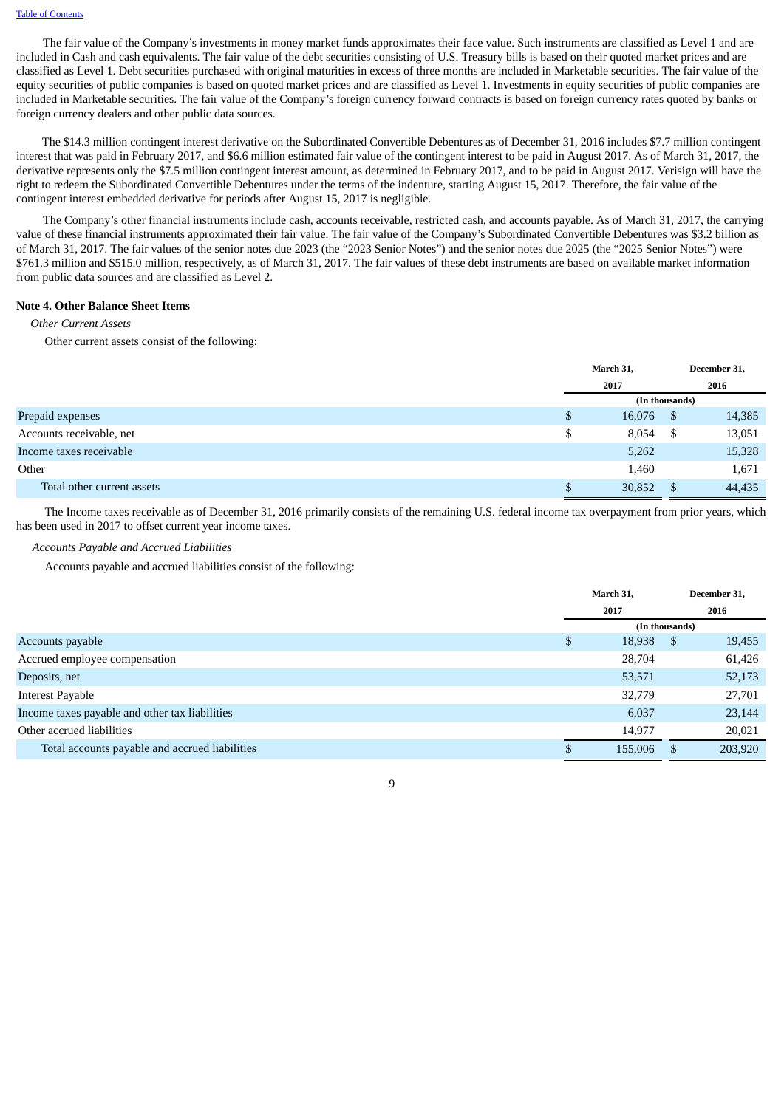The fair value of the Company's investments in money market funds approximates their face value. Such instruments are classified as Level 1 and are included in Cash and cash equivalents. The fair value of the debt securities consisting of U.S. Treasury bills is based on their quoted market prices and are classified as Level 1. Debt securities purchased with original maturities in excess of three months are included in Marketable securities. The fair value of the equity securities of public companies is based on quoted market prices and are classified as Level 1. Investments in equity securities of public companies are included in Marketable securities. The fair value of the Company's foreign currency forward contracts is based on foreign currency rates quoted by banks or foreign currency dealers and other public data sources.

The \$14.3 million contingent interest derivative on the Subordinated Convertible Debentures as of December 31, 2016 includes \$7.7 million contingent interest that was paid in February 2017, and \$6.6 million estimated fair value of the contingent interest to be paid in August 2017. As of March 31, 2017, the derivative represents only the \$7.5 million contingent interest amount, as determined in February 2017, and to be paid in August 2017. Verisign will have the right to redeem the Subordinated Convertible Debentures under the terms of the indenture, starting August 15, 2017. Therefore, the fair value of the contingent interest embedded derivative for periods after August 15, 2017 is negligible.

The Company's other financial instruments include cash, accounts receivable, restricted cash, and accounts payable. As of March 31, 2017, the carrying value of these financial instruments approximated their fair value. The fair value of the Company's Subordinated Convertible Debentures was \$3.2 billion as of March 31, 2017. The fair values of the senior notes due 2023 (the "2023 Senior Notes") and the senior notes due 2025 (the "2025 Senior Notes") were \$761.3 million and \$515.0 million, respectively, as of March 31, 2017. The fair values of these debt instruments are based on available market information from public data sources and are classified as Level 2.

#### **Note 4. Other Balance Sheet Items**

#### *Other Current Assets*

Other current assets consist of the following:

|                            | March 31,      |          | December 31, |
|----------------------------|----------------|----------|--------------|
|                            | 2017           |          | 2016         |
|                            | (In thousands) |          |              |
| Prepaid expenses           | \$<br>16,076   | - \$     | 14,385       |
| Accounts receivable, net   | \$<br>8,054    | <b>S</b> | 13,051       |
| Income taxes receivable    | 5,262          |          | 15,328       |
| Other                      | 1,460          |          | 1,671        |
| Total other current assets | 30,852         | - \$     | 44,435       |

The Income taxes receivable as of December 31, 2016 primarily consists of the remaining U.S. federal income tax overpayment from prior years, which has been used in 2017 to offset current year income taxes.

#### *Accounts Payable and Accrued Liabilities*

Accounts payable and accrued liabilities consist of the following:

|                                                | March 31,      |      | December 31, |
|------------------------------------------------|----------------|------|--------------|
|                                                | 2017           |      | 2016         |
|                                                | (In thousands) |      |              |
| Accounts payable                               | \$<br>18,938   | - \$ | 19,455       |
| Accrued employee compensation                  | 28,704         |      | 61,426       |
| Deposits, net                                  | 53,571         |      | 52,173       |
| Interest Payable                               | 32,779         |      | 27,701       |
| Income taxes payable and other tax liabilities | 6,037          |      | 23,144       |
| Other accrued liabilities                      | 14,977         |      | 20,021       |
| Total accounts payable and accrued liabilities | 155,006        | - S  | 203,920      |

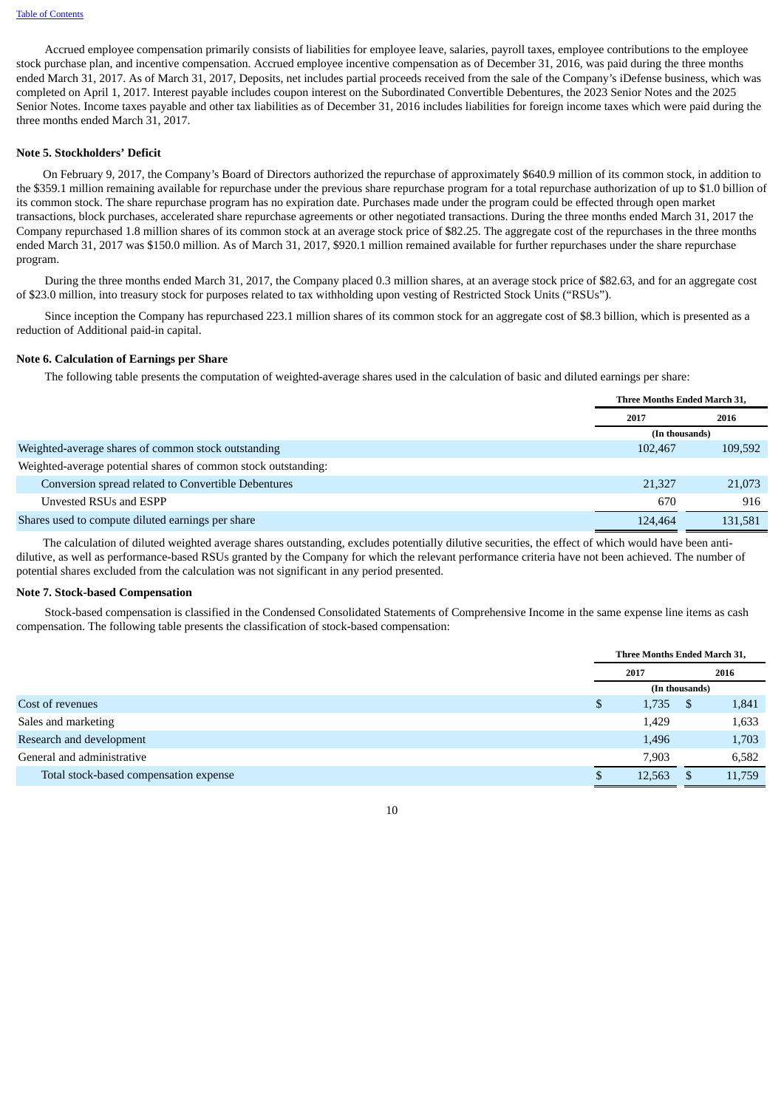Accrued employee compensation primarily consists of liabilities for employee leave, salaries, payroll taxes, employee contributions to the employee stock purchase plan, and incentive compensation. Accrued employee incentive compensation as of December 31, 2016, was paid during the three months ended March 31, 2017. As of March 31, 2017, Deposits, net includes partial proceeds received from the sale of the Company's iDefense business, which was completed on April 1, 2017. Interest payable includes coupon interest on the Subordinated Convertible Debentures, the 2023 Senior Notes and the 2025 Senior Notes. Income taxes payable and other tax liabilities as of December 31, 2016 includes liabilities for foreign income taxes which were paid during the three months ended March 31, 2017.

#### **Note 5. Stockholders' Deficit**

On February 9, 2017, the Company's Board of Directors authorized the repurchase of approximately \$640.9 million of its common stock, in addition to the \$359.1 million remaining available for repurchase under the previous share repurchase program for a total repurchase authorization of up to \$1.0 billion of its common stock. The share repurchase program has no expiration date. Purchases made under the program could be effected through open market transactions, block purchases, accelerated share repurchase agreements or other negotiated transactions. During the three months ended March 31, 2017 the Company repurchased 1.8 million shares of its common stock at an average stock price of \$82.25. The aggregate cost of the repurchases in the three months ended March 31, 2017 was \$150.0 million. As of March 31, 2017, \$920.1 million remained available for further repurchases under the share repurchase program.

During the three months ended March 31, 2017, the Company placed 0.3 million shares, at an average stock price of \$82.63, and for an aggregate cost of \$23.0 million, into treasury stock for purposes related to tax withholding upon vesting of Restricted Stock Units ("RSUs").

Since inception the Company has repurchased 223.1 million shares of its common stock for an aggregate cost of \$8.3 billion, which is presented as a reduction of Additional paid-in capital.

#### **Note 6. Calculation of Earnings per Share**

The following table presents the computation of weighted-average shares used in the calculation of basic and diluted earnings per share:

|                                                                | Three Months Ended March 31, |         |
|----------------------------------------------------------------|------------------------------|---------|
|                                                                | 2017                         | 2016    |
|                                                                | (In thousands)               |         |
| Weighted-average shares of common stock outstanding            | 102,467                      | 109,592 |
| Weighted-average potential shares of common stock outstanding: |                              |         |
| Conversion spread related to Convertible Debentures            | 21,327                       | 21,073  |
| Unvested RSUs and ESPP                                         | 670                          | 916     |
| Shares used to compute diluted earnings per share              | 124,464                      | 131.581 |

The calculation of diluted weighted average shares outstanding, excludes potentially dilutive securities, the effect of which would have been antidilutive, as well as performance-based RSUs granted by the Company for which the relevant performance criteria have not been achieved. The number of potential shares excluded from the calculation was not significant in any period presented.

#### **Note 7. Stock-based Compensation**

Stock-based compensation is classified in the Condensed Consolidated Statements of Comprehensive Income in the same expense line items as cash compensation. The following table presents the classification of stock-based compensation:

|                                        |    | Three Months Ended March 31, |                |        |
|----------------------------------------|----|------------------------------|----------------|--------|
|                                        |    | 2017                         | 2016           |        |
|                                        |    |                              | (In thousands) |        |
| Cost of revenues                       | \$ | 1,735                        | S              | 1,841  |
| Sales and marketing                    |    | 1,429                        |                | 1,633  |
| Research and development               |    | 1,496                        |                | 1,703  |
| General and administrative             |    | 7,903                        |                | 6,582  |
| Total stock-based compensation expense |    | 12,563                       |                | 11,759 |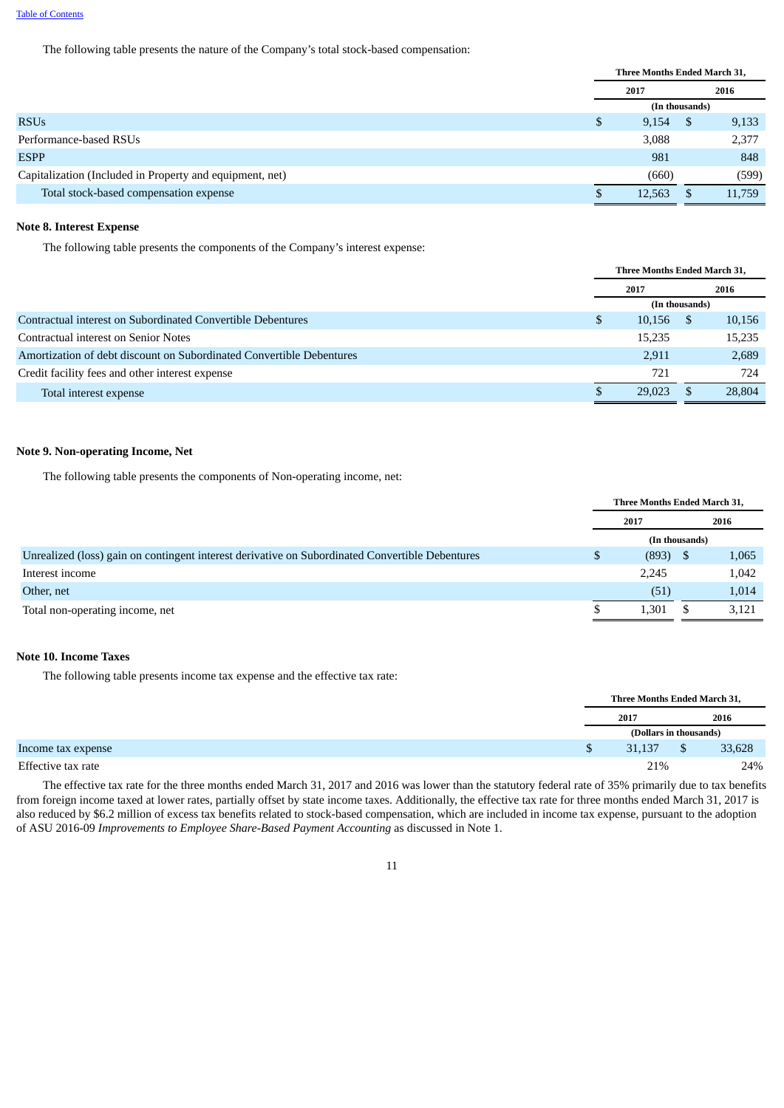The following table presents the nature of the Company's total stock-based compensation:

|                                                          | Three Months Ended March 31, |        |                |        |
|----------------------------------------------------------|------------------------------|--------|----------------|--------|
|                                                          |                              | 2017   |                | 2016   |
|                                                          |                              |        | (In thousands) |        |
| <b>RSUs</b>                                              | S                            | 9,154  | S              | 9,133  |
| Performance-based RSUs                                   |                              | 3,088  |                | 2,377  |
| <b>ESPP</b>                                              |                              | 981    |                | 848    |
| Capitalization (Included in Property and equipment, net) |                              | (660)  |                | (599)  |
| Total stock-based compensation expense                   |                              | 12,563 |                | 11,759 |

#### **Note 8. Interest Expense**

The following table presents the components of the Company's interest expense:

|                                                                      | <b>Three Months Ended March 31.</b> |        |                |        |  |
|----------------------------------------------------------------------|-------------------------------------|--------|----------------|--------|--|
|                                                                      | 2017                                |        | 2016           |        |  |
|                                                                      |                                     |        | (In thousands) |        |  |
| Contractual interest on Subordinated Convertible Debentures          | \$                                  | 10,156 |                | 10,156 |  |
| Contractual interest on Senior Notes                                 |                                     | 15,235 |                | 15,235 |  |
| Amortization of debt discount on Subordinated Convertible Debentures |                                     | 2.911  |                | 2,689  |  |
| Credit facility fees and other interest expense                      |                                     | 721    |                | 724    |  |
| Total interest expense                                               |                                     | 29,023 |                | 28,804 |  |

#### **Note 9. Non-operating Income, Net**

The following table presents the components of Non-operating income, net:

|                                                                                                 | Three Months Ended March 31, |                |      |       |
|-------------------------------------------------------------------------------------------------|------------------------------|----------------|------|-------|
|                                                                                                 | 2017                         |                | 2016 |       |
|                                                                                                 |                              | (In thousands) |      |       |
| Unrealized (loss) gain on contingent interest derivative on Subordinated Convertible Debentures | S                            | (893)          |      | 1,065 |
| Interest income                                                                                 |                              | 2,245          |      | 1,042 |
| Other, net                                                                                      |                              | (51)           |      | 1,014 |
| Total non-operating income, net                                                                 |                              | 1,301          |      | 3,121 |

#### **Note 10. Income Taxes**

The following table presents income tax expense and the effective tax rate:

|  | Three Months Ended March 31, |                |        |
|--|------------------------------|----------------|--------|
|  | 2017                         |                | 2016   |
|  | (Dollars in thousands)       |                |        |
|  | 31,137                       | $\mathfrak{s}$ | 33,628 |
|  | 21%                          |                | 24%    |

The effective tax rate for the three months ended March 31, 2017 and 2016 was lower than the statutory federal rate of 35% primarily due to tax benefits from foreign income taxed at lower rates, partially offset by state income taxes. Additionally, the effective tax rate for three months ended March 31, 2017 is also reduced by \$6.2 million of excess tax benefits related to stock-based compensation, which are included in income tax expense, pursuant to the adoption of ASU 2016-09 *Improvements to Employee Share-Based Payment Accounting* as discussed in Note 1.

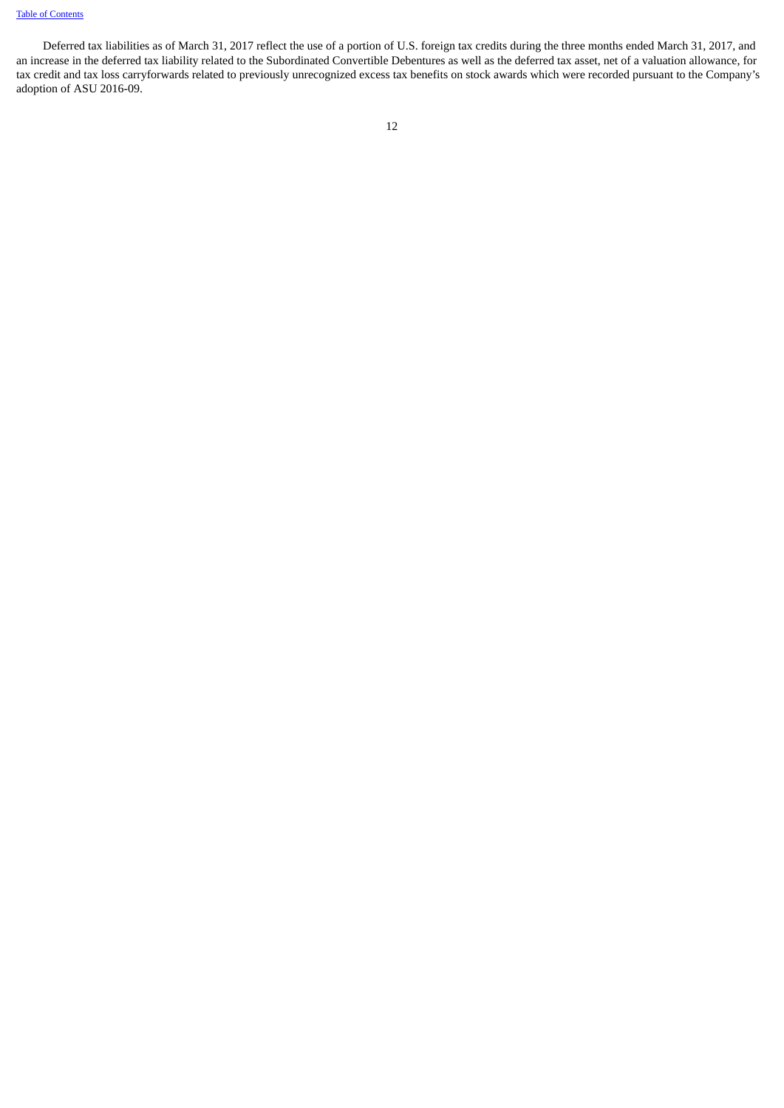# Table of [Contents](#page-1-0)

Deferred tax liabilities as of March 31, 2017 reflect the use of a portion of U.S. foreign tax credits during the three months ended March 31, 2017, and an increase in the deferred tax liability related to the Subordinated Convertible Debentures as well as the deferred tax asset, net of a valuation allowance, for tax credit and tax loss carryforwards related to previously unrecognized excess tax benefits on stock awards which were recorded pursuant to the Company's adoption of ASU 2016-09.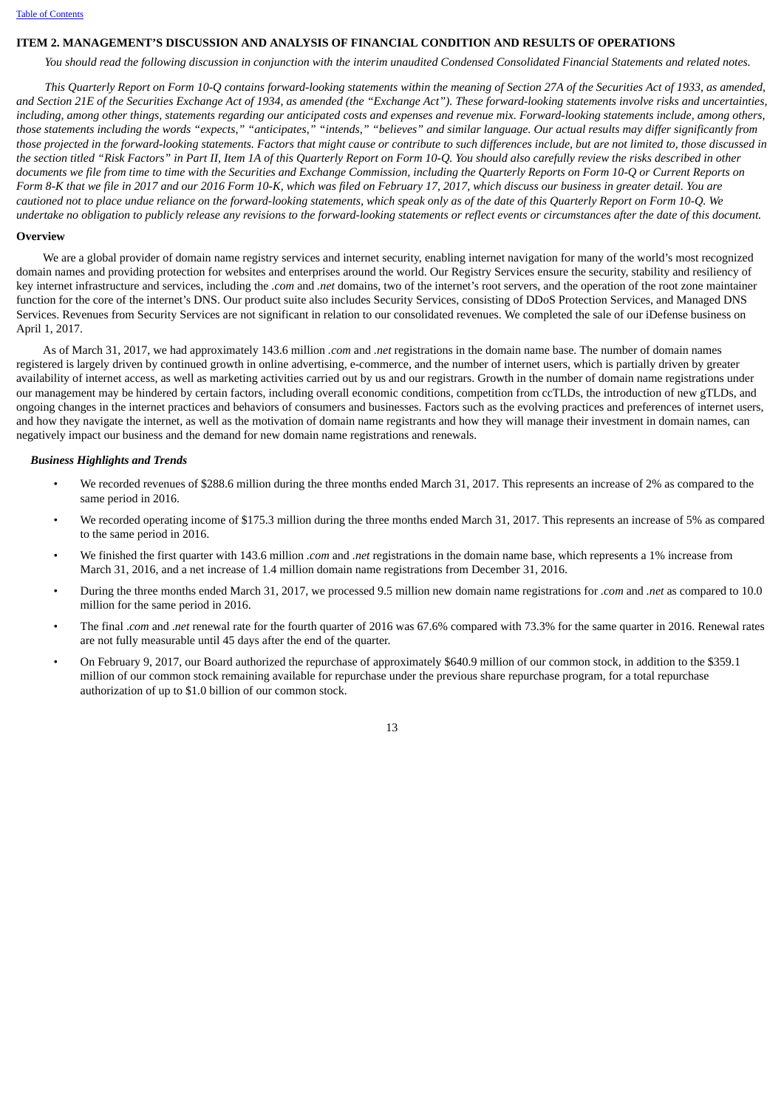#### <span id="page-12-0"></span>**ITEM 2. MANAGEMENT'S DISCUSSION AND ANALYSIS OF FINANCIAL CONDITION AND RESULTS OF OPERATIONS**

You should read the following discussion in conjunction with the interim unaudited Condensed Consolidated Financial Statements and related notes.

This Quarterly Report on Form 10-Q contains forward-looking statements within the meaning of Section 27A of the Securities Act of 1933, as amended, and Section 21E of the Securities Exchange Act of 1934, as amended (the "Exchange Act"). These forward-looking statements involve risks and uncertainties, including, among other things, statements regarding our anticipated costs and expenses and revenue mix. Forward-looking statements include, among others, those statements including the words "expects." "anticipates." "intends." "believes" and similar language. Our actual results may differ significantly from those projected in the forward-looking statements. Factors that might cause or contribute to such differences include, but are not limited to, those discussed in the section titled "Risk Factors" in Part II, Item 1A of this Quarterly Report on Form 10-Q. You should also carefully review the risks described in other documents we file from time to time with the Securities and Exchange Commission, including the Quarterly Reports on Form 10-Q or Current Reports on Form 8-K that we file in 2017 and our 2016 Form 10-K, which was filed on February 17, 2017, which discuss our business in greater detail. You are cautioned not to place undue reliance on the forward-looking statements, which speak only as of the date of this Quarterly Report on Form 10-Q. We undertake no obligation to publicly release any revisions to the forward-looking statements or reflect events or circumstances after the date of this document.

#### **Overview**

We are a global provider of domain name registry services and internet security, enabling internet navigation for many of the world's most recognized domain names and providing protection for websites and enterprises around the world. Our Registry Services ensure the security, stability and resiliency of key internet infrastructure and services, including the *.com* and *.net* domains, two of the internet's root servers, and the operation of the root zone maintainer function for the core of the internet's DNS. Our product suite also includes Security Services, consisting of DDoS Protection Services, and Managed DNS Services. Revenues from Security Services are not significant in relation to our consolidated revenues. We completed the sale of our iDefense business on April 1, 2017.

As of March 31, 2017, we had approximately 143.6 million *.com* and *.net* registrations in the domain name base. The number of domain names registered is largely driven by continued growth in online advertising, e-commerce, and the number of internet users, which is partially driven by greater availability of internet access, as well as marketing activities carried out by us and our registrars. Growth in the number of domain name registrations under our management may be hindered by certain factors, including overall economic conditions, competition from ccTLDs, the introduction of new gTLDs, and ongoing changes in the internet practices and behaviors of consumers and businesses. Factors such as the evolving practices and preferences of internet users, and how they navigate the internet, as well as the motivation of domain name registrants and how they will manage their investment in domain names, can negatively impact our business and the demand for new domain name registrations and renewals.

#### *Business Highlights and Trends*

- We recorded revenues of \$288.6 million during the three months ended March 31, 2017. This represents an increase of 2% as compared to the same period in 2016.
- We recorded operating income of \$175.3 million during the three months ended March 31, 2017. This represents an increase of 5% as compared to the same period in 2016.
- We finished the first quarter with 143.6 million *.com* and *.net* registrations in the domain name base, which represents a 1% increase from March 31, 2016, and a net increase of 1.4 million domain name registrations from December 31, 2016.
- During the three months ended March 31, 2017, we processed 9.5 million new domain name registrations for *.com* and *.net* as compared to 10.0 million for the same period in 2016.
- The final .*com* and .*net* renewal rate for the fourth quarter of 2016 was 67.6% compared with 73.3% for the same quarter in 2016. Renewal rates are not fully measurable until 45 days after the end of the quarter.
- On February 9, 2017, our Board authorized the repurchase of approximately \$640.9 million of our common stock, in addition to the \$359.1 million of our common stock remaining available for repurchase under the previous share repurchase program, for a total repurchase authorization of up to \$1.0 billion of our common stock.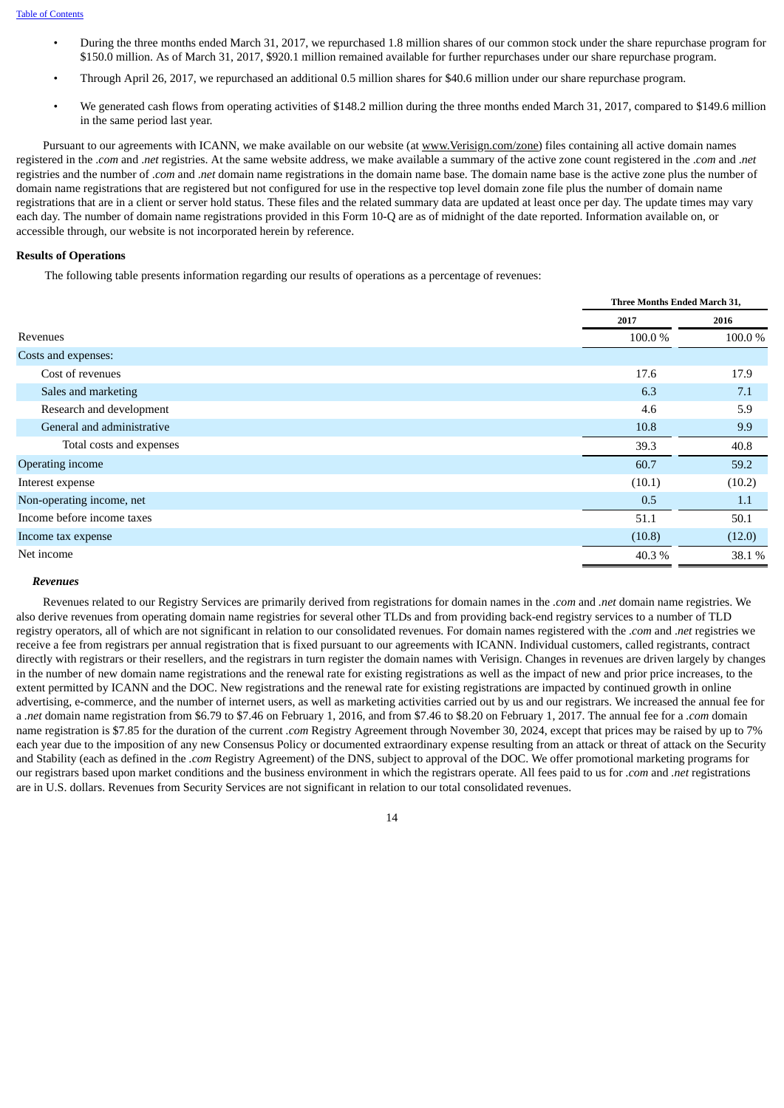- During the three months ended March 31, 2017, we repurchased 1.8 million shares of our common stock under the share repurchase program for \$150.0 million. As of March 31, 2017, \$920.1 million remained available for further repurchases under our share repurchase program.
- Through April 26, 2017, we repurchased an additional 0.5 million shares for \$40.6 million under our share repurchase program.
- We generated cash flows from operating activities of \$148.2 million during the three months ended March 31, 2017, compared to \$149.6 million in the same period last year.

Pursuant to our agreements with ICANN, we make available on our website (at www.Verisign.com/zone) files containing all active domain names registered in the .*com* and .*net* registries. At the same website address, we make available a summary of the active zone count registered in the .*com* and .*net* registries and the number of .*com* and .*net* domain name registrations in the domain name base. The domain name base is the active zone plus the number of domain name registrations that are registered but not configured for use in the respective top level domain zone file plus the number of domain name registrations that are in a client or server hold status. These files and the related summary data are updated at least once per day. The update times may vary each day. The number of domain name registrations provided in this Form 10-Q are as of midnight of the date reported. Information available on, or accessible through, our website is not incorporated herein by reference.

# **Results of Operations**

The following table presents information regarding our results of operations as a percentage of revenues:

|                            | <b>Three Months Ended March 31,</b> |        |  |
|----------------------------|-------------------------------------|--------|--|
|                            | 2017                                | 2016   |  |
| Revenues                   | 100.0%                              | 100.0% |  |
| Costs and expenses:        |                                     |        |  |
| Cost of revenues           | 17.6                                | 17.9   |  |
| Sales and marketing        | 6.3                                 | 7.1    |  |
| Research and development   | 4.6                                 | 5.9    |  |
| General and administrative | 10.8                                | 9.9    |  |
| Total costs and expenses   | 39.3                                | 40.8   |  |
| Operating income           | 60.7                                | 59.2   |  |
| Interest expense           | (10.1)                              | (10.2) |  |
| Non-operating income, net  | 0.5                                 | 1.1    |  |
| Income before income taxes | 51.1                                | 50.1   |  |
| Income tax expense         | (10.8)                              | (12.0) |  |
| Net income                 | 40.3%                               | 38.1 % |  |

#### *Revenues*

Revenues related to our Registry Services are primarily derived from registrations for domain names in the *.com* and *.net* domain name registries. We also derive revenues from operating domain name registries for several other TLDs and from providing back-end registry services to a number of TLD registry operators, all of which are not significant in relation to our consolidated revenues. For domain names registered with the .*com* and .*net* registries we receive a fee from registrars per annual registration that is fixed pursuant to our agreements with ICANN. Individual customers, called registrants, contract directly with registrars or their resellers, and the registrars in turn register the domain names with Verisign. Changes in revenues are driven largely by changes in the number of new domain name registrations and the renewal rate for existing registrations as well as the impact of new and prior price increases, to the extent permitted by ICANN and the DOC. New registrations and the renewal rate for existing registrations are impacted by continued growth in online advertising, e-commerce, and the number of internet users, as well as marketing activities carried out by us and our registrars. We increased the annual fee for a *.net* domain name registration from \$6.79 to \$7.46 on February 1, 2016, and from \$7.46 to \$8.20 on February 1, 2017. The annual fee for a *.com* domain name registration is \$7.85 for the duration of the current *.com* Registry Agreement through November 30, 2024, except that prices may be raised by up to 7% each year due to the imposition of any new Consensus Policy or documented extraordinary expense resulting from an attack or threat of attack on the Security and Stability (each as defined in the *.com* Registry Agreement) of the DNS, subject to approval of the DOC. We offer promotional marketing programs for our registrars based upon market conditions and the business environment in which the registrars operate. All fees paid to us for *.com* and *.net* registrations are in U.S. dollars. Revenues from Security Services are not significant in relation to our total consolidated revenues.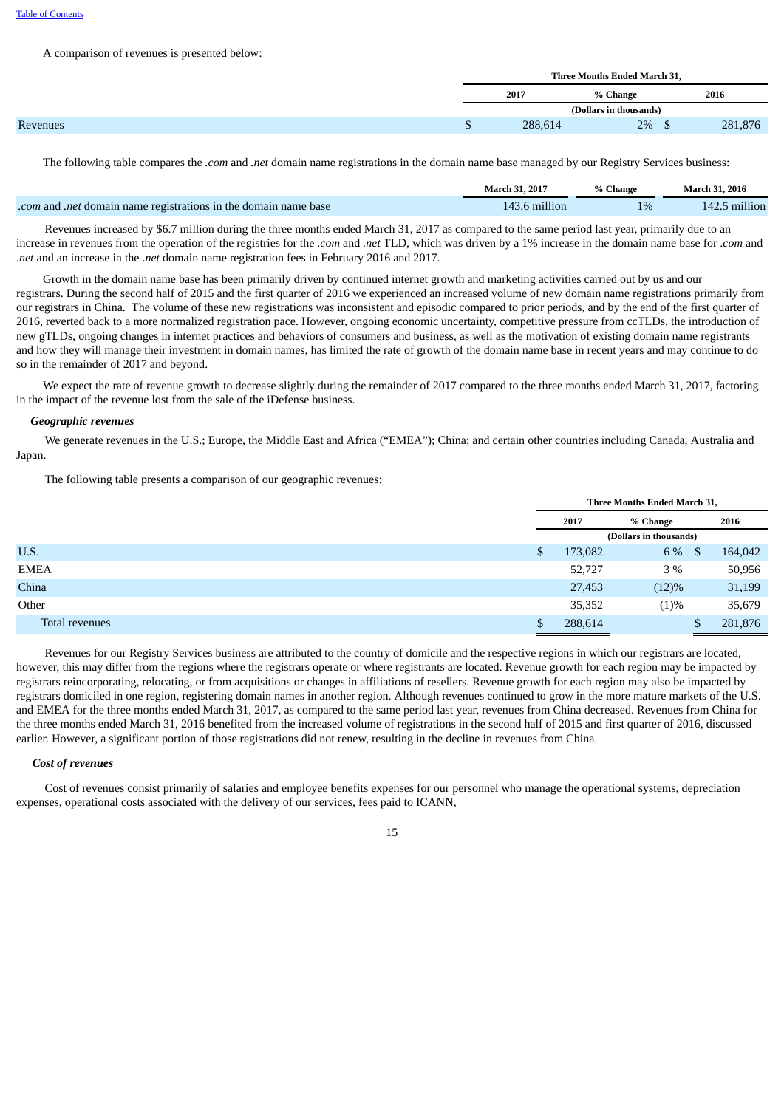#### A comparison of revenues is presented below:

|  |         | Three Months Ended March 31. |         |
|--|---------|------------------------------|---------|
|  | 2017    | % Change                     | 2016    |
|  |         | (Dollars in thousands)       |         |
|  | 288,614 | 2%<br><b>CD</b>              | 281,876 |

The following table compares the *.com* and *.net* domain name registrations in the domain name base managed by our Registry Services business:

|                                                                 | <b>March 31, 2017</b> | % Change | March 31, 2016 |
|-----------------------------------------------------------------|-----------------------|----------|----------------|
| .com and .net domain name registrations in the domain name base | 143.6 million         | 1%       | 142.5 million  |

Revenues increased by \$6.7 million during the three months ended March 31, 2017 as compared to the same period last year, primarily due to an increase in revenues from the operation of the registries for the .*com* and *.net* TLD, which was driven by a 1% increase in the domain name base for .*com* and .*net* and an increase in the .*net* domain name registration fees in February 2016 and 2017.

Growth in the domain name base has been primarily driven by continued internet growth and marketing activities carried out by us and our registrars. During the second half of 2015 and the first quarter of 2016 we experienced an increased volume of new domain name registrations primarily from our registrars in China. The volume of these new registrations was inconsistent and episodic compared to prior periods, and by the end of the first quarter of 2016, reverted back to a more normalized registration pace. However, ongoing economic uncertainty, competitive pressure from ccTLDs, the introduction of new gTLDs, ongoing changes in internet practices and behaviors of consumers and business, as well as the motivation of existing domain name registrants and how they will manage their investment in domain names, has limited the rate of growth of the domain name base in recent years and may continue to do so in the remainder of 2017 and beyond.

We expect the rate of revenue growth to decrease slightly during the remainder of 2017 compared to the three months ended March 31, 2017, factoring in the impact of the revenue lost from the sale of the iDefense business.

#### *Geographic revenues*

We generate revenues in the U.S.; Europe, the Middle East and Africa ("EMEA"); China; and certain other countries including Canada, Australia and Japan.

The following table presents a comparison of our geographic revenues:

|                | Three Months Ended March 31, |       |          |         |  |
|----------------|------------------------------|-------|----------|---------|--|
|                | 2017<br>% Change             |       |          | 2016    |  |
|                | (Dollars in thousands)       |       |          |         |  |
| U.S.           | \$<br>173,082                | 6 %   | <b>S</b> | 164,042 |  |
| EMEA           | 52,727                       | 3 %   |          | 50,956  |  |
| China          | 27,453                       | (12)% |          | 31,199  |  |
| Other          | 35,352                       | (1)%  |          | 35,679  |  |
| Total revenues | \$<br>288,614                |       |          | 281,876 |  |

Revenues for our Registry Services business are attributed to the country of domicile and the respective regions in which our registrars are located, however, this may differ from the regions where the registrars operate or where registrants are located. Revenue growth for each region may be impacted by registrars reincorporating, relocating, or from acquisitions or changes in affiliations of resellers. Revenue growth for each region may also be impacted by registrars domiciled in one region, registering domain names in another region. Although revenues continued to grow in the more mature markets of the U.S. and EMEA for the three months ended March 31, 2017, as compared to the same period last year, revenues from China decreased. Revenues from China for the three months ended March 31, 2016 benefited from the increased volume of registrations in the second half of 2015 and first quarter of 2016, discussed earlier. However, a significant portion of those registrations did not renew, resulting in the decline in revenues from China.

#### *Cost of revenues*

Cost of revenues consist primarily of salaries and employee benefits expenses for our personnel who manage the operational systems, depreciation expenses, operational costs associated with the delivery of our services, fees paid to ICANN,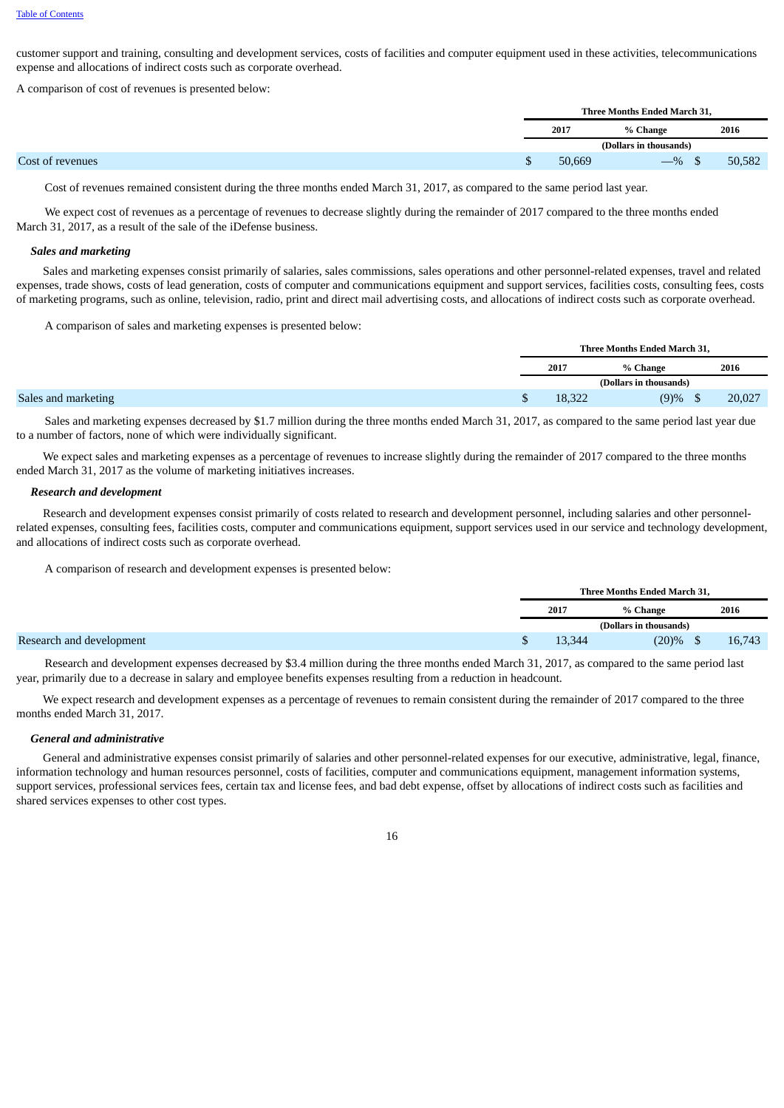customer support and training, consulting and development services, costs of facilities and computer equipment used in these activities, telecommunications expense and allocations of indirect costs such as corporate overhead.

A comparison of cost of revenues is presented below:

|  |        | Three Months Ended March 31, |        |
|--|--------|------------------------------|--------|
|  | 2017   | % Change                     | 2016   |
|  |        | (Dollars in thousands)       |        |
|  | 50,669 | $-$ % \$                     | 50,582 |

Cost of revenues remained consistent during the three months ended March 31, 2017, as compared to the same period last year.

We expect cost of revenues as a percentage of revenues to decrease slightly during the remainder of 2017 compared to the three months ended March 31, 2017, as a result of the sale of the iDefense business.

#### *Sales and marketing*

Sales and marketing expenses consist primarily of salaries, sales commissions, sales operations and other personnel-related expenses, travel and related expenses, trade shows, costs of lead generation, costs of computer and communications equipment and support services, facilities costs, consulting fees, costs of marketing programs, such as online, television, radio, print and direct mail advertising costs, and allocations of indirect costs such as corporate overhead.

A comparison of sales and marketing expenses is presented below:

|                     | Three Months Ended March 31, |        |                        |        |
|---------------------|------------------------------|--------|------------------------|--------|
|                     |                              | 2017   | % Change               | 2016   |
|                     |                              |        | (Dollars in thousands) |        |
| Sales and marketing |                              | 18,322 | (9)%                   | 20,027 |

Sales and marketing expenses decreased by \$1.7 million during the three months ended March 31, 2017, as compared to the same period last year due to a number of factors, none of which were individually significant.

We expect sales and marketing expenses as a percentage of revenues to increase slightly during the remainder of 2017 compared to the three months ended March 31, 2017 as the volume of marketing initiatives increases.

#### *Research and development*

Research and development expenses consist primarily of costs related to research and development personnel, including salaries and other personnelrelated expenses, consulting fees, facilities costs, computer and communications equipment, support services used in our service and technology development, and allocations of indirect costs such as corporate overhead.

A comparison of research and development expenses is presented below:

Research and development expenses decreased by \$3.4 million during the three months ended March 31, 2017, as compared to the same period last year, primarily due to a decrease in salary and employee benefits expenses resulting from a reduction in headcount.

We expect research and development expenses as a percentage of revenues to remain consistent during the remainder of 2017 compared to the three months ended March 31, 2017.

#### *General and administrative*

General and administrative expenses consist primarily of salaries and other personnel-related expenses for our executive, administrative, legal, finance, information technology and human resources personnel, costs of facilities, computer and communications equipment, management information systems, support services, professional services fees, certain tax and license fees, and bad debt expense, offset by allocations of indirect costs such as facilities and shared services expenses to other cost types.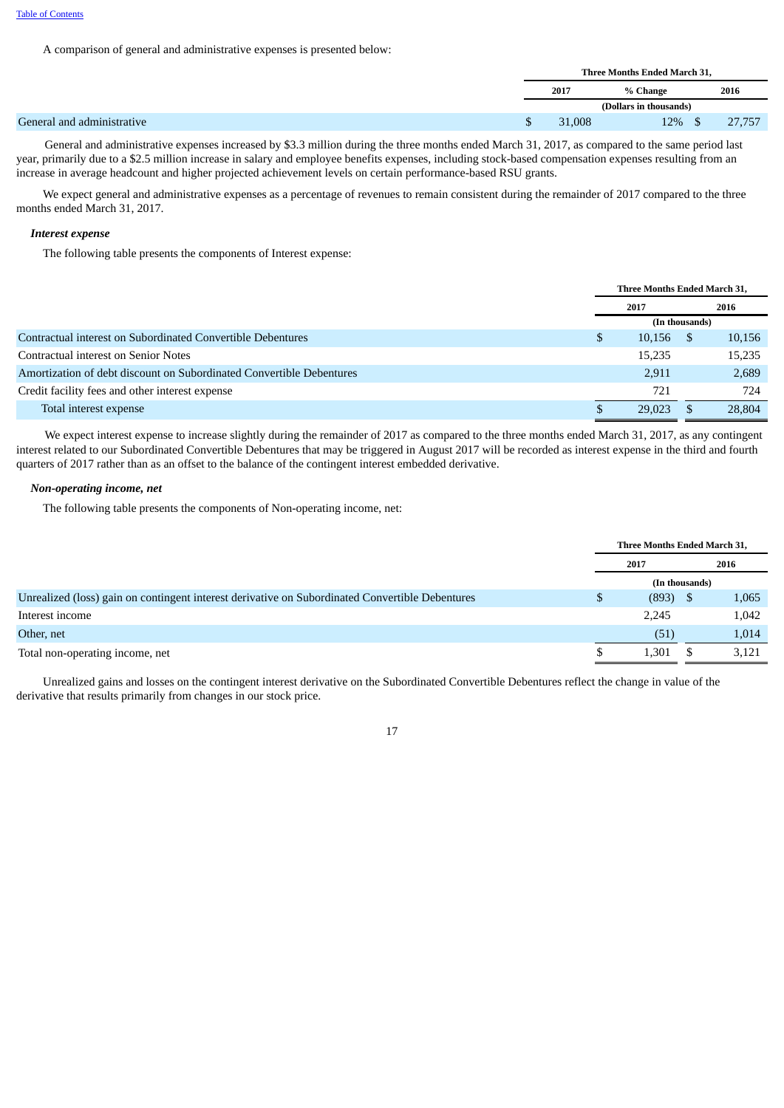A comparison of general and administrative expenses is presented below:

|                            | Three Months Ended March 31, |                        |        |  |  |
|----------------------------|------------------------------|------------------------|--------|--|--|
|                            | 2017                         | % Change               | 2016   |  |  |
|                            |                              | (Dollars in thousands) |        |  |  |
| General and administrative | 31,008                       | $12\%$ \$              | 27,757 |  |  |

General and administrative expenses increased by \$3.3 million during the three months ended March 31, 2017, as compared to the same period last year, primarily due to a \$2.5 million increase in salary and employee benefits expenses, including stock-based compensation expenses resulting from an increase in average headcount and higher projected achievement levels on certain performance-based RSU grants.

We expect general and administrative expenses as a percentage of revenues to remain consistent during the remainder of 2017 compared to the three months ended March 31, 2017.

#### *Interest expense*

The following table presents the components of Interest expense:

|                                                                      | Three Months Ended March 31, |        |                |        |  |
|----------------------------------------------------------------------|------------------------------|--------|----------------|--------|--|
|                                                                      | 2017                         |        |                | 2016   |  |
|                                                                      |                              |        | (In thousands) |        |  |
| Contractual interest on Subordinated Convertible Debentures          | \$                           | 10,156 | S              | 10,156 |  |
| Contractual interest on Senior Notes                                 |                              | 15,235 |                | 15,235 |  |
| Amortization of debt discount on Subordinated Convertible Debentures |                              | 2,911  |                | 2,689  |  |
| Credit facility fees and other interest expense                      |                              | 721    |                | 724    |  |
| Total interest expense                                               |                              | 29,023 |                | 28,804 |  |

We expect interest expense to increase slightly during the remainder of 2017 as compared to the three months ended March 31, 2017, as any contingent interest related to our Subordinated Convertible Debentures that may be triggered in August 2017 will be recorded as interest expense in the third and fourth quarters of 2017 rather than as an offset to the balance of the contingent interest embedded derivative.

# *Non-operating income, net*

The following table presents the components of Non-operating income, net:

|                                                                                                 | <b>Three Months Ended March 31.</b> |       |                |       |
|-------------------------------------------------------------------------------------------------|-------------------------------------|-------|----------------|-------|
|                                                                                                 | 2016<br>2017                        |       |                |       |
|                                                                                                 |                                     |       | (In thousands) |       |
| Unrealized (loss) gain on contingent interest derivative on Subordinated Convertible Debentures | \$                                  | (893) | <sup>\$</sup>  | 1,065 |
| Interest income                                                                                 |                                     | 2,245 |                | 1,042 |
| Other, net                                                                                      |                                     | (51)  |                | 1,014 |
| Total non-operating income, net                                                                 |                                     | 1,301 |                | 3,121 |

Unrealized gains and losses on the contingent interest derivative on the Subordinated Convertible Debentures reflect the change in value of the derivative that results primarily from changes in our stock price.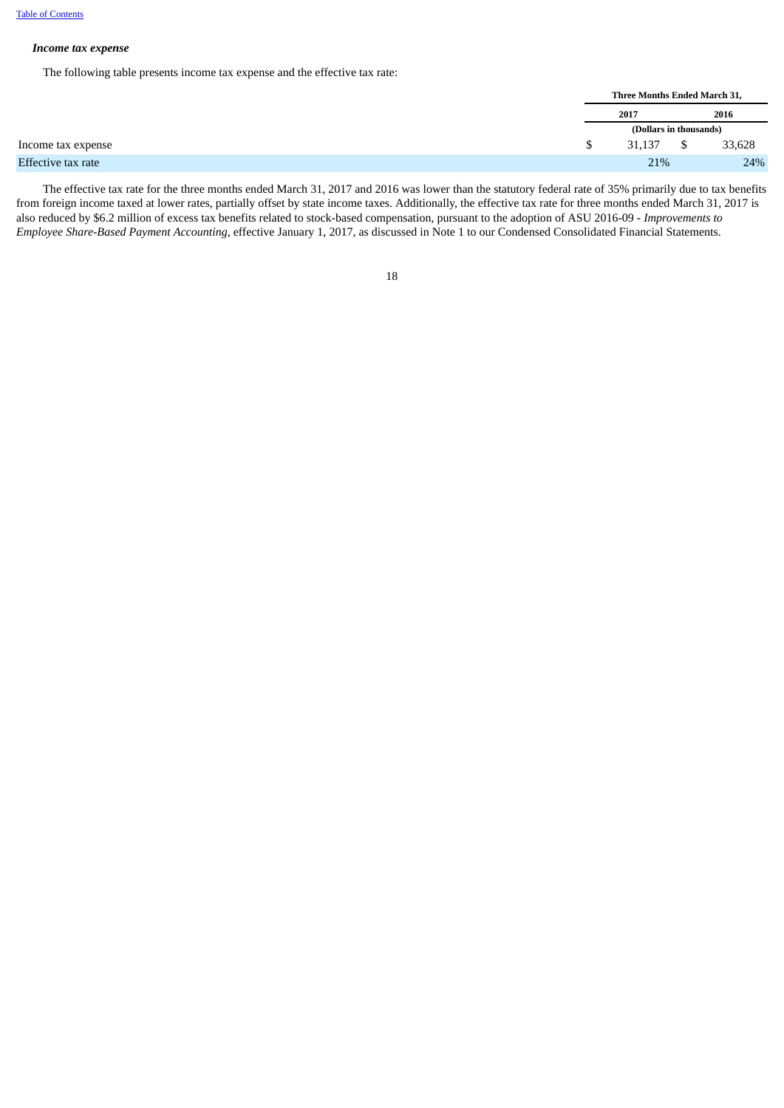#### *Income tax expense*

The following table presents income tax expense and the effective tax rate:

|  | Three Months Ended March 31, |    |        |
|--|------------------------------|----|--------|
|  | 2017                         |    | 2016   |
|  | (Dollars in thousands)       |    |        |
|  | 31.137                       | \$ | 33,628 |
|  | 21%                          |    | 24%    |
|  |                              |    |        |

The effective tax rate for the three months ended March 31, 2017 and 2016 was lower than the statutory federal rate of 35% primarily due to tax benefits from foreign income taxed at lower rates, partially offset by state income taxes. Additionally, the effective tax rate for three months ended March 31, 2017 is also reduced by \$6.2 million of excess tax benefits related to stock-based compensation, pursuant to the adoption of ASU 2016-09 - *Improvements to Employee Share-Based Payment Accounting*, effective January 1, 2017, as discussed in Note 1 to our Condensed Consolidated Financial Statements.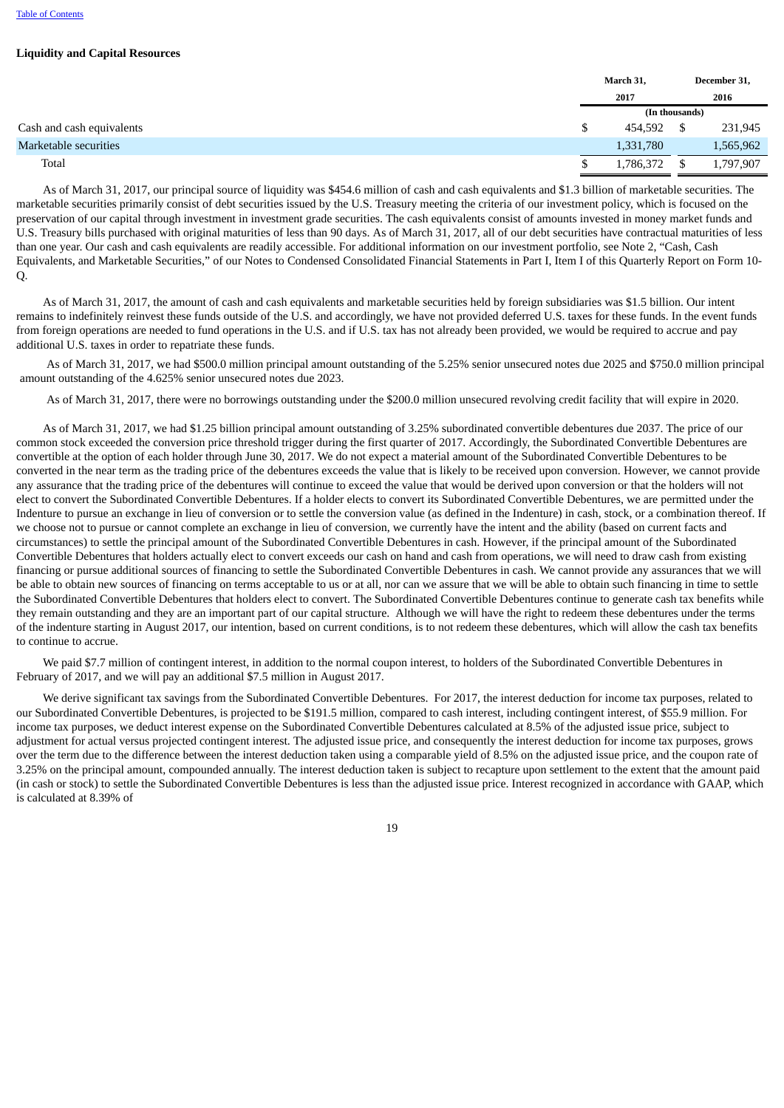# **Liquidity and Capital Resources**

|                           | March 31,      |  | December 31, |
|---------------------------|----------------|--|--------------|
|                           | 2017           |  | 2016         |
|                           | (In thousands) |  |              |
| Cash and cash equivalents | 454,592        |  | 231,945      |
| Marketable securities     | 1,331,780      |  | 1,565,962    |
| Total                     | 1,786,372      |  | 1,797,907    |

As of March 31, 2017, our principal source of liquidity was \$454.6 million of cash and cash equivalents and \$1.3 billion of marketable securities. The marketable securities primarily consist of debt securities issued by the U.S. Treasury meeting the criteria of our investment policy, which is focused on the preservation of our capital through investment in investment grade securities. The cash equivalents consist of amounts invested in money market funds and U.S. Treasury bills purchased with original maturities of less than 90 days. As of March 31, 2017, all of our debt securities have contractual maturities of less than one year. Our cash and cash equivalents are readily accessible. For additional information on our investment portfolio, see Note 2, "Cash, Cash Equivalents, and Marketable Securities," of our Notes to Condensed Consolidated Financial Statements in Part I, Item I of this Quarterly Report on Form 10- Q.

As of March 31, 2017, the amount of cash and cash equivalents and marketable securities held by foreign subsidiaries was \$1.5 billion. Our intent remains to indefinitely reinvest these funds outside of the U.S. and accordingly, we have not provided deferred U.S. taxes for these funds. In the event funds from foreign operations are needed to fund operations in the U.S. and if U.S. tax has not already been provided, we would be required to accrue and pay additional U.S. taxes in order to repatriate these funds.

As of March 31, 2017, we had \$500.0 million principal amount outstanding of the 5.25% senior unsecured notes due 2025 and \$750.0 million principal amount outstanding of the 4.625% senior unsecured notes due 2023.

As of March 31, 2017, there were no borrowings outstanding under the \$200.0 million unsecured revolving credit facility that will expire in 2020.

As of March 31, 2017, we had \$1.25 billion principal amount outstanding of 3.25% subordinated convertible debentures due 2037. The price of our common stock exceeded the conversion price threshold trigger during the first quarter of 2017. Accordingly, the Subordinated Convertible Debentures are convertible at the option of each holder through June 30, 2017. We do not expect a material amount of the Subordinated Convertible Debentures to be converted in the near term as the trading price of the debentures exceeds the value that is likely to be received upon conversion. However, we cannot provide any assurance that the trading price of the debentures will continue to exceed the value that would be derived upon conversion or that the holders will not elect to convert the Subordinated Convertible Debentures. If a holder elects to convert its Subordinated Convertible Debentures, we are permitted under the Indenture to pursue an exchange in lieu of conversion or to settle the conversion value (as defined in the Indenture) in cash, stock, or a combination thereof. If we choose not to pursue or cannot complete an exchange in lieu of conversion, we currently have the intent and the ability (based on current facts and circumstances) to settle the principal amount of the Subordinated Convertible Debentures in cash. However, if the principal amount of the Subordinated Convertible Debentures that holders actually elect to convert exceeds our cash on hand and cash from operations, we will need to draw cash from existing financing or pursue additional sources of financing to settle the Subordinated Convertible Debentures in cash. We cannot provide any assurances that we will be able to obtain new sources of financing on terms acceptable to us or at all, nor can we assure that we will be able to obtain such financing in time to settle the Subordinated Convertible Debentures that holders elect to convert. The Subordinated Convertible Debentures continue to generate cash tax benefits while they remain outstanding and they are an important part of our capital structure. Although we will have the right to redeem these debentures under the terms of the indenture starting in August 2017, our intention, based on current conditions, is to not redeem these debentures, which will allow the cash tax benefits to continue to accrue.

We paid \$7.7 million of contingent interest, in addition to the normal coupon interest, to holders of the Subordinated Convertible Debentures in February of 2017, and we will pay an additional \$7.5 million in August 2017.

We derive significant tax savings from the Subordinated Convertible Debentures. For 2017, the interest deduction for income tax purposes, related to our Subordinated Convertible Debentures, is projected to be \$191.5 million, compared to cash interest, including contingent interest, of \$55.9 million. For income tax purposes, we deduct interest expense on the Subordinated Convertible Debentures calculated at 8.5% of the adjusted issue price, subject to adjustment for actual versus projected contingent interest. The adjusted issue price, and consequently the interest deduction for income tax purposes, grows over the term due to the difference between the interest deduction taken using a comparable yield of 8.5% on the adjusted issue price, and the coupon rate of 3.25% on the principal amount, compounded annually. The interest deduction taken is subject to recapture upon settlement to the extent that the amount paid (in cash or stock) to settle the Subordinated Convertible Debentures is less than the adjusted issue price. Interest recognized in accordance with GAAP, which is calculated at 8.39% of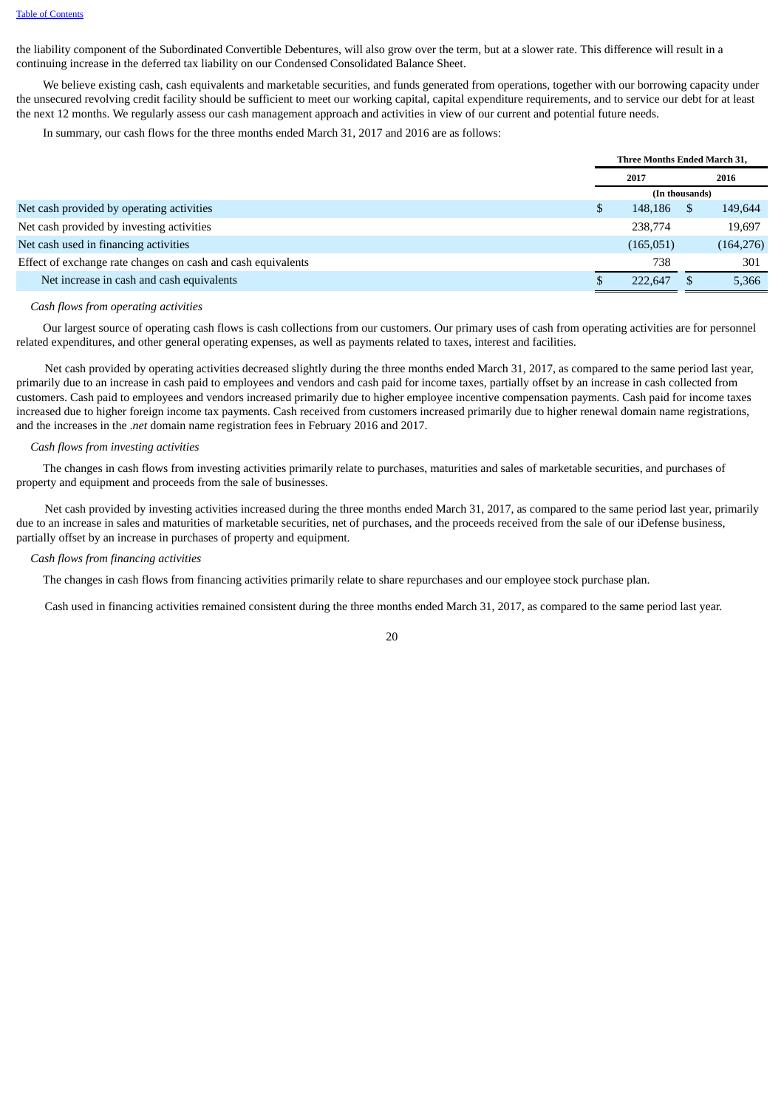the liability component of the Subordinated Convertible Debentures, will also grow over the term, but at a slower rate. This difference will result in a continuing increase in the deferred tax liability on our Condensed Consolidated Balance Sheet.

We believe existing cash, cash equivalents and marketable securities, and funds generated from operations, together with our borrowing capacity under the unsecured revolving credit facility should be sufficient to meet our working capital, capital expenditure requirements, and to service our debt for at least the next 12 months. We regularly assess our cash management approach and activities in view of our current and potential future needs.

In summary, our cash flows for the three months ended March 31, 2017 and 2016 are as follows:

|                                                              | <b>Three Months Ended March 31.</b> |                |  |            |  |
|--------------------------------------------------------------|-------------------------------------|----------------|--|------------|--|
|                                                              | 2017                                |                |  | 2016       |  |
|                                                              |                                     | (In thousands) |  |            |  |
| Net cash provided by operating activities                    |                                     | 148,186        |  | 149,644    |  |
| Net cash provided by investing activities                    |                                     | 238,774        |  | 19,697     |  |
| Net cash used in financing activities                        |                                     | (165,051)      |  | (164, 276) |  |
| Effect of exchange rate changes on cash and cash equivalents |                                     | 738            |  | 301        |  |
| Net increase in cash and cash equivalents                    |                                     | 222,647        |  | 5,366      |  |

#### *Cash flows from operating activities*

Our largest source of operating cash flows is cash collections from our customers. Our primary uses of cash from operating activities are for personnel related expenditures, and other general operating expenses, as well as payments related to taxes, interest and facilities.

Net cash provided by operating activities decreased slightly during the three months ended March 31, 2017, as compared to the same period last year, primarily due to an increase in cash paid to employees and vendors and cash paid for income taxes, partially offset by an increase in cash collected from customers. Cash paid to employees and vendors increased primarily due to higher employee incentive compensation payments. Cash paid for income taxes increased due to higher foreign income tax payments. Cash received from customers increased primarily due to higher renewal domain name registrations, and the increases in the .*net* domain name registration fees in February 2016 and 2017.

#### *Cash flows from investing activities*

The changes in cash flows from investing activities primarily relate to purchases, maturities and sales of marketable securities, and purchases of property and equipment and proceeds from the sale of businesses.

Net cash provided by investing activities increased during the three months ended March 31, 2017, as compared to the same period last year, primarily due to an increase in sales and maturities of marketable securities, net of purchases, and the proceeds received from the sale of our iDefense business, partially offset by an increase in purchases of property and equipment.

#### *Cash flows from financing activities*

The changes in cash flows from financing activities primarily relate to share repurchases and our employee stock purchase plan.

Cash used in financing activities remained consistent during the three months ended March 31, 2017, as compared to the same period last year.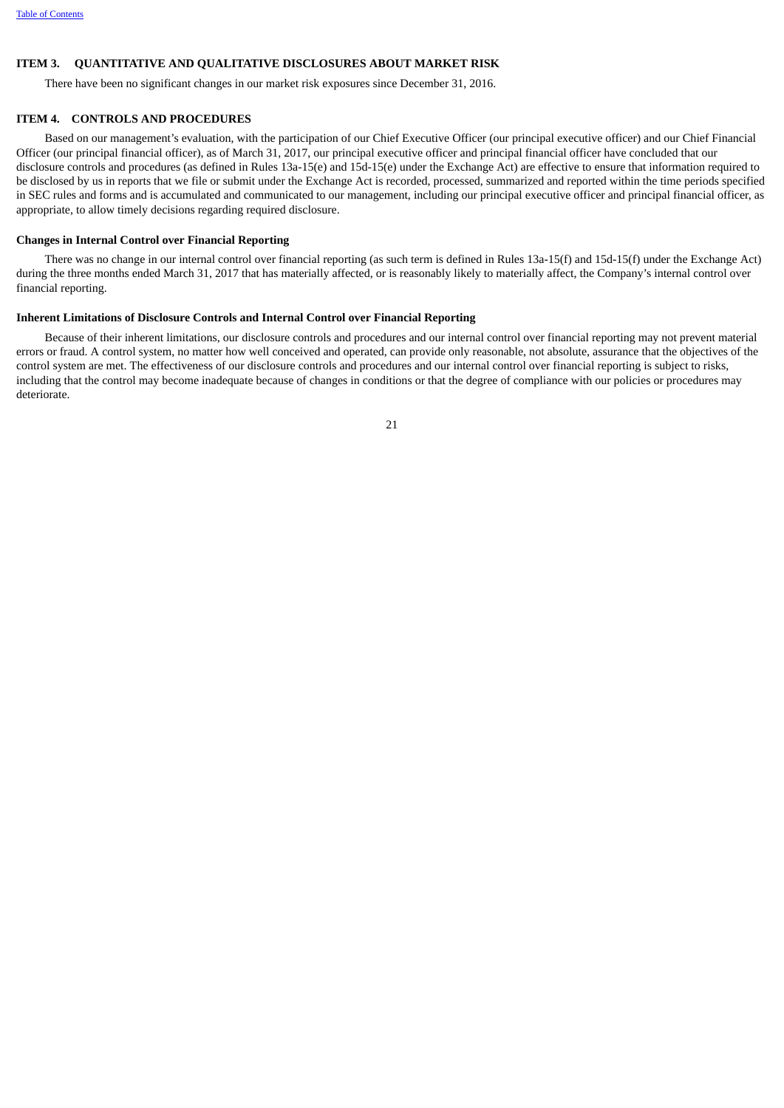# <span id="page-20-0"></span>**ITEM 3. QUANTITATIVE AND QUALITATIVE DISCLOSURES ABOUT MARKET RISK**

There have been no significant changes in our market risk exposures since December 31, 2016.

#### <span id="page-20-1"></span>**ITEM 4. CONTROLS AND PROCEDURES**

Based on our management's evaluation, with the participation of our Chief Executive Officer (our principal executive officer) and our Chief Financial Officer (our principal financial officer), as of March 31, 2017, our principal executive officer and principal financial officer have concluded that our disclosure controls and procedures (as defined in Rules 13a-15(e) and 15d-15(e) under the Exchange Act) are effective to ensure that information required to be disclosed by us in reports that we file or submit under the Exchange Act is recorded, processed, summarized and reported within the time periods specified in SEC rules and forms and is accumulated and communicated to our management, including our principal executive officer and principal financial officer, as appropriate, to allow timely decisions regarding required disclosure.

#### **Changes in Internal Control over Financial Reporting**

There was no change in our internal control over financial reporting (as such term is defined in Rules 13a-15(f) and 15d-15(f) under the Exchange Act) during the three months ended March 31, 2017 that has materially affected, or is reasonably likely to materially affect, the Company's internal control over financial reporting.

#### **Inherent Limitations of Disclosure Controls and Internal Control over Financial Reporting**

Because of their inherent limitations, our disclosure controls and procedures and our internal control over financial reporting may not prevent material errors or fraud. A control system, no matter how well conceived and operated, can provide only reasonable, not absolute, assurance that the objectives of the control system are met. The effectiveness of our disclosure controls and procedures and our internal control over financial reporting is subject to risks, including that the control may become inadequate because of changes in conditions or that the degree of compliance with our policies or procedures may deteriorate.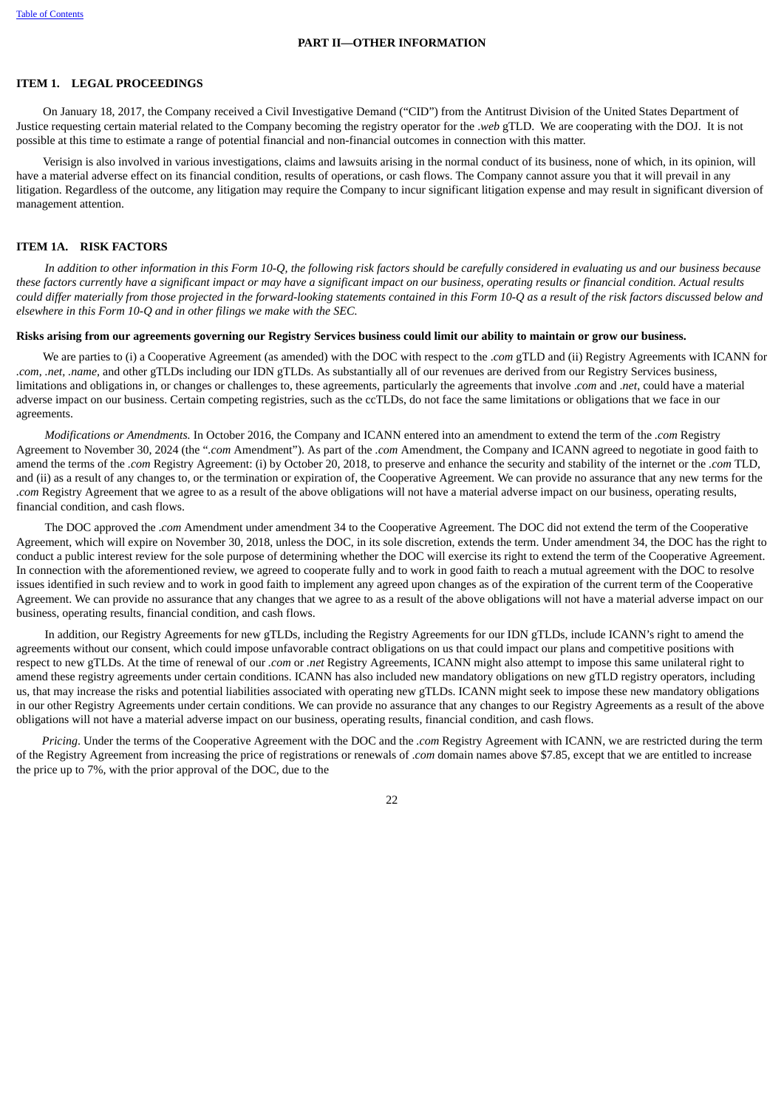#### **PART II—OTHER INFORMATION**

#### <span id="page-21-1"></span><span id="page-21-0"></span>**ITEM 1. LEGAL PROCEEDINGS**

On January 18, 2017, the Company received a Civil Investigative Demand ("CID") from the Antitrust Division of the United States Department of Justice requesting certain material related to the Company becoming the registry operator for the .*web* gTLD. We are cooperating with the DOJ. It is not possible at this time to estimate a range of potential financial and non-financial outcomes in connection with this matter.

Verisign is also involved in various investigations, claims and lawsuits arising in the normal conduct of its business, none of which, in its opinion, will have a material adverse effect on its financial condition, results of operations, or cash flows. The Company cannot assure you that it will prevail in any litigation. Regardless of the outcome, any litigation may require the Company to incur significant litigation expense and may result in significant diversion of management attention.

#### <span id="page-21-2"></span>**ITEM 1A. RISK FACTORS**

In addition to other information in this Form 10-O, the following risk factors should be carefully considered in evaluating us and our business because these factors currently have a significant impact or may have a significant impact on our business, operating results or financial condition. Actual results could differ materially from those projected in the forward-looking statements contained in this Form 10-O as a result of the risk factors discussed below and *elsewhere in this Form 10-Q and in other filings we make with the SEC.*

#### Risks arising from our agreements governing our Registry Services business could limit our ability to maintain or grow our business.

We are parties to (i) a Cooperative Agreement (as amended) with the DOC with respect to the .*com* gTLD and (ii) Registry Agreements with ICANN for *.com*, *.net, .name,* and other gTLDs including our IDN gTLDs. As substantially all of our revenues are derived from our Registry Services business, limitations and obligations in, or changes or challenges to, these agreements, particularly the agreements that involve .*com* and .*net*, could have a material adverse impact on our business. Certain competing registries, such as the ccTLDs, do not face the same limitations or obligations that we face in our agreements.

*Modifications or Amendments.* In October 2016, the Company and ICANN entered into an amendment to extend the term of the *.com* Registry Agreement to November 30, 2024 (the "*.com* Amendment"). As part of the *.com* Amendment, the Company and ICANN agreed to negotiate in good faith to amend the terms of the *.com* Registry Agreement: (i) by October 20, 2018, to preserve and enhance the security and stability of the internet or the *.com* TLD, and (ii) as a result of any changes to, or the termination or expiration of, the Cooperative Agreement. We can provide no assurance that any new terms for the *.com* Registry Agreement that we agree to as a result of the above obligations will not have a material adverse impact on our business, operating results, financial condition, and cash flows.

The DOC approved the .*com* Amendment under amendment 34 to the Cooperative Agreement. The DOC did not extend the term of the Cooperative Agreement, which will expire on November 30, 2018, unless the DOC, in its sole discretion, extends the term. Under amendment 34, the DOC has the right to conduct a public interest review for the sole purpose of determining whether the DOC will exercise its right to extend the term of the Cooperative Agreement. In connection with the aforementioned review, we agreed to cooperate fully and to work in good faith to reach a mutual agreement with the DOC to resolve issues identified in such review and to work in good faith to implement any agreed upon changes as of the expiration of the current term of the Cooperative Agreement. We can provide no assurance that any changes that we agree to as a result of the above obligations will not have a material adverse impact on our business, operating results, financial condition, and cash flows.

In addition, our Registry Agreements for new gTLDs, including the Registry Agreements for our IDN gTLDs, include ICANN's right to amend the agreements without our consent, which could impose unfavorable contract obligations on us that could impact our plans and competitive positions with respect to new gTLDs. At the time of renewal of our *.com* or *.net* Registry Agreements, ICANN might also attempt to impose this same unilateral right to amend these registry agreements under certain conditions. ICANN has also included new mandatory obligations on new gTLD registry operators, including us, that may increase the risks and potential liabilities associated with operating new gTLDs. ICANN might seek to impose these new mandatory obligations in our other Registry Agreements under certain conditions. We can provide no assurance that any changes to our Registry Agreements as a result of the above obligations will not have a material adverse impact on our business, operating results, financial condition, and cash flows.

*Pricing*. Under the terms of the Cooperative Agreement with the DOC and the *.com* Registry Agreement with ICANN, we are restricted during the term of the Registry Agreement from increasing the price of registrations or renewals of .*com* domain names above \$7.85, except that we are entitled to increase the price up to 7%, with the prior approval of the DOC, due to the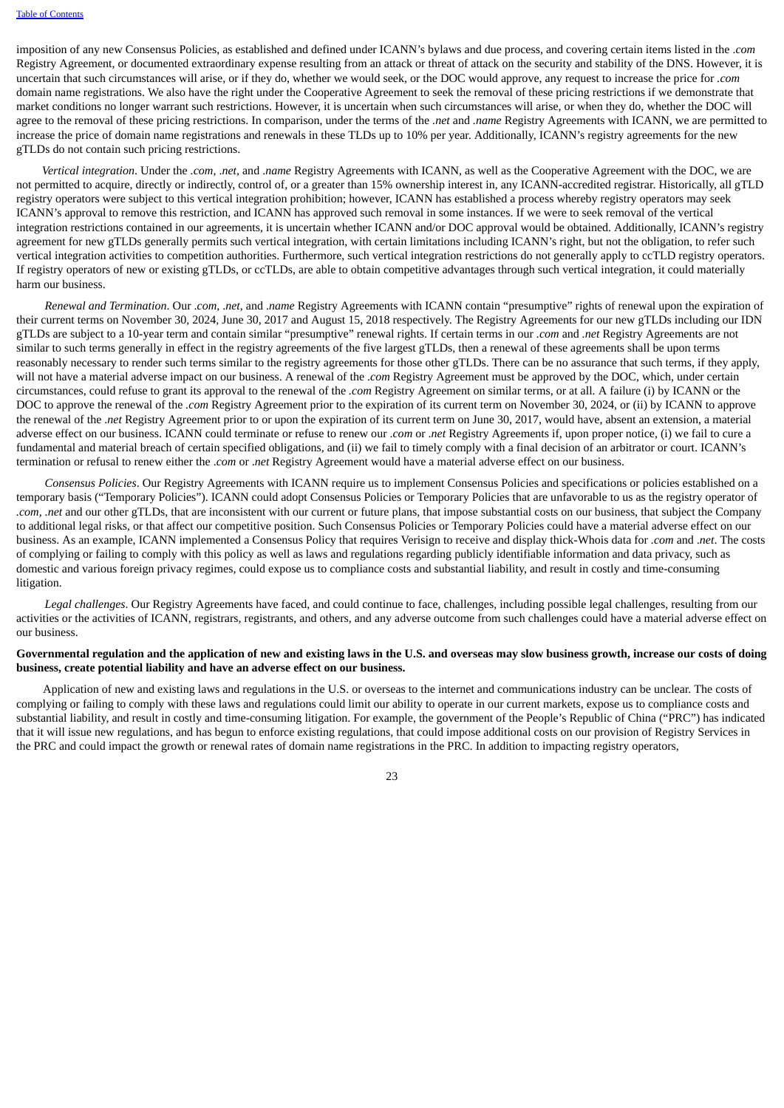imposition of any new Consensus Policies, as established and defined under ICANN's bylaws and due process, and covering certain items listed in the .*com* Registry Agreement, or documented extraordinary expense resulting from an attack or threat of attack on the security and stability of the DNS. However, it is uncertain that such circumstances will arise, or if they do, whether we would seek, or the DOC would approve, any request to increase the price for *.com* domain name registrations. We also have the right under the Cooperative Agreement to seek the removal of these pricing restrictions if we demonstrate that market conditions no longer warrant such restrictions. However, it is uncertain when such circumstances will arise, or when they do, whether the DOC will agree to the removal of these pricing restrictions. In comparison, under the terms of the *.net* and *.name* Registry Agreements with ICANN, we are permitted to increase the price of domain name registrations and renewals in these TLDs up to 10% per year. Additionally, ICANN's registry agreements for the new gTLDs do not contain such pricing restrictions.

*Vertical integration*. Under the *.com*, .*net,* and .*name* Registry Agreements with ICANN, as well as the Cooperative Agreement with the DOC, we are not permitted to acquire, directly or indirectly, control of, or a greater than 15% ownership interest in, any ICANN-accredited registrar. Historically, all gTLD registry operators were subject to this vertical integration prohibition; however, ICANN has established a process whereby registry operators may seek ICANN's approval to remove this restriction, and ICANN has approved such removal in some instances. If we were to seek removal of the vertical integration restrictions contained in our agreements, it is uncertain whether ICANN and/or DOC approval would be obtained. Additionally, ICANN's registry agreement for new gTLDs generally permits such vertical integration, with certain limitations including ICANN's right, but not the obligation, to refer such vertical integration activities to competition authorities. Furthermore, such vertical integration restrictions do not generally apply to ccTLD registry operators. If registry operators of new or existing gTLDs, or ccTLDs, are able to obtain competitive advantages through such vertical integration, it could materially harm our business.

*Renewal and Termination*. Our .*com*, .*net,* and .*name* Registry Agreements with ICANN contain "presumptive" rights of renewal upon the expiration of their current terms on November 30, 2024, June 30, 2017 and August 15, 2018 respectively. The Registry Agreements for our new gTLDs including our IDN gTLDs are subject to a 10-year term and contain similar "presumptive" renewal rights. If certain terms in our *.com* and *.net* Registry Agreements are not similar to such terms generally in effect in the registry agreements of the five largest gTLDs, then a renewal of these agreements shall be upon terms reasonably necessary to render such terms similar to the registry agreements for those other gTLDs. There can be no assurance that such terms, if they apply, will not have a material adverse impact on our business. A renewal of the .*com* Registry Agreement must be approved by the DOC, which, under certain circumstances, could refuse to grant its approval to the renewal of the *.com* Registry Agreement on similar terms, or at all. A failure (i) by ICANN or the DOC to approve the renewal of the *.com* Registry Agreement prior to the expiration of its current term on November 30, 2024, or (ii) by ICANN to approve the renewal of the .*net* Registry Agreement prior to or upon the expiration of its current term on June 30, 2017, would have, absent an extension, a material adverse effect on our business. ICANN could terminate or refuse to renew our .*com* or .*net* Registry Agreements if, upon proper notice, (i) we fail to cure a fundamental and material breach of certain specified obligations, and (ii) we fail to timely comply with a final decision of an arbitrator or court. ICANN's termination or refusal to renew either the .*com* or .*net* Registry Agreement would have a material adverse effect on our business.

*Consensus Policies*. Our Registry Agreements with ICANN require us to implement Consensus Policies and specifications or policies established on a temporary basis ("Temporary Policies"). ICANN could adopt Consensus Policies or Temporary Policies that are unfavorable to us as the registry operator of *.com*, *.net* and our other gTLDs, that are inconsistent with our current or future plans, that impose substantial costs on our business, that subject the Company to additional legal risks, or that affect our competitive position. Such Consensus Policies or Temporary Policies could have a material adverse effect on our business. As an example, ICANN implemented a Consensus Policy that requires Verisign to receive and display thick-Whois data for *.com* and .*net*. The costs of complying or failing to comply with this policy as well as laws and regulations regarding publicly identifiable information and data privacy, such as domestic and various foreign privacy regimes, could expose us to compliance costs and substantial liability, and result in costly and time-consuming litigation.

*Legal challenges*. Our Registry Agreements have faced, and could continue to face, challenges, including possible legal challenges, resulting from our activities or the activities of ICANN, registrars, registrants, and others, and any adverse outcome from such challenges could have a material adverse effect on our business.

# Governmental regulation and the application of new and existing laws in the U.S. and overseas may slow business growth, increase our costs of doing **business, create potential liability and have an adverse effect on our business.**

Application of new and existing laws and regulations in the U.S. or overseas to the internet and communications industry can be unclear. The costs of complying or failing to comply with these laws and regulations could limit our ability to operate in our current markets, expose us to compliance costs and substantial liability, and result in costly and time-consuming litigation. For example, the government of the People's Republic of China ("PRC") has indicated that it will issue new regulations, and has begun to enforce existing regulations, that could impose additional costs on our provision of Registry Services in the PRC and could impact the growth or renewal rates of domain name registrations in the PRC. In addition to impacting registry operators,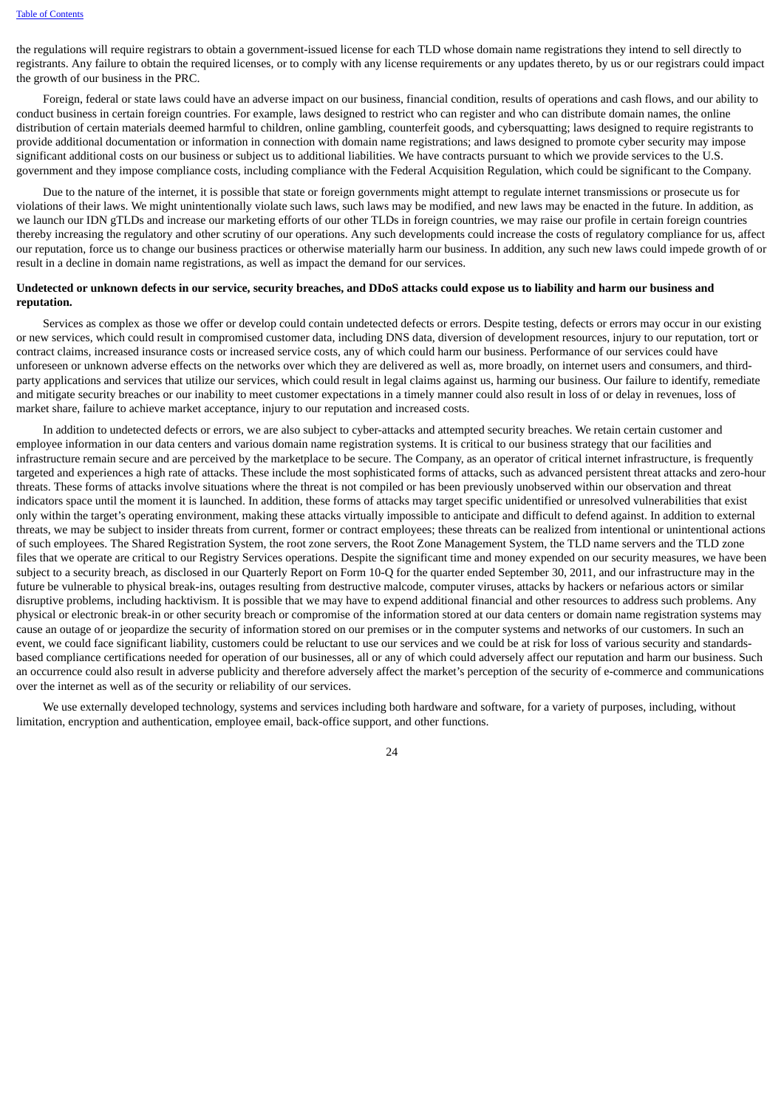the regulations will require registrars to obtain a government-issued license for each TLD whose domain name registrations they intend to sell directly to registrants. Any failure to obtain the required licenses, or to comply with any license requirements or any updates thereto, by us or our registrars could impact the growth of our business in the PRC.

Foreign, federal or state laws could have an adverse impact on our business, financial condition, results of operations and cash flows, and our ability to conduct business in certain foreign countries. For example, laws designed to restrict who can register and who can distribute domain names, the online distribution of certain materials deemed harmful to children, online gambling, counterfeit goods, and cybersquatting; laws designed to require registrants to provide additional documentation or information in connection with domain name registrations; and laws designed to promote cyber security may impose significant additional costs on our business or subject us to additional liabilities. We have contracts pursuant to which we provide services to the U.S. government and they impose compliance costs, including compliance with the Federal Acquisition Regulation, which could be significant to the Company.

Due to the nature of the internet, it is possible that state or foreign governments might attempt to regulate internet transmissions or prosecute us for violations of their laws. We might unintentionally violate such laws, such laws may be modified, and new laws may be enacted in the future. In addition, as we launch our IDN gTLDs and increase our marketing efforts of our other TLDs in foreign countries, we may raise our profile in certain foreign countries thereby increasing the regulatory and other scrutiny of our operations. Any such developments could increase the costs of regulatory compliance for us, affect our reputation, force us to change our business practices or otherwise materially harm our business. In addition, any such new laws could impede growth of or result in a decline in domain name registrations, as well as impact the demand for our services.

#### Undetected or unknown defects in our service, security breaches, and DDoS attacks could expose us to liability and harm our business and **reputation.**

Services as complex as those we offer or develop could contain undetected defects or errors. Despite testing, defects or errors may occur in our existing or new services, which could result in compromised customer data, including DNS data, diversion of development resources, injury to our reputation, tort or contract claims, increased insurance costs or increased service costs, any of which could harm our business. Performance of our services could have unforeseen or unknown adverse effects on the networks over which they are delivered as well as, more broadly, on internet users and consumers, and thirdparty applications and services that utilize our services, which could result in legal claims against us, harming our business. Our failure to identify, remediate and mitigate security breaches or our inability to meet customer expectations in a timely manner could also result in loss of or delay in revenues, loss of market share, failure to achieve market acceptance, injury to our reputation and increased costs.

In addition to undetected defects or errors, we are also subject to cyber-attacks and attempted security breaches. We retain certain customer and employee information in our data centers and various domain name registration systems. It is critical to our business strategy that our facilities and infrastructure remain secure and are perceived by the marketplace to be secure. The Company, as an operator of critical internet infrastructure, is frequently targeted and experiences a high rate of attacks. These include the most sophisticated forms of attacks, such as advanced persistent threat attacks and zero-hour threats. These forms of attacks involve situations where the threat is not compiled or has been previously unobserved within our observation and threat indicators space until the moment it is launched. In addition, these forms of attacks may target specific unidentified or unresolved vulnerabilities that exist only within the target's operating environment, making these attacks virtually impossible to anticipate and difficult to defend against. In addition to external threats, we may be subject to insider threats from current, former or contract employees; these threats can be realized from intentional or unintentional actions of such employees. The Shared Registration System, the root zone servers, the Root Zone Management System, the TLD name servers and the TLD zone files that we operate are critical to our Registry Services operations. Despite the significant time and money expended on our security measures, we have been subject to a security breach, as disclosed in our Quarterly Report on Form 10-Q for the quarter ended September 30, 2011, and our infrastructure may in the future be vulnerable to physical break-ins, outages resulting from destructive malcode, computer viruses, attacks by hackers or nefarious actors or similar disruptive problems, including hacktivism. It is possible that we may have to expend additional financial and other resources to address such problems. Any physical or electronic break-in or other security breach or compromise of the information stored at our data centers or domain name registration systems may cause an outage of or jeopardize the security of information stored on our premises or in the computer systems and networks of our customers. In such an event, we could face significant liability, customers could be reluctant to use our services and we could be at risk for loss of various security and standardsbased compliance certifications needed for operation of our businesses, all or any of which could adversely affect our reputation and harm our business. Such an occurrence could also result in adverse publicity and therefore adversely affect the market's perception of the security of e-commerce and communications over the internet as well as of the security or reliability of our services.

We use externally developed technology, systems and services including both hardware and software, for a variety of purposes, including, without limitation, encryption and authentication, employee email, back-office support, and other functions.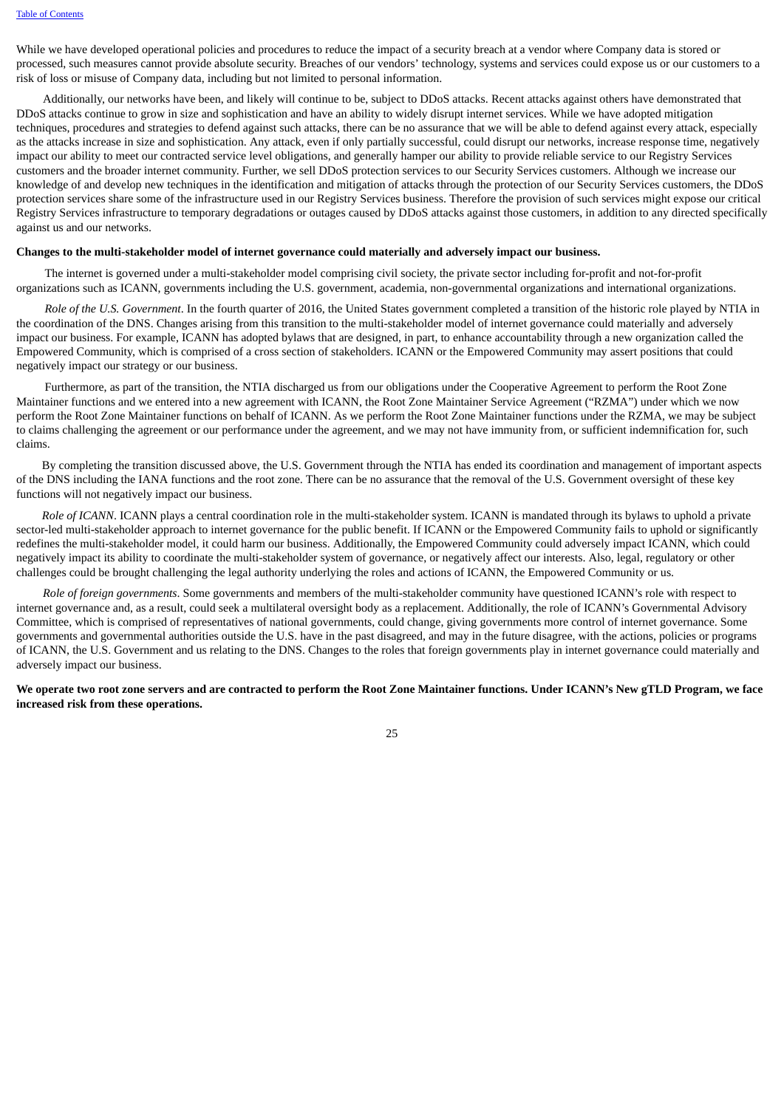While we have developed operational policies and procedures to reduce the impact of a security breach at a vendor where Company data is stored or processed, such measures cannot provide absolute security. Breaches of our vendors' technology, systems and services could expose us or our customers to a risk of loss or misuse of Company data, including but not limited to personal information.

Additionally, our networks have been, and likely will continue to be, subject to DDoS attacks. Recent attacks against others have demonstrated that DDoS attacks continue to grow in size and sophistication and have an ability to widely disrupt internet services. While we have adopted mitigation techniques, procedures and strategies to defend against such attacks, there can be no assurance that we will be able to defend against every attack, especially as the attacks increase in size and sophistication. Any attack, even if only partially successful, could disrupt our networks, increase response time, negatively impact our ability to meet our contracted service level obligations, and generally hamper our ability to provide reliable service to our Registry Services customers and the broader internet community. Further, we sell DDoS protection services to our Security Services customers. Although we increase our knowledge of and develop new techniques in the identification and mitigation of attacks through the protection of our Security Services customers, the DDoS protection services share some of the infrastructure used in our Registry Services business. Therefore the provision of such services might expose our critical Registry Services infrastructure to temporary degradations or outages caused by DDoS attacks against those customers, in addition to any directed specifically against us and our networks.

#### **Changes to the multi-stakeholder model of internet governance could materially and adversely impact our business.**

The internet is governed under a multi-stakeholder model comprising civil society, the private sector including for-profit and not-for-profit organizations such as ICANN, governments including the U.S. government, academia, non-governmental organizations and international organizations.

*Role of the U.S. Government*. In the fourth quarter of 2016, the United States government completed a transition of the historic role played by NTIA in the coordination of the DNS. Changes arising from this transition to the multi-stakeholder model of internet governance could materially and adversely impact our business. For example, ICANN has adopted bylaws that are designed, in part, to enhance accountability through a new organization called the Empowered Community, which is comprised of a cross section of stakeholders. ICANN or the Empowered Community may assert positions that could negatively impact our strategy or our business.

Furthermore, as part of the transition, the NTIA discharged us from our obligations under the Cooperative Agreement to perform the Root Zone Maintainer functions and we entered into a new agreement with ICANN, the Root Zone Maintainer Service Agreement ("RZMA") under which we now perform the Root Zone Maintainer functions on behalf of ICANN. As we perform the Root Zone Maintainer functions under the RZMA, we may be subject to claims challenging the agreement or our performance under the agreement, and we may not have immunity from, or sufficient indemnification for, such claims.

By completing the transition discussed above, the U.S. Government through the NTIA has ended its coordination and management of important aspects of the DNS including the IANA functions and the root zone. There can be no assurance that the removal of the U.S. Government oversight of these key functions will not negatively impact our business.

*Role of ICANN*. ICANN plays a central coordination role in the multi-stakeholder system. ICANN is mandated through its bylaws to uphold a private sector-led multi-stakeholder approach to internet governance for the public benefit. If ICANN or the Empowered Community fails to uphold or significantly redefines the multi-stakeholder model, it could harm our business. Additionally, the Empowered Community could adversely impact ICANN, which could negatively impact its ability to coordinate the multi-stakeholder system of governance, or negatively affect our interests. Also, legal, regulatory or other challenges could be brought challenging the legal authority underlying the roles and actions of ICANN, the Empowered Community or us.

*Role of foreign governments*. Some governments and members of the multi-stakeholder community have questioned ICANN's role with respect to internet governance and, as a result, could seek a multilateral oversight body as a replacement. Additionally, the role of ICANN's Governmental Advisory Committee, which is comprised of representatives of national governments, could change, giving governments more control of internet governance. Some governments and governmental authorities outside the U.S. have in the past disagreed, and may in the future disagree, with the actions, policies or programs of ICANN, the U.S. Government and us relating to the DNS. Changes to the roles that foreign governments play in internet governance could materially and adversely impact our business.

We operate two root zone servers and are contracted to perform the Root Zone Maintainer functions. Under ICANN's New gTLD Program, we face **increased risk from these operations.**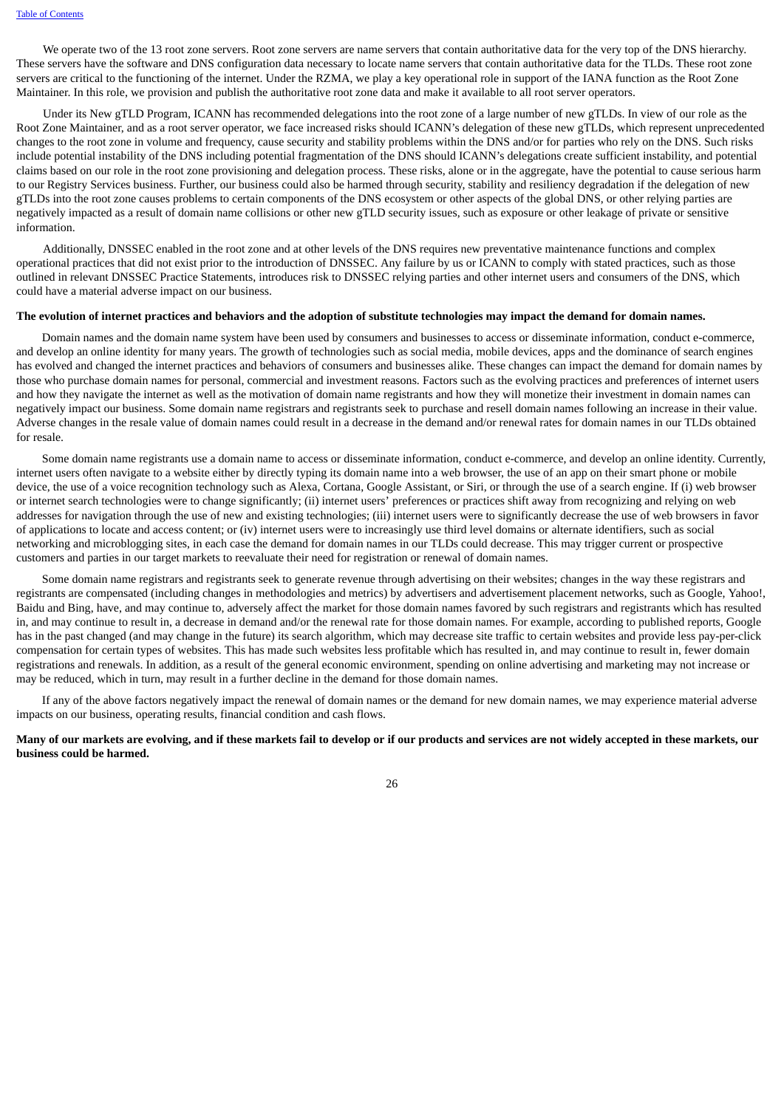We operate two of the 13 root zone servers. Root zone servers are name servers that contain authoritative data for the very top of the DNS hierarchy. These servers have the software and DNS configuration data necessary to locate name servers that contain authoritative data for the TLDs. These root zone servers are critical to the functioning of the internet. Under the RZMA, we play a key operational role in support of the IANA function as the Root Zone Maintainer. In this role, we provision and publish the authoritative root zone data and make it available to all root server operators.

Under its New gTLD Program, ICANN has recommended delegations into the root zone of a large number of new gTLDs. In view of our role as the Root Zone Maintainer, and as a root server operator, we face increased risks should ICANN's delegation of these new gTLDs, which represent unprecedented changes to the root zone in volume and frequency, cause security and stability problems within the DNS and/or for parties who rely on the DNS. Such risks include potential instability of the DNS including potential fragmentation of the DNS should ICANN's delegations create sufficient instability, and potential claims based on our role in the root zone provisioning and delegation process. These risks, alone or in the aggregate, have the potential to cause serious harm to our Registry Services business. Further, our business could also be harmed through security, stability and resiliency degradation if the delegation of new gTLDs into the root zone causes problems to certain components of the DNS ecosystem or other aspects of the global DNS, or other relying parties are negatively impacted as a result of domain name collisions or other new gTLD security issues, such as exposure or other leakage of private or sensitive information.

Additionally, DNSSEC enabled in the root zone and at other levels of the DNS requires new preventative maintenance functions and complex operational practices that did not exist prior to the introduction of DNSSEC. Any failure by us or ICANN to comply with stated practices, such as those outlined in relevant DNSSEC Practice Statements, introduces risk to DNSSEC relying parties and other internet users and consumers of the DNS, which could have a material adverse impact on our business.

#### The evolution of internet practices and behaviors and the adoption of substitute technologies may impact the demand for domain names.

Domain names and the domain name system have been used by consumers and businesses to access or disseminate information, conduct e-commerce, and develop an online identity for many years. The growth of technologies such as social media, mobile devices, apps and the dominance of search engines has evolved and changed the internet practices and behaviors of consumers and businesses alike. These changes can impact the demand for domain names by those who purchase domain names for personal, commercial and investment reasons. Factors such as the evolving practices and preferences of internet users and how they navigate the internet as well as the motivation of domain name registrants and how they will monetize their investment in domain names can negatively impact our business. Some domain name registrars and registrants seek to purchase and resell domain names following an increase in their value. Adverse changes in the resale value of domain names could result in a decrease in the demand and/or renewal rates for domain names in our TLDs obtained for resale.

Some domain name registrants use a domain name to access or disseminate information, conduct e-commerce, and develop an online identity. Currently, internet users often navigate to a website either by directly typing its domain name into a web browser, the use of an app on their smart phone or mobile device, the use of a voice recognition technology such as Alexa, Cortana, Google Assistant, or Siri, or through the use of a search engine. If (i) web browser or internet search technologies were to change significantly; (ii) internet users' preferences or practices shift away from recognizing and relying on web addresses for navigation through the use of new and existing technologies; (iii) internet users were to significantly decrease the use of web browsers in favor of applications to locate and access content; or (iv) internet users were to increasingly use third level domains or alternate identifiers, such as social networking and microblogging sites, in each case the demand for domain names in our TLDs could decrease. This may trigger current or prospective customers and parties in our target markets to reevaluate their need for registration or renewal of domain names.

Some domain name registrars and registrants seek to generate revenue through advertising on their websites; changes in the way these registrars and registrants are compensated (including changes in methodologies and metrics) by advertisers and advertisement placement networks, such as Google, Yahoo!, Baidu and Bing, have, and may continue to, adversely affect the market for those domain names favored by such registrars and registrants which has resulted in, and may continue to result in, a decrease in demand and/or the renewal rate for those domain names. For example, according to published reports, Google has in the past changed (and may change in the future) its search algorithm, which may decrease site traffic to certain websites and provide less pay-per-click compensation for certain types of websites. This has made such websites less profitable which has resulted in, and may continue to result in, fewer domain registrations and renewals. In addition, as a result of the general economic environment, spending on online advertising and marketing may not increase or may be reduced, which in turn, may result in a further decline in the demand for those domain names.

If any of the above factors negatively impact the renewal of domain names or the demand for new domain names, we may experience material adverse impacts on our business, operating results, financial condition and cash flows.

# Many of our markets are evolving, and if these markets fail to develop or if our products and services are not widely accepted in these markets, our **business could be harmed.**

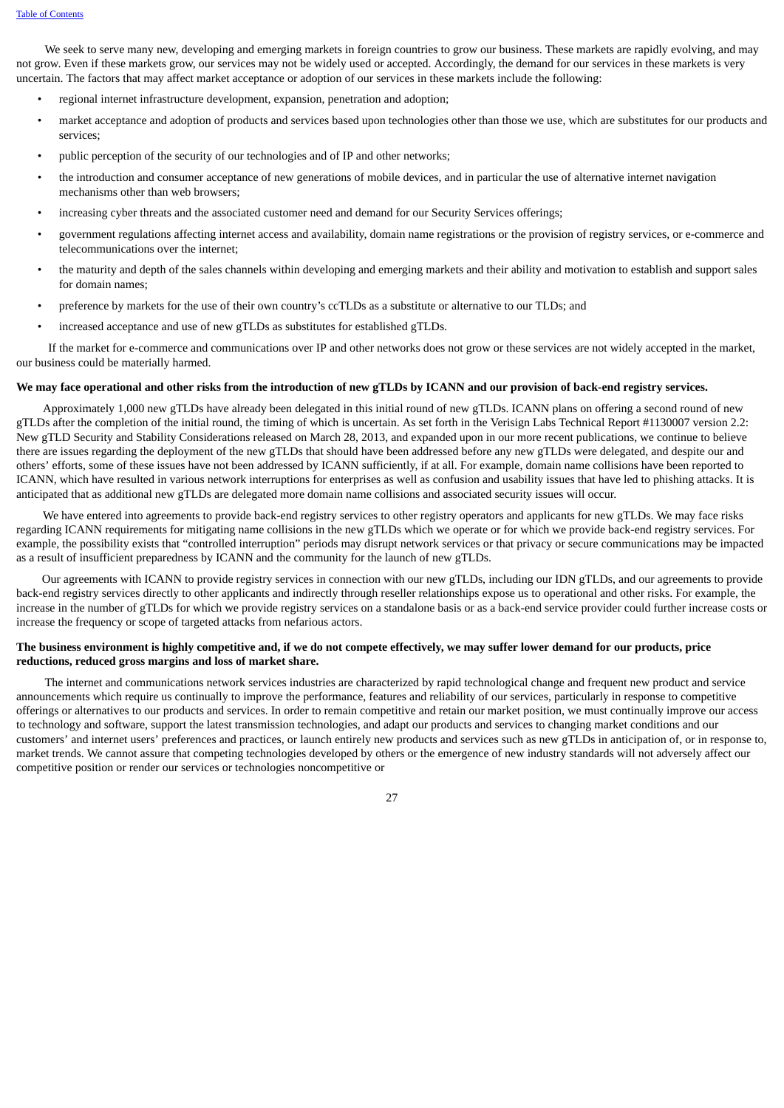We seek to serve many new, developing and emerging markets in foreign countries to grow our business. These markets are rapidly evolving, and may not grow. Even if these markets grow, our services may not be widely used or accepted. Accordingly, the demand for our services in these markets is very uncertain. The factors that may affect market acceptance or adoption of our services in these markets include the following:

- regional internet infrastructure development, expansion, penetration and adoption;
- market acceptance and adoption of products and services based upon technologies other than those we use, which are substitutes for our products and services;
- public perception of the security of our technologies and of IP and other networks;
- the introduction and consumer acceptance of new generations of mobile devices, and in particular the use of alternative internet navigation mechanisms other than web browsers;
- increasing cyber threats and the associated customer need and demand for our Security Services offerings;
- government regulations affecting internet access and availability, domain name registrations or the provision of registry services, or e-commerce and telecommunications over the internet;
- the maturity and depth of the sales channels within developing and emerging markets and their ability and motivation to establish and support sales for domain names;
- preference by markets for the use of their own country's ccTLDs as a substitute or alternative to our TLDs; and
- increased acceptance and use of new gTLDs as substitutes for established gTLDs.

If the market for e-commerce and communications over IP and other networks does not grow or these services are not widely accepted in the market, our business could be materially harmed.

# We may face operational and other risks from the introduction of new gTLDs by ICANN and our provision of back-end registry services.

Approximately 1,000 new gTLDs have already been delegated in this initial round of new gTLDs. ICANN plans on offering a second round of new gTLDs after the completion of the initial round, the timing of which is uncertain. As set forth in the Verisign Labs Technical Report #1130007 version 2.2: New gTLD Security and Stability Considerations released on March 28, 2013, and expanded upon in our more recent publications, we continue to believe there are issues regarding the deployment of the new gTLDs that should have been addressed before any new gTLDs were delegated, and despite our and others' efforts, some of these issues have not been addressed by ICANN sufficiently, if at all. For example, domain name collisions have been reported to ICANN, which have resulted in various network interruptions for enterprises as well as confusion and usability issues that have led to phishing attacks. It is anticipated that as additional new gTLDs are delegated more domain name collisions and associated security issues will occur.

We have entered into agreements to provide back-end registry services to other registry operators and applicants for new gTLDs. We may face risks regarding ICANN requirements for mitigating name collisions in the new gTLDs which we operate or for which we provide back-end registry services. For example, the possibility exists that "controlled interruption" periods may disrupt network services or that privacy or secure communications may be impacted as a result of insufficient preparedness by ICANN and the community for the launch of new gTLDs.

Our agreements with ICANN to provide registry services in connection with our new gTLDs, including our IDN gTLDs, and our agreements to provide back-end registry services directly to other applicants and indirectly through reseller relationships expose us to operational and other risks. For example, the increase in the number of gTLDs for which we provide registry services on a standalone basis or as a back-end service provider could further increase costs or increase the frequency or scope of targeted attacks from nefarious actors.

# The business environment is highly competitive and, if we do not compete effectively, we may suffer lower demand for our products, price **reductions, reduced gross margins and loss of market share.**

The internet and communications network services industries are characterized by rapid technological change and frequent new product and service announcements which require us continually to improve the performance, features and reliability of our services, particularly in response to competitive offerings or alternatives to our products and services. In order to remain competitive and retain our market position, we must continually improve our access to technology and software, support the latest transmission technologies, and adapt our products and services to changing market conditions and our customers' and internet users' preferences and practices, or launch entirely new products and services such as new gTLDs in anticipation of, or in response to, market trends. We cannot assure that competing technologies developed by others or the emergence of new industry standards will not adversely affect our competitive position or render our services or technologies noncompetitive or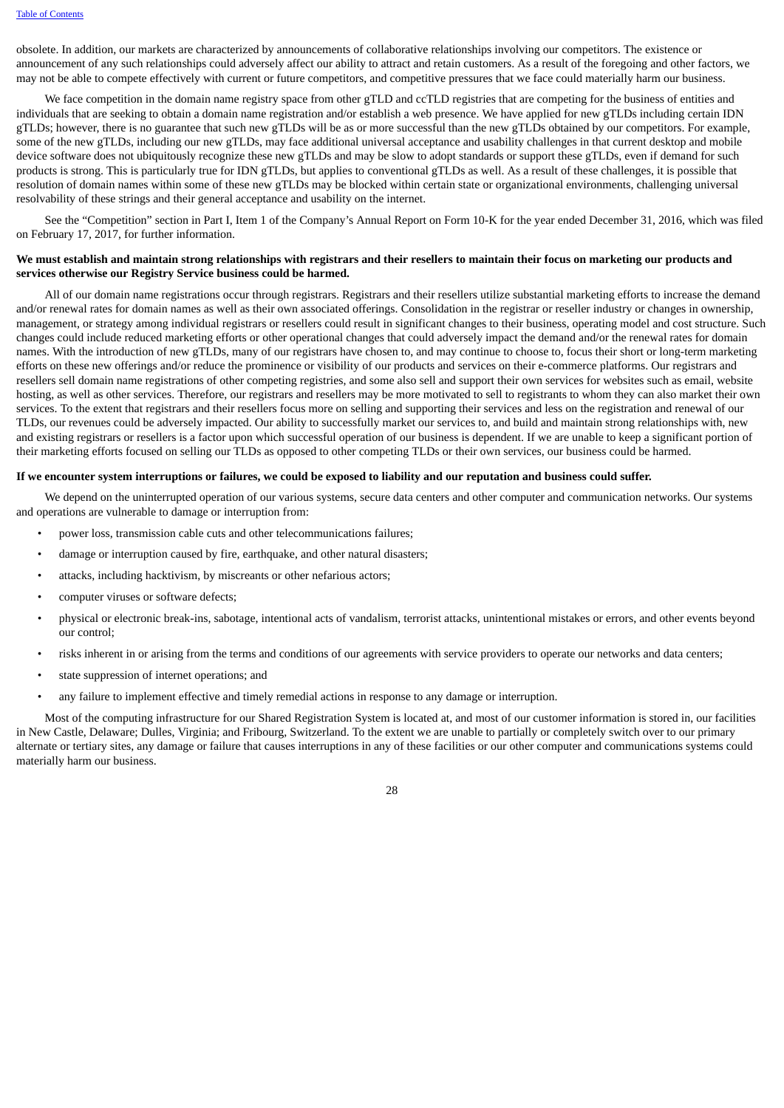obsolete. In addition, our markets are characterized by announcements of collaborative relationships involving our competitors. The existence or announcement of any such relationships could adversely affect our ability to attract and retain customers. As a result of the foregoing and other factors, we may not be able to compete effectively with current or future competitors, and competitive pressures that we face could materially harm our business.

We face competition in the domain name registry space from other gTLD and ccTLD registries that are competing for the business of entities and individuals that are seeking to obtain a domain name registration and/or establish a web presence. We have applied for new gTLDs including certain IDN gTLDs; however, there is no guarantee that such new gTLDs will be as or more successful than the new gTLDs obtained by our competitors. For example, some of the new gTLDs, including our new gTLDs, may face additional universal acceptance and usability challenges in that current desktop and mobile device software does not ubiquitously recognize these new gTLDs and may be slow to adopt standards or support these gTLDs, even if demand for such products is strong. This is particularly true for IDN gTLDs, but applies to conventional gTLDs as well. As a result of these challenges, it is possible that resolution of domain names within some of these new gTLDs may be blocked within certain state or organizational environments, challenging universal resolvability of these strings and their general acceptance and usability on the internet.

See the "Competition" section in Part I, Item 1 of the Company's Annual Report on Form 10-K for the year ended December 31, 2016, which was filed on February 17, 2017, for further information.

#### We must establish and maintain strong relationships with registrars and their resellers to maintain their focus on marketing our products and **services otherwise our Registry Service business could be harmed.**

All of our domain name registrations occur through registrars. Registrars and their resellers utilize substantial marketing efforts to increase the demand and/or renewal rates for domain names as well as their own associated offerings. Consolidation in the registrar or reseller industry or changes in ownership, management, or strategy among individual registrars or resellers could result in significant changes to their business, operating model and cost structure. Such changes could include reduced marketing efforts or other operational changes that could adversely impact the demand and/or the renewal rates for domain names. With the introduction of new gTLDs, many of our registrars have chosen to, and may continue to choose to, focus their short or long-term marketing efforts on these new offerings and/or reduce the prominence or visibility of our products and services on their e-commerce platforms. Our registrars and resellers sell domain name registrations of other competing registries, and some also sell and support their own services for websites such as email, website hosting, as well as other services. Therefore, our registrars and resellers may be more motivated to sell to registrants to whom they can also market their own services. To the extent that registrars and their resellers focus more on selling and supporting their services and less on the registration and renewal of our TLDs, our revenues could be adversely impacted. Our ability to successfully market our services to, and build and maintain strong relationships with, new and existing registrars or resellers is a factor upon which successful operation of our business is dependent. If we are unable to keep a significant portion of their marketing efforts focused on selling our TLDs as opposed to other competing TLDs or their own services, our business could be harmed.

#### If we encounter system interruptions or failures, we could be exposed to liability and our reputation and business could suffer.

We depend on the uninterrupted operation of our various systems, secure data centers and other computer and communication networks. Our systems and operations are vulnerable to damage or interruption from:

- power loss, transmission cable cuts and other telecommunications failures;
- damage or interruption caused by fire, earthquake, and other natural disasters;
- attacks, including hacktivism, by miscreants or other nefarious actors;
- computer viruses or software defects;
- physical or electronic break-ins, sabotage, intentional acts of vandalism, terrorist attacks, unintentional mistakes or errors, and other events beyond our control;
- risks inherent in or arising from the terms and conditions of our agreements with service providers to operate our networks and data centers;
- state suppression of internet operations; and
- any failure to implement effective and timely remedial actions in response to any damage or interruption.

Most of the computing infrastructure for our Shared Registration System is located at, and most of our customer information is stored in, our facilities in New Castle, Delaware; Dulles, Virginia; and Fribourg, Switzerland. To the extent we are unable to partially or completely switch over to our primary alternate or tertiary sites, any damage or failure that causes interruptions in any of these facilities or our other computer and communications systems could materially harm our business.

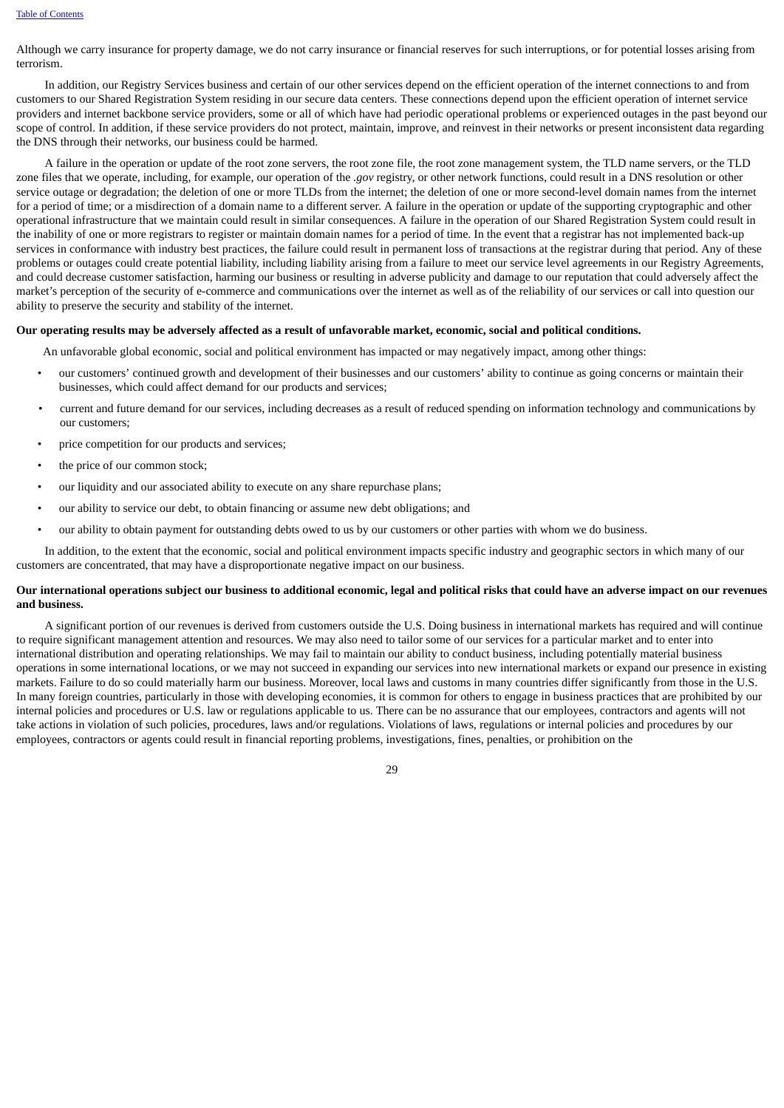Although we carry insurance for property damage, we do not carry insurance or financial reserves for such interruptions, or for potential losses arising from terrorism.

In addition, our Registry Services business and certain of our other services depend on the efficient operation of the internet connections to and from customers to our Shared Registration System residing in our secure data centers. These connections depend upon the efficient operation of internet service providers and internet backbone service providers, some or all of which have had periodic operational problems or experienced outages in the past beyond our scope of control. In addition, if these service providers do not protect, maintain, improve, and reinvest in their networks or present inconsistent data regarding the DNS through their networks, our business could be harmed.

A failure in the operation or update of the root zone servers, the root zone file, the root zone management system, the TLD name servers, or the TLD zone files that we operate, including, for example, our operation of the *.gov* registry, or other network functions, could result in a DNS resolution or other service outage or degradation; the deletion of one or more TLDs from the internet; the deletion of one or more second-level domain names from the internet for a period of time; or a misdirection of a domain name to a different server. A failure in the operation or update of the supporting cryptographic and other operational infrastructure that we maintain could result in similar consequences. A failure in the operation of our Shared Registration System could result in the inability of one or more registrars to register or maintain domain names for a period of time. In the event that a registrar has not implemented back-up services in conformance with industry best practices, the failure could result in permanent loss of transactions at the registrar during that period. Any of these problems or outages could create potential liability, including liability arising from a failure to meet our service level agreements in our Registry Agreements, and could decrease customer satisfaction, harming our business or resulting in adverse publicity and damage to our reputation that could adversely affect the market's perception of the security of e-commerce and communications over the internet as well as of the reliability of our services or call into question our ability to preserve the security and stability of the internet.

#### Our operating results may be adversely affected as a result of unfavorable market, economic, social and political conditions.

An unfavorable global economic, social and political environment has impacted or may negatively impact, among other things:

- our customers' continued growth and development of their businesses and our customers' ability to continue as going concerns or maintain their businesses, which could affect demand for our products and services;
- current and future demand for our services, including decreases as a result of reduced spending on information technology and communications by our customers;
- price competition for our products and services;
- the price of our common stock;
- our liquidity and our associated ability to execute on any share repurchase plans;
- our ability to service our debt, to obtain financing or assume new debt obligations; and
- our ability to obtain payment for outstanding debts owed to us by our customers or other parties with whom we do business.

In addition, to the extent that the economic, social and political environment impacts specific industry and geographic sectors in which many of our customers are concentrated, that may have a disproportionate negative impact on our business.

#### Our international operations subject our business to additional economic, legal and political risks that could have an adverse impact on our revenues **and business.**

A significant portion of our revenues is derived from customers outside the U.S. Doing business in international markets has required and will continue to require significant management attention and resources. We may also need to tailor some of our services for a particular market and to enter into international distribution and operating relationships. We may fail to maintain our ability to conduct business, including potentially material business operations in some international locations, or we may not succeed in expanding our services into new international markets or expand our presence in existing markets. Failure to do so could materially harm our business. Moreover, local laws and customs in many countries differ significantly from those in the U.S. In many foreign countries, particularly in those with developing economies, it is common for others to engage in business practices that are prohibited by our internal policies and procedures or U.S. law or regulations applicable to us. There can be no assurance that our employees, contractors and agents will not take actions in violation of such policies, procedures, laws and/or regulations. Violations of laws, regulations or internal policies and procedures by our employees, contractors or agents could result in financial reporting problems, investigations, fines, penalties, or prohibition on the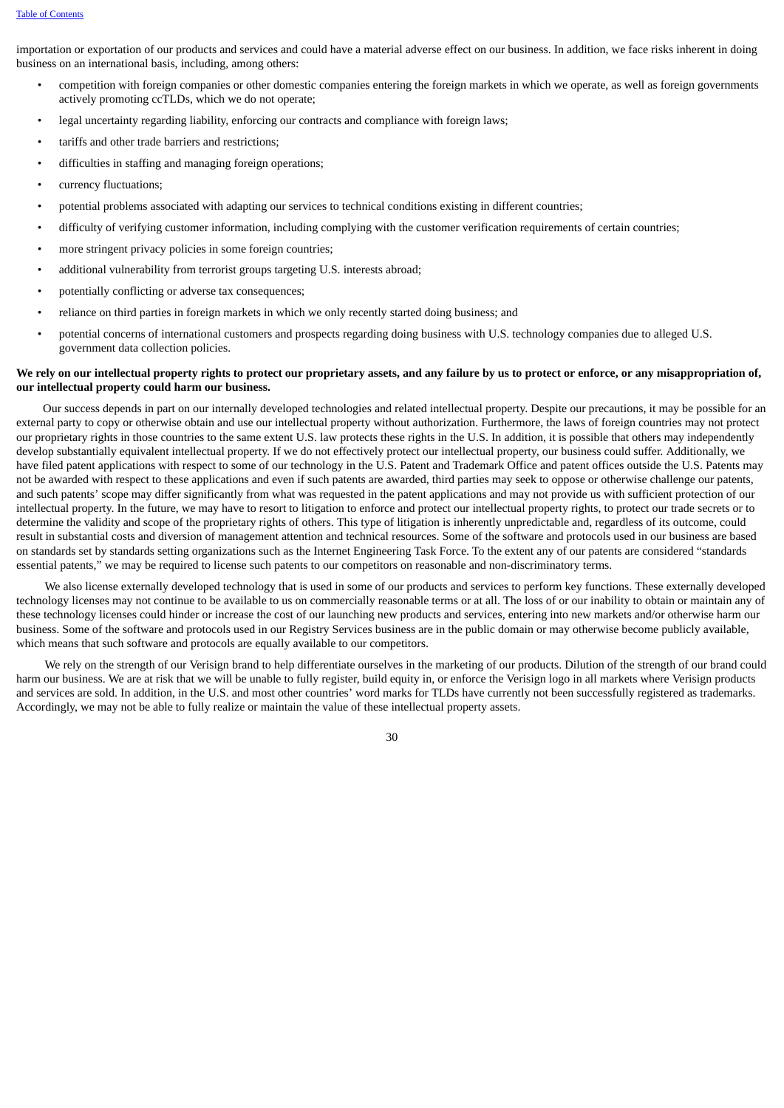importation or exportation of our products and services and could have a material adverse effect on our business. In addition, we face risks inherent in doing business on an international basis, including, among others:

- competition with foreign companies or other domestic companies entering the foreign markets in which we operate, as well as foreign governments actively promoting ccTLDs, which we do not operate;
- legal uncertainty regarding liability, enforcing our contracts and compliance with foreign laws;
- tariffs and other trade barriers and restrictions;
- difficulties in staffing and managing foreign operations;
- currency fluctuations:
- potential problems associated with adapting our services to technical conditions existing in different countries;
- difficulty of verifying customer information, including complying with the customer verification requirements of certain countries;
- more stringent privacy policies in some foreign countries;
- additional vulnerability from terrorist groups targeting U.S. interests abroad;
- potentially conflicting or adverse tax consequences;
- reliance on third parties in foreign markets in which we only recently started doing business; and
- potential concerns of international customers and prospects regarding doing business with U.S. technology companies due to alleged U.S. government data collection policies.

### We rely on our intellectual property rights to protect our proprietary assets, and any failure by us to protect or enforce, or any misappropriation of, **our intellectual property could harm our business.**

Our success depends in part on our internally developed technologies and related intellectual property. Despite our precautions, it may be possible for an external party to copy or otherwise obtain and use our intellectual property without authorization. Furthermore, the laws of foreign countries may not protect our proprietary rights in those countries to the same extent U.S. law protects these rights in the U.S. In addition, it is possible that others may independently develop substantially equivalent intellectual property. If we do not effectively protect our intellectual property, our business could suffer. Additionally, we have filed patent applications with respect to some of our technology in the U.S. Patent and Trademark Office and patent offices outside the U.S. Patents may not be awarded with respect to these applications and even if such patents are awarded, third parties may seek to oppose or otherwise challenge our patents, and such patents' scope may differ significantly from what was requested in the patent applications and may not provide us with sufficient protection of our intellectual property. In the future, we may have to resort to litigation to enforce and protect our intellectual property rights, to protect our trade secrets or to determine the validity and scope of the proprietary rights of others. This type of litigation is inherently unpredictable and, regardless of its outcome, could result in substantial costs and diversion of management attention and technical resources. Some of the software and protocols used in our business are based on standards set by standards setting organizations such as the Internet Engineering Task Force. To the extent any of our patents are considered "standards essential patents," we may be required to license such patents to our competitors on reasonable and non-discriminatory terms.

We also license externally developed technology that is used in some of our products and services to perform key functions. These externally developed technology licenses may not continue to be available to us on commercially reasonable terms or at all. The loss of or our inability to obtain or maintain any of these technology licenses could hinder or increase the cost of our launching new products and services, entering into new markets and/or otherwise harm our business. Some of the software and protocols used in our Registry Services business are in the public domain or may otherwise become publicly available, which means that such software and protocols are equally available to our competitors.

We rely on the strength of our Verisign brand to help differentiate ourselves in the marketing of our products. Dilution of the strength of our brand could harm our business. We are at risk that we will be unable to fully register, build equity in, or enforce the Verisign logo in all markets where Verisign products and services are sold. In addition, in the U.S. and most other countries' word marks for TLDs have currently not been successfully registered as trademarks. Accordingly, we may not be able to fully realize or maintain the value of these intellectual property assets.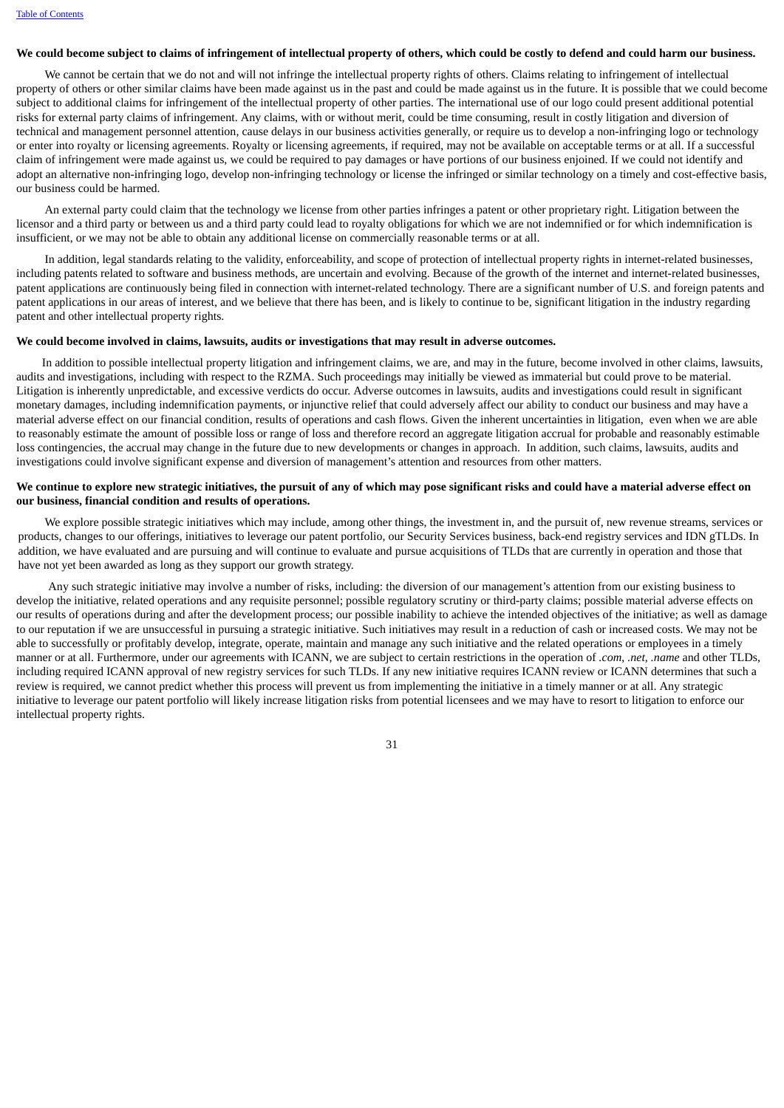#### We could become subject to claims of infringement of intellectual property of others, which could be costly to defend and could harm our business.

We cannot be certain that we do not and will not infringe the intellectual property rights of others. Claims relating to infringement of intellectual property of others or other similar claims have been made against us in the past and could be made against us in the future. It is possible that we could become subject to additional claims for infringement of the intellectual property of other parties. The international use of our logo could present additional potential risks for external party claims of infringement. Any claims, with or without merit, could be time consuming, result in costly litigation and diversion of technical and management personnel attention, cause delays in our business activities generally, or require us to develop a non-infringing logo or technology or enter into royalty or licensing agreements. Royalty or licensing agreements, if required, may not be available on acceptable terms or at all. If a successful claim of infringement were made against us, we could be required to pay damages or have portions of our business enjoined. If we could not identify and adopt an alternative non-infringing logo, develop non-infringing technology or license the infringed or similar technology on a timely and cost-effective basis, our business could be harmed.

An external party could claim that the technology we license from other parties infringes a patent or other proprietary right. Litigation between the licensor and a third party or between us and a third party could lead to royalty obligations for which we are not indemnified or for which indemnification is insufficient, or we may not be able to obtain any additional license on commercially reasonable terms or at all.

In addition, legal standards relating to the validity, enforceability, and scope of protection of intellectual property rights in internet-related businesses, including patents related to software and business methods, are uncertain and evolving. Because of the growth of the internet and internet-related businesses, patent applications are continuously being filed in connection with internet-related technology. There are a significant number of U.S. and foreign patents and patent applications in our areas of interest, and we believe that there has been, and is likely to continue to be, significant litigation in the industry regarding patent and other intellectual property rights.

#### **We could become involved in claims, lawsuits, audits or investigations that may result in adverse outcomes.**

In addition to possible intellectual property litigation and infringement claims, we are, and may in the future, become involved in other claims, lawsuits, audits and investigations, including with respect to the RZMA. Such proceedings may initially be viewed as immaterial but could prove to be material. Litigation is inherently unpredictable, and excessive verdicts do occur. Adverse outcomes in lawsuits, audits and investigations could result in significant monetary damages, including indemnification payments, or injunctive relief that could adversely affect our ability to conduct our business and may have a material adverse effect on our financial condition, results of operations and cash flows. Given the inherent uncertainties in litigation, even when we are able to reasonably estimate the amount of possible loss or range of loss and therefore record an aggregate litigation accrual for probable and reasonably estimable loss contingencies, the accrual may change in the future due to new developments or changes in approach. In addition, such claims, lawsuits, audits and investigations could involve significant expense and diversion of management's attention and resources from other matters.

# We continue to explore new strategic initiatives, the pursuit of any of which may pose significant risks and could have a material adverse effect on **our business, financial condition and results of operations.**

We explore possible strategic initiatives which may include, among other things, the investment in, and the pursuit of, new revenue streams, services or products, changes to our offerings, initiatives to leverage our patent portfolio, our Security Services business, back-end registry services and IDN gTLDs. In addition, we have evaluated and are pursuing and will continue to evaluate and pursue acquisitions of TLDs that are currently in operation and those that have not yet been awarded as long as they support our growth strategy.

Any such strategic initiative may involve a number of risks, including: the diversion of our management's attention from our existing business to develop the initiative, related operations and any requisite personnel; possible regulatory scrutiny or third-party claims; possible material adverse effects on our results of operations during and after the development process; our possible inability to achieve the intended objectives of the initiative; as well as damage to our reputation if we are unsuccessful in pursuing a strategic initiative. Such initiatives may result in a reduction of cash or increased costs. We may not be able to successfully or profitably develop, integrate, operate, maintain and manage any such initiative and the related operations or employees in a timely manner or at all. Furthermore, under our agreements with ICANN, we are subject to certain restrictions in the operation of *.com*, *.net, .name* and other TLDs, including required ICANN approval of new registry services for such TLDs. If any new initiative requires ICANN review or ICANN determines that such a review is required, we cannot predict whether this process will prevent us from implementing the initiative in a timely manner or at all. Any strategic initiative to leverage our patent portfolio will likely increase litigation risks from potential licensees and we may have to resort to litigation to enforce our intellectual property rights.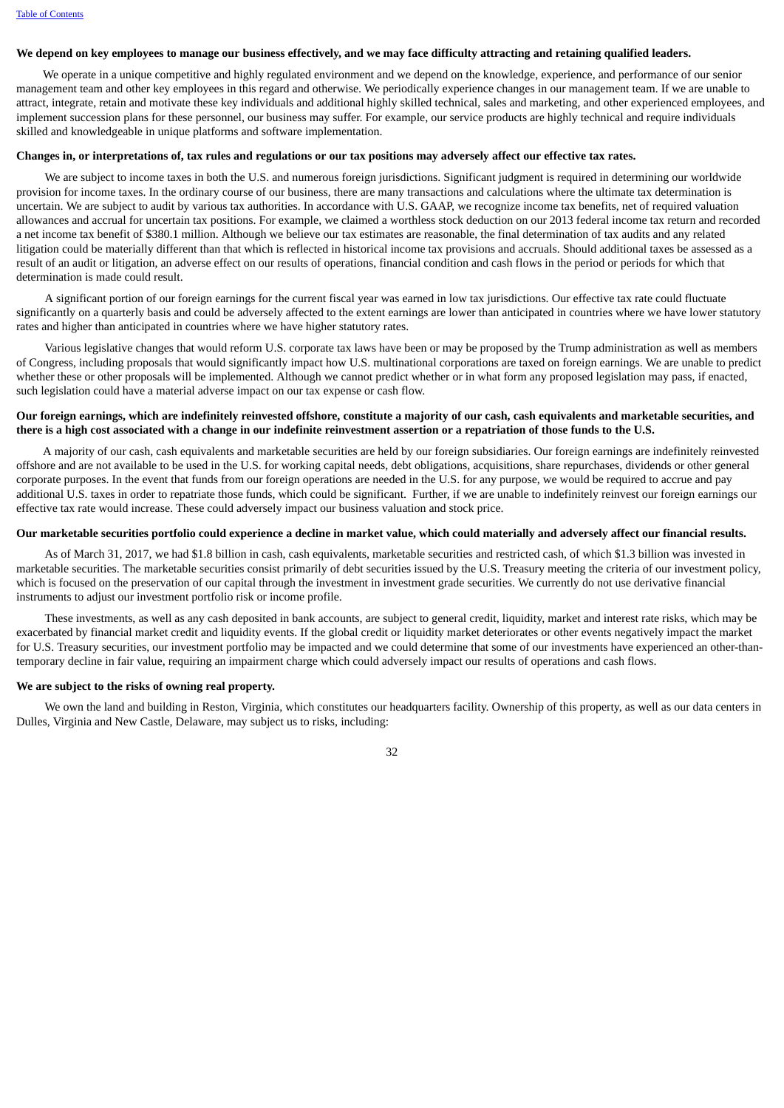#### We depend on key employees to manage our business effectively, and we may face difficulty attracting and retaining qualified leaders.

We operate in a unique competitive and highly regulated environment and we depend on the knowledge, experience, and performance of our senior management team and other key employees in this regard and otherwise. We periodically experience changes in our management team. If we are unable to attract, integrate, retain and motivate these key individuals and additional highly skilled technical, sales and marketing, and other experienced employees, and implement succession plans for these personnel, our business may suffer. For example, our service products are highly technical and require individuals skilled and knowledgeable in unique platforms and software implementation.

#### Changes in, or interpretations of, tax rules and regulations or our tax positions may adversely affect our effective tax rates.

We are subject to income taxes in both the U.S. and numerous foreign jurisdictions. Significant judgment is required in determining our worldwide provision for income taxes. In the ordinary course of our business, there are many transactions and calculations where the ultimate tax determination is uncertain. We are subject to audit by various tax authorities. In accordance with U.S. GAAP, we recognize income tax benefits, net of required valuation allowances and accrual for uncertain tax positions. For example, we claimed a worthless stock deduction on our 2013 federal income tax return and recorded a net income tax benefit of \$380.1 million. Although we believe our tax estimates are reasonable, the final determination of tax audits and any related litigation could be materially different than that which is reflected in historical income tax provisions and accruals. Should additional taxes be assessed as a result of an audit or litigation, an adverse effect on our results of operations, financial condition and cash flows in the period or periods for which that determination is made could result.

A significant portion of our foreign earnings for the current fiscal year was earned in low tax jurisdictions. Our effective tax rate could fluctuate significantly on a quarterly basis and could be adversely affected to the extent earnings are lower than anticipated in countries where we have lower statutory rates and higher than anticipated in countries where we have higher statutory rates.

Various legislative changes that would reform U.S. corporate tax laws have been or may be proposed by the Trump administration as well as members of Congress, including proposals that would significantly impact how U.S. multinational corporations are taxed on foreign earnings. We are unable to predict whether these or other proposals will be implemented. Although we cannot predict whether or in what form any proposed legislation may pass, if enacted, such legislation could have a material adverse impact on our tax expense or cash flow.

#### Our foreign earnings, which are indefinitely reinvested offshore, constitute a majority of our cash, cash equivalents and marketable securities, and there is a high cost associated with a change in our indefinite reinvestment assertion or a repatriation of those funds to the U.S.

A majority of our cash, cash equivalents and marketable securities are held by our foreign subsidiaries. Our foreign earnings are indefinitely reinvested offshore and are not available to be used in the U.S. for working capital needs, debt obligations, acquisitions, share repurchases, dividends or other general corporate purposes. In the event that funds from our foreign operations are needed in the U.S. for any purpose, we would be required to accrue and pay additional U.S. taxes in order to repatriate those funds, which could be significant. Further, if we are unable to indefinitely reinvest our foreign earnings our effective tax rate would increase. These could adversely impact our business valuation and stock price.

# Our marketable securities portfolio could experience a decline in market value, which could materially and adversely affect our financial results.

As of March 31, 2017, we had \$1.8 billion in cash, cash equivalents, marketable securities and restricted cash, of which \$1.3 billion was invested in marketable securities. The marketable securities consist primarily of debt securities issued by the U.S. Treasury meeting the criteria of our investment policy, which is focused on the preservation of our capital through the investment in investment grade securities. We currently do not use derivative financial instruments to adjust our investment portfolio risk or income profile.

These investments, as well as any cash deposited in bank accounts, are subject to general credit, liquidity, market and interest rate risks, which may be exacerbated by financial market credit and liquidity events. If the global credit or liquidity market deteriorates or other events negatively impact the market for U.S. Treasury securities, our investment portfolio may be impacted and we could determine that some of our investments have experienced an other-thantemporary decline in fair value, requiring an impairment charge which could adversely impact our results of operations and cash flows.

#### **We are subject to the risks of owning real property.**

We own the land and building in Reston, Virginia, which constitutes our headquarters facility. Ownership of this property, as well as our data centers in Dulles, Virginia and New Castle, Delaware, may subject us to risks, including: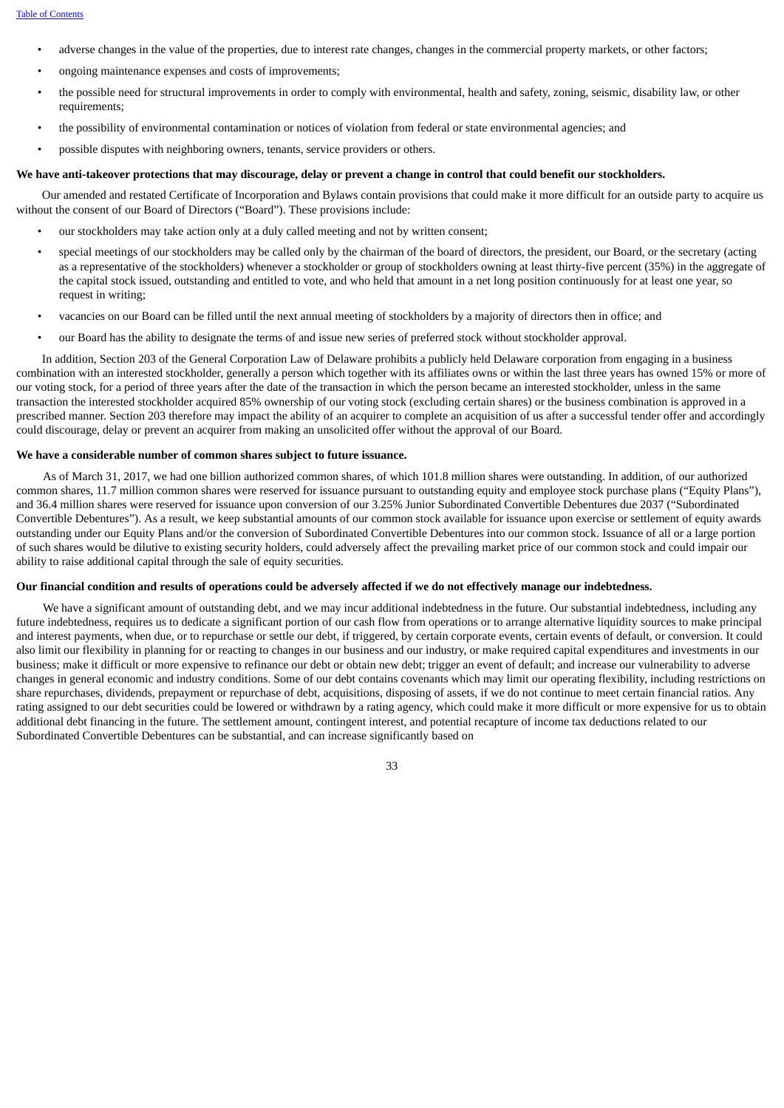- adverse changes in the value of the properties, due to interest rate changes, changes in the commercial property markets, or other factors;
- ongoing maintenance expenses and costs of improvements;
- the possible need for structural improvements in order to comply with environmental, health and safety, zoning, seismic, disability law, or other requirements;
- the possibility of environmental contamination or notices of violation from federal or state environmental agencies; and
- possible disputes with neighboring owners, tenants, service providers or others.

#### We have anti-takeover protections that may discourage, delay or prevent a change in control that could benefit our stockholders.

Our amended and restated Certificate of Incorporation and Bylaws contain provisions that could make it more difficult for an outside party to acquire us without the consent of our Board of Directors ("Board"). These provisions include:

- our stockholders may take action only at a duly called meeting and not by written consent;
- special meetings of our stockholders may be called only by the chairman of the board of directors, the president, our Board, or the secretary (acting as a representative of the stockholders) whenever a stockholder or group of stockholders owning at least thirty-five percent (35%) in the aggregate of the capital stock issued, outstanding and entitled to vote, and who held that amount in a net long position continuously for at least one year, so request in writing;
- vacancies on our Board can be filled until the next annual meeting of stockholders by a majority of directors then in office; and
- our Board has the ability to designate the terms of and issue new series of preferred stock without stockholder approval.

In addition, Section 203 of the General Corporation Law of Delaware prohibits a publicly held Delaware corporation from engaging in a business combination with an interested stockholder, generally a person which together with its affiliates owns or within the last three years has owned 15% or more of our voting stock, for a period of three years after the date of the transaction in which the person became an interested stockholder, unless in the same transaction the interested stockholder acquired 85% ownership of our voting stock (excluding certain shares) or the business combination is approved in a prescribed manner. Section 203 therefore may impact the ability of an acquirer to complete an acquisition of us after a successful tender offer and accordingly could discourage, delay or prevent an acquirer from making an unsolicited offer without the approval of our Board.

#### **We have a considerable number of common shares subject to future issuance.**

As of March 31, 2017, we had one billion authorized common shares, of which 101.8 million shares were outstanding. In addition, of our authorized common shares, 11.7 million common shares were reserved for issuance pursuant to outstanding equity and employee stock purchase plans ("Equity Plans"), and 36.4 million shares were reserved for issuance upon conversion of our 3.25% Junior Subordinated Convertible Debentures due 2037 ("Subordinated Convertible Debentures"). As a result, we keep substantial amounts of our common stock available for issuance upon exercise or settlement of equity awards outstanding under our Equity Plans and/or the conversion of Subordinated Convertible Debentures into our common stock. Issuance of all or a large portion of such shares would be dilutive to existing security holders, could adversely affect the prevailing market price of our common stock and could impair our ability to raise additional capital through the sale of equity securities.

# Our financial condition and results of operations could be adversely affected if we do not effectively manage our indebtedness.

We have a significant amount of outstanding debt, and we may incur additional indebtedness in the future. Our substantial indebtedness, including any future indebtedness, requires us to dedicate a significant portion of our cash flow from operations or to arrange alternative liquidity sources to make principal and interest payments, when due, or to repurchase or settle our debt, if triggered, by certain corporate events, certain events of default, or conversion. It could also limit our flexibility in planning for or reacting to changes in our business and our industry, or make required capital expenditures and investments in our business; make it difficult or more expensive to refinance our debt or obtain new debt; trigger an event of default; and increase our vulnerability to adverse changes in general economic and industry conditions. Some of our debt contains covenants which may limit our operating flexibility, including restrictions on share repurchases, dividends, prepayment or repurchase of debt, acquisitions, disposing of assets, if we do not continue to meet certain financial ratios. Any rating assigned to our debt securities could be lowered or withdrawn by a rating agency, which could make it more difficult or more expensive for us to obtain additional debt financing in the future. The settlement amount, contingent interest, and potential recapture of income tax deductions related to our Subordinated Convertible Debentures can be substantial, and can increase significantly based on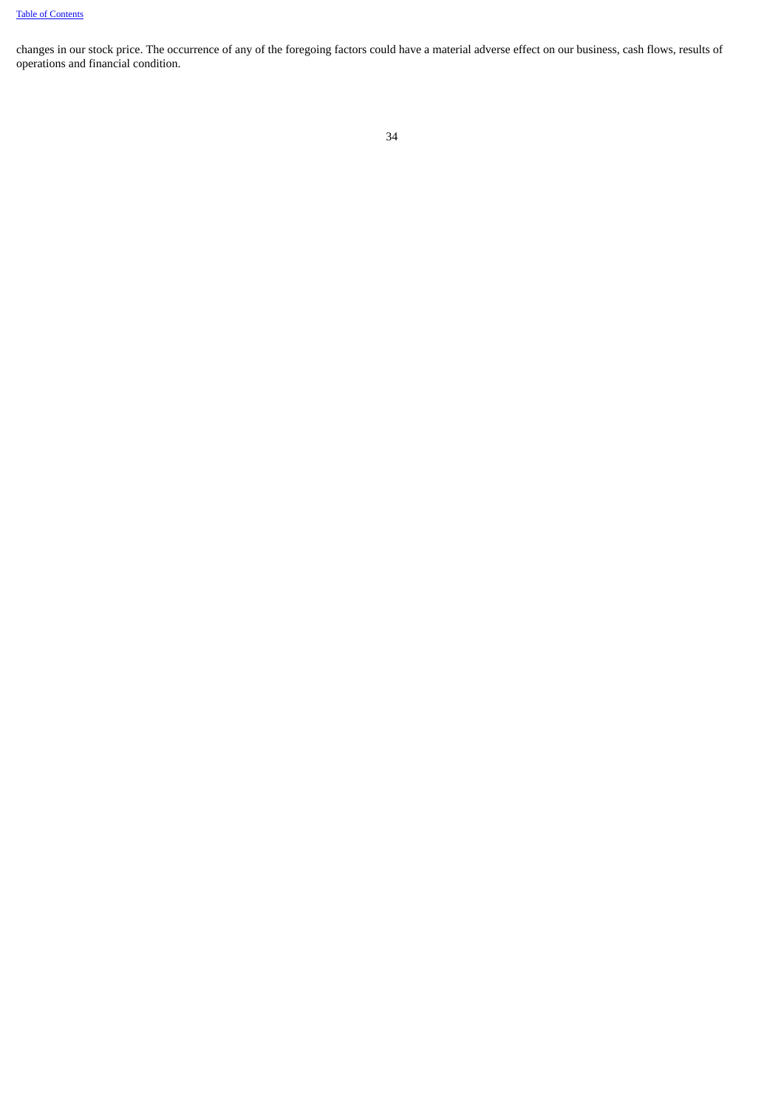changes in our stock price. The occurrence of any of the foregoing factors could have a material adverse effect on our business, cash flows, results of operations and financial condition.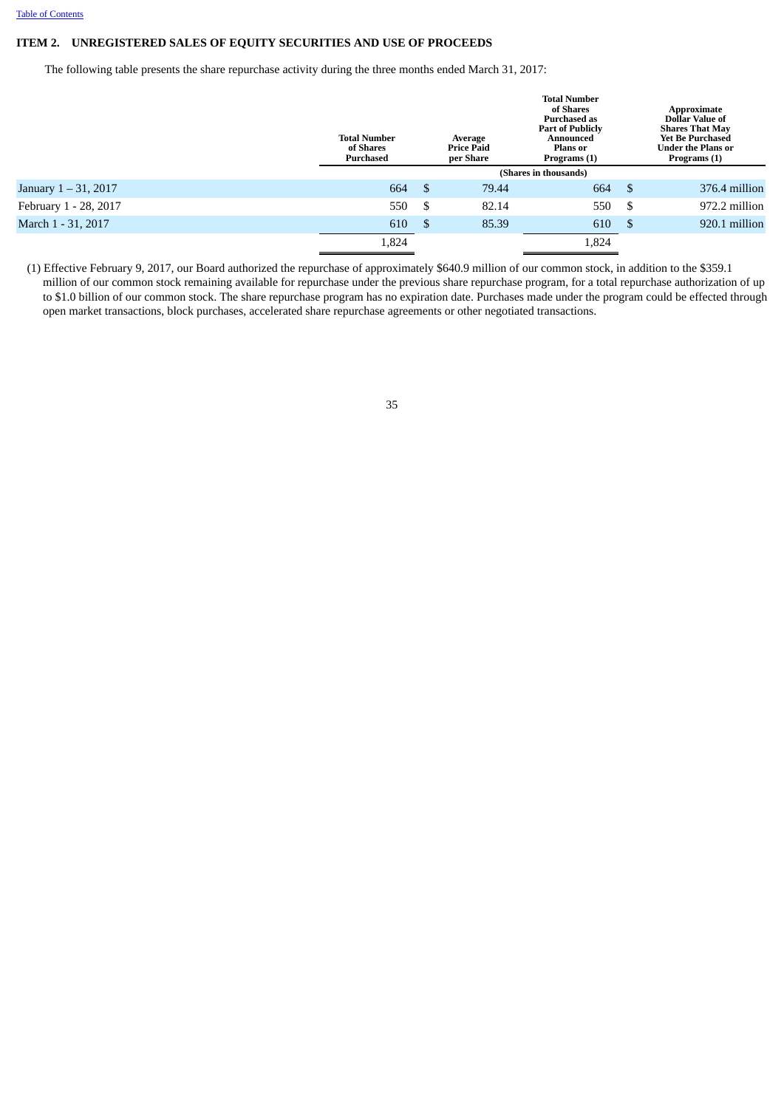# <span id="page-34-0"></span>**ITEM 2. UNREGISTERED SALES OF EQUITY SECURITIES AND USE OF PROCEEDS**

The following table presents the share repurchase activity during the three months ended March 31, 2017:

|                         | <b>Total Number</b><br>of Shares<br><b>Purchased</b> |      | Average<br><b>Price Paid</b><br>per Share | <b>Total Number</b><br>of Shares<br><b>Purchased as</b><br><b>Part of Publicly</b><br>Announced<br><b>Plans</b> or<br>Programs (1) |      | Approximate<br>Dollar Value of<br><b>Shares That May</b><br><b>Yet Be Purchased</b><br><b>Under the Plans or</b><br>Programs (1) |  |  |
|-------------------------|------------------------------------------------------|------|-------------------------------------------|------------------------------------------------------------------------------------------------------------------------------------|------|----------------------------------------------------------------------------------------------------------------------------------|--|--|
|                         | (Shares in thousands)                                |      |                                           |                                                                                                                                    |      |                                                                                                                                  |  |  |
| January $1 - 31$ , 2017 | 664                                                  | - \$ | 79.44                                     | 664                                                                                                                                | - \$ | 376.4 million                                                                                                                    |  |  |
| February 1 - 28, 2017   | 550                                                  | - \$ | 82.14                                     | 550                                                                                                                                | S    | 972.2 million                                                                                                                    |  |  |
| March 1 - 31, 2017      | 610                                                  | - \$ | 85.39                                     | 610                                                                                                                                | -\$  | 920.1 million                                                                                                                    |  |  |
|                         | 1,824                                                |      |                                           | 1,824                                                                                                                              |      |                                                                                                                                  |  |  |

(1) Effective February 9, 2017, our Board authorized the repurchase of approximately \$640.9 million of our common stock, in addition to the \$359.1 million of our common stock remaining available for repurchase under the previous share repurchase program, for a total repurchase authorization of up to \$1.0 billion of our common stock. The share repurchase program has no expiration date. Purchases made under the program could be effected through open market transactions, block purchases, accelerated share repurchase agreements or other negotiated transactions.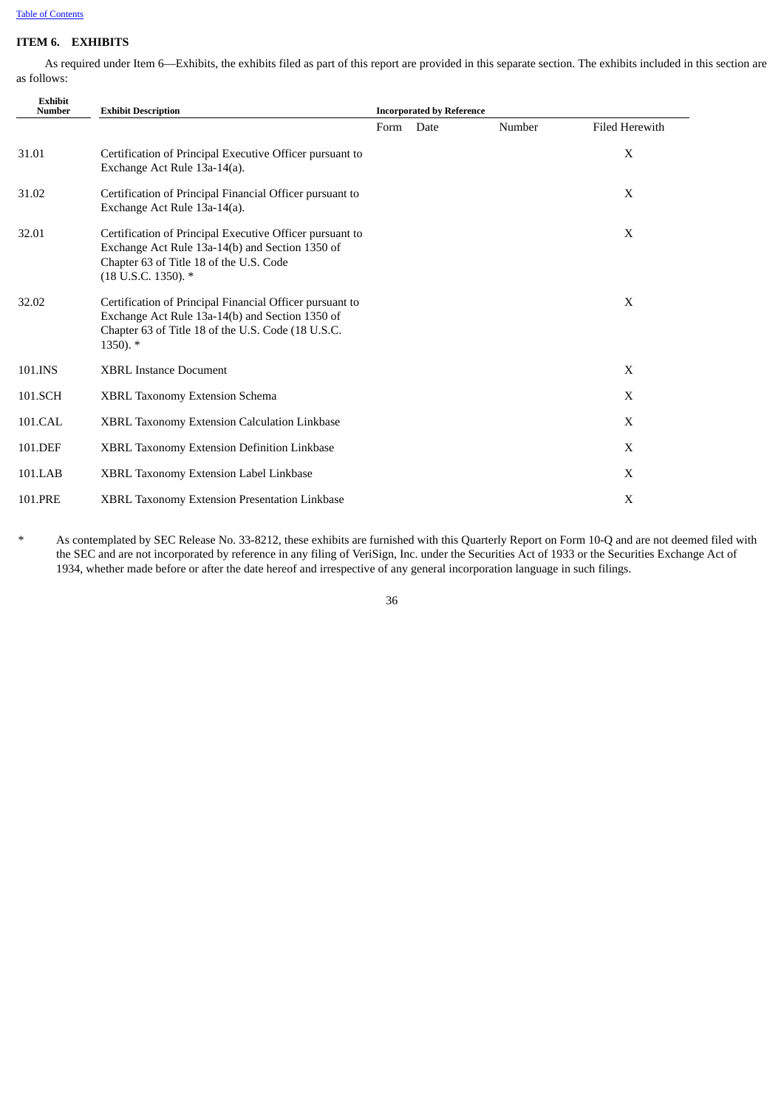# <span id="page-35-0"></span>**ITEM 6. EXHIBITS**

As required under Item 6—Exhibits, the exhibits filed as part of this report are provided in this separate section. The exhibits included in this section are as follows:

| <b>Exhibit</b><br><b>Number</b> | <b>Exhibit Description</b>                                                                                                                                                         |      | <b>Incorporated by Reference</b> |        |                       |
|---------------------------------|------------------------------------------------------------------------------------------------------------------------------------------------------------------------------------|------|----------------------------------|--------|-----------------------|
|                                 |                                                                                                                                                                                    | Form | Date                             | Number | <b>Filed Herewith</b> |
| 31.01                           | Certification of Principal Executive Officer pursuant to<br>Exchange Act Rule 13a-14(a).                                                                                           |      |                                  |        | X                     |
| 31.02                           | Certification of Principal Financial Officer pursuant to<br>Exchange Act Rule 13a-14(a).                                                                                           |      |                                  |        | X                     |
| 32.01                           | Certification of Principal Executive Officer pursuant to<br>Exchange Act Rule 13a-14(b) and Section 1350 of<br>Chapter 63 of Title 18 of the U.S. Code<br>$(18$ U.S.C. 1350). $*$  |      |                                  |        | X                     |
| 32.02                           | Certification of Principal Financial Officer pursuant to<br>Exchange Act Rule 13a-14(b) and Section 1350 of<br>Chapter 63 of Title 18 of the U.S. Code (18 U.S.C.<br>$1350$ ). $*$ |      |                                  |        | X                     |
| 101.INS                         | <b>XBRL Instance Document</b>                                                                                                                                                      |      |                                  |        | X                     |
| 101.SCH                         | XBRL Taxonomy Extension Schema                                                                                                                                                     |      |                                  |        | X                     |
| 101.CAL                         | XBRL Taxonomy Extension Calculation Linkbase                                                                                                                                       |      |                                  |        | X                     |
| 101.DEF                         | XBRL Taxonomy Extension Definition Linkbase                                                                                                                                        |      |                                  |        | X                     |
| 101.LAB                         | XBRL Taxonomy Extension Label Linkbase                                                                                                                                             |      |                                  |        | X                     |
| 101.PRE                         | <b>XBRL Taxonomy Extension Presentation Linkbase</b>                                                                                                                               |      |                                  |        | X                     |

\* As contemplated by SEC Release No. 33-8212, these exhibits are furnished with this Quarterly Report on Form 10-Q and are not deemed filed with the SEC and are not incorporated by reference in any filing of VeriSign, Inc. under the Securities Act of 1933 or the Securities Exchange Act of 1934, whether made before or after the date hereof and irrespective of any general incorporation language in such filings.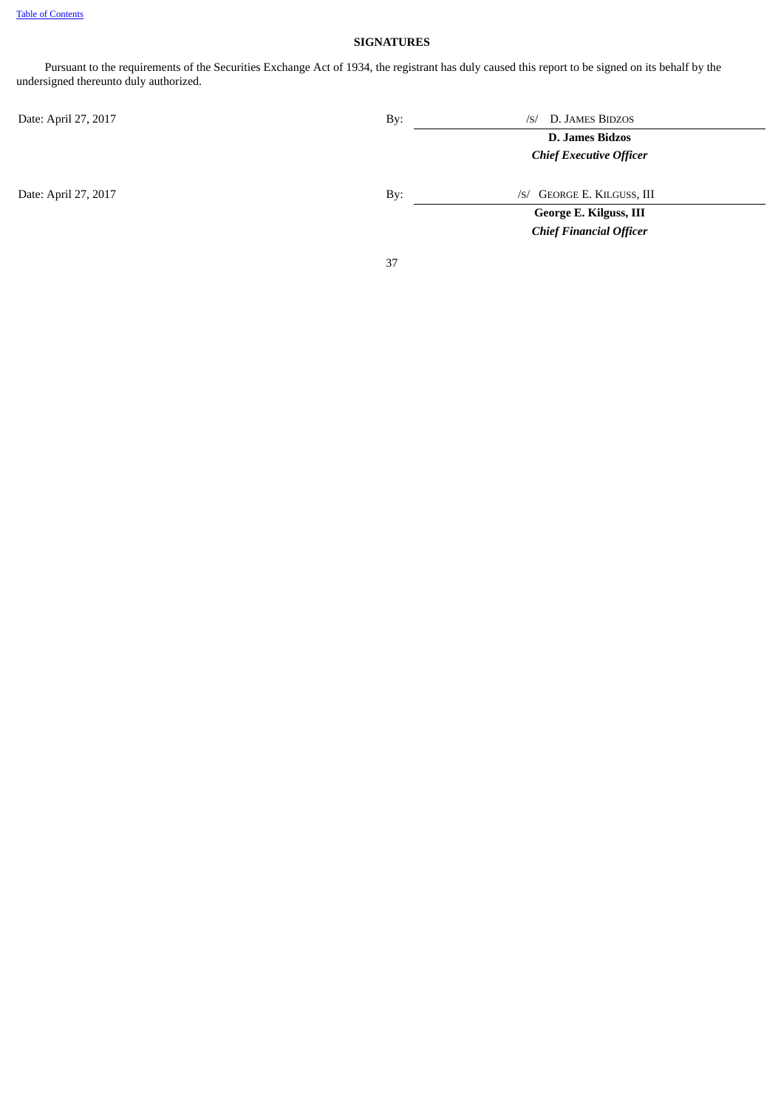# **SIGNATURES**

<span id="page-36-0"></span>Pursuant to the requirements of the Securities Exchange Act of 1934, the registrant has duly caused this report to be signed on its behalf by the undersigned thereunto duly authorized.

Date: April 27, 2017 **By:** *By: IS By: IS By: IS By:* **By:** *IS By:* **IS** *BIDZOS* **D. James Bidzos** *Chief Executive Officer* Date: April 27, 2017 **By:** *By: /S/ GEORGE E. KILGUSS, III* **George E. Kilguss, III** *Chief Financial Officer*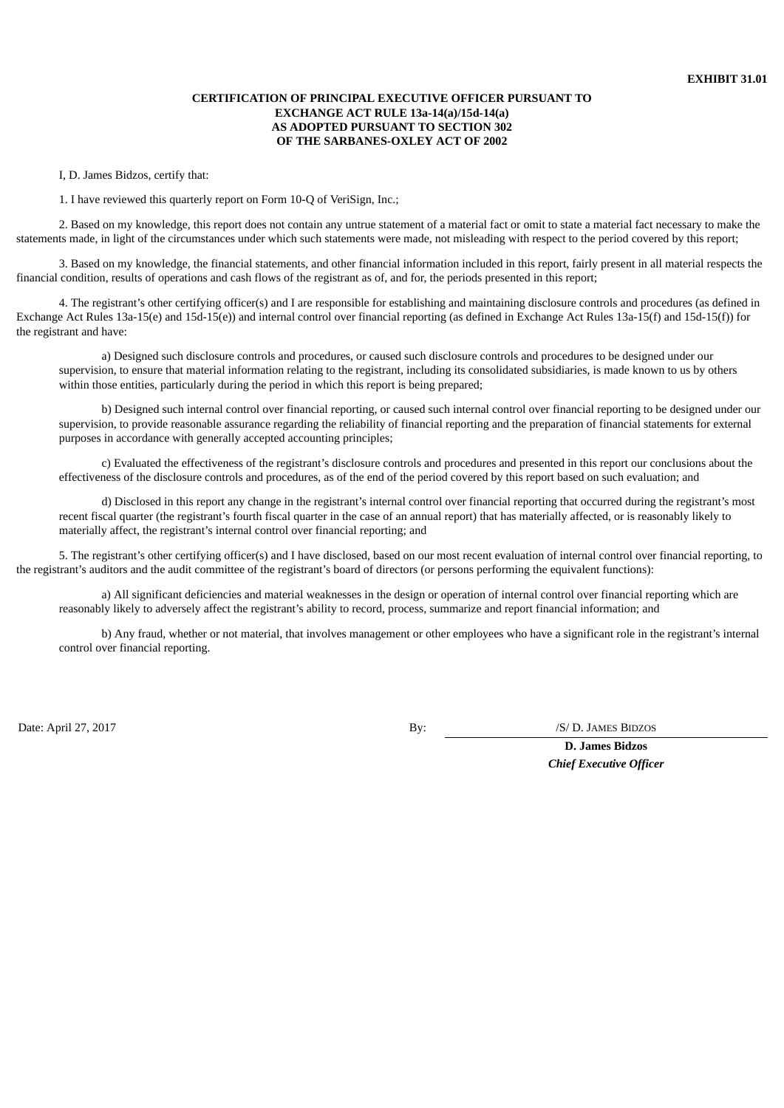# **CERTIFICATION OF PRINCIPAL EXECUTIVE OFFICER PURSUANT TO EXCHANGE ACT RULE 13a-14(a)/15d-14(a) AS ADOPTED PURSUANT TO SECTION 302 OF THE SARBANES-OXLEY ACT OF 2002**

I, D. James Bidzos, certify that:

1. I have reviewed this quarterly report on Form 10-Q of VeriSign, Inc.;

2. Based on my knowledge, this report does not contain any untrue statement of a material fact or omit to state a material fact necessary to make the statements made, in light of the circumstances under which such statements were made, not misleading with respect to the period covered by this report;

3. Based on my knowledge, the financial statements, and other financial information included in this report, fairly present in all material respects the financial condition, results of operations and cash flows of the registrant as of, and for, the periods presented in this report;

4. The registrant's other certifying officer(s) and I are responsible for establishing and maintaining disclosure controls and procedures (as defined in Exchange Act Rules 13a-15(e) and 15d-15(e)) and internal control over financial reporting (as defined in Exchange Act Rules 13a-15(f) and 15d-15(f)) for the registrant and have:

a) Designed such disclosure controls and procedures, or caused such disclosure controls and procedures to be designed under our supervision, to ensure that material information relating to the registrant, including its consolidated subsidiaries, is made known to us by others within those entities, particularly during the period in which this report is being prepared;

b) Designed such internal control over financial reporting, or caused such internal control over financial reporting to be designed under our supervision, to provide reasonable assurance regarding the reliability of financial reporting and the preparation of financial statements for external purposes in accordance with generally accepted accounting principles;

c) Evaluated the effectiveness of the registrant's disclosure controls and procedures and presented in this report our conclusions about the effectiveness of the disclosure controls and procedures, as of the end of the period covered by this report based on such evaluation; and

d) Disclosed in this report any change in the registrant's internal control over financial reporting that occurred during the registrant's most recent fiscal quarter (the registrant's fourth fiscal quarter in the case of an annual report) that has materially affected, or is reasonably likely to materially affect, the registrant's internal control over financial reporting; and

5. The registrant's other certifying officer(s) and I have disclosed, based on our most recent evaluation of internal control over financial reporting, to the registrant's auditors and the audit committee of the registrant's board of directors (or persons performing the equivalent functions):

a) All significant deficiencies and material weaknesses in the design or operation of internal control over financial reporting which are reasonably likely to adversely affect the registrant's ability to record, process, summarize and report financial information; and

b) Any fraud, whether or not material, that involves management or other employees who have a significant role in the registrant's internal control over financial reporting.

Date: April 27, 2017 **By:** /S/ D. JAMES BIDZOS

**D. James Bidzos** *Chief Executive Officer*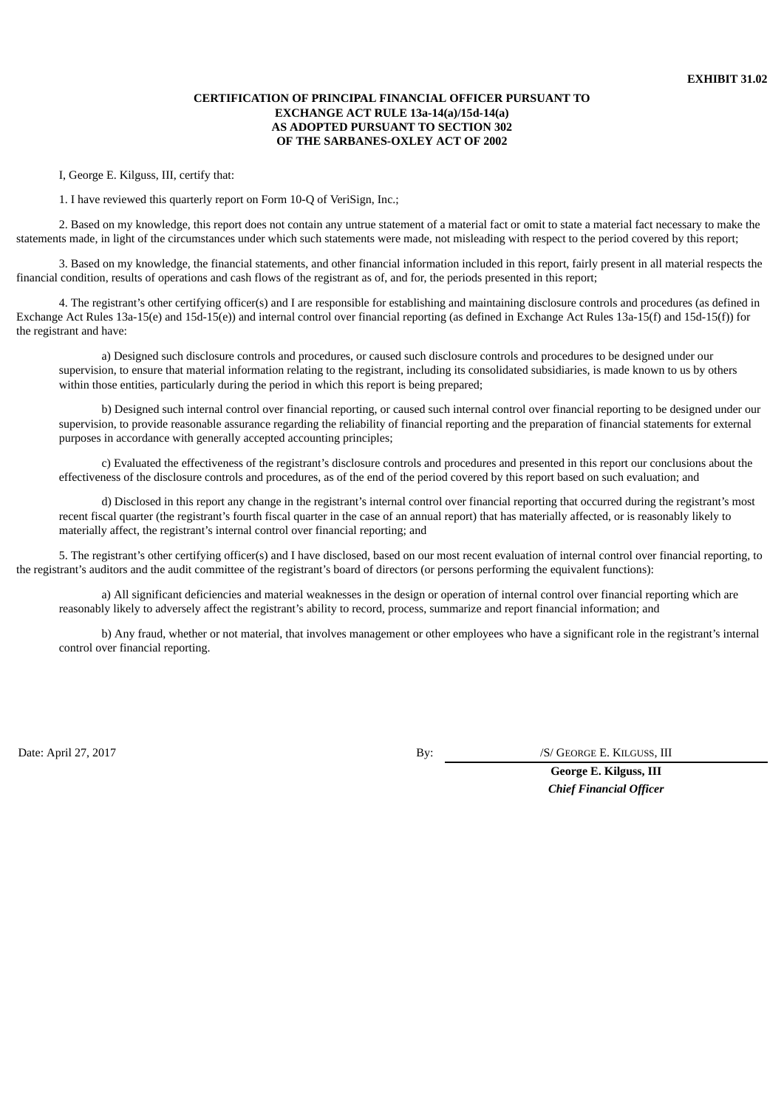# **CERTIFICATION OF PRINCIPAL FINANCIAL OFFICER PURSUANT TO EXCHANGE ACT RULE 13a-14(a)/15d-14(a) AS ADOPTED PURSUANT TO SECTION 302 OF THE SARBANES-OXLEY ACT OF 2002**

I, George E. Kilguss, III, certify that:

1. I have reviewed this quarterly report on Form 10-Q of VeriSign, Inc.;

2. Based on my knowledge, this report does not contain any untrue statement of a material fact or omit to state a material fact necessary to make the statements made, in light of the circumstances under which such statements were made, not misleading with respect to the period covered by this report;

3. Based on my knowledge, the financial statements, and other financial information included in this report, fairly present in all material respects the financial condition, results of operations and cash flows of the registrant as of, and for, the periods presented in this report;

4. The registrant's other certifying officer(s) and I are responsible for establishing and maintaining disclosure controls and procedures (as defined in Exchange Act Rules 13a-15(e) and 15d-15(e)) and internal control over financial reporting (as defined in Exchange Act Rules 13a-15(f) and 15d-15(f)) for the registrant and have:

a) Designed such disclosure controls and procedures, or caused such disclosure controls and procedures to be designed under our supervision, to ensure that material information relating to the registrant, including its consolidated subsidiaries, is made known to us by others within those entities, particularly during the period in which this report is being prepared;

b) Designed such internal control over financial reporting, or caused such internal control over financial reporting to be designed under our supervision, to provide reasonable assurance regarding the reliability of financial reporting and the preparation of financial statements for external purposes in accordance with generally accepted accounting principles;

c) Evaluated the effectiveness of the registrant's disclosure controls and procedures and presented in this report our conclusions about the effectiveness of the disclosure controls and procedures, as of the end of the period covered by this report based on such evaluation; and

d) Disclosed in this report any change in the registrant's internal control over financial reporting that occurred during the registrant's most recent fiscal quarter (the registrant's fourth fiscal quarter in the case of an annual report) that has materially affected, or is reasonably likely to materially affect, the registrant's internal control over financial reporting; and

5. The registrant's other certifying officer(s) and I have disclosed, based on our most recent evaluation of internal control over financial reporting, to the registrant's auditors and the audit committee of the registrant's board of directors (or persons performing the equivalent functions):

a) All significant deficiencies and material weaknesses in the design or operation of internal control over financial reporting which are reasonably likely to adversely affect the registrant's ability to record, process, summarize and report financial information; and

b) Any fraud, whether or not material, that involves management or other employees who have a significant role in the registrant's internal control over financial reporting.

Date: April 27, 2017 **By:** *By: By: By: S/ GEORGE E. KILGUSS, III* 

**George E. Kilguss, III** *Chief Financial Officer*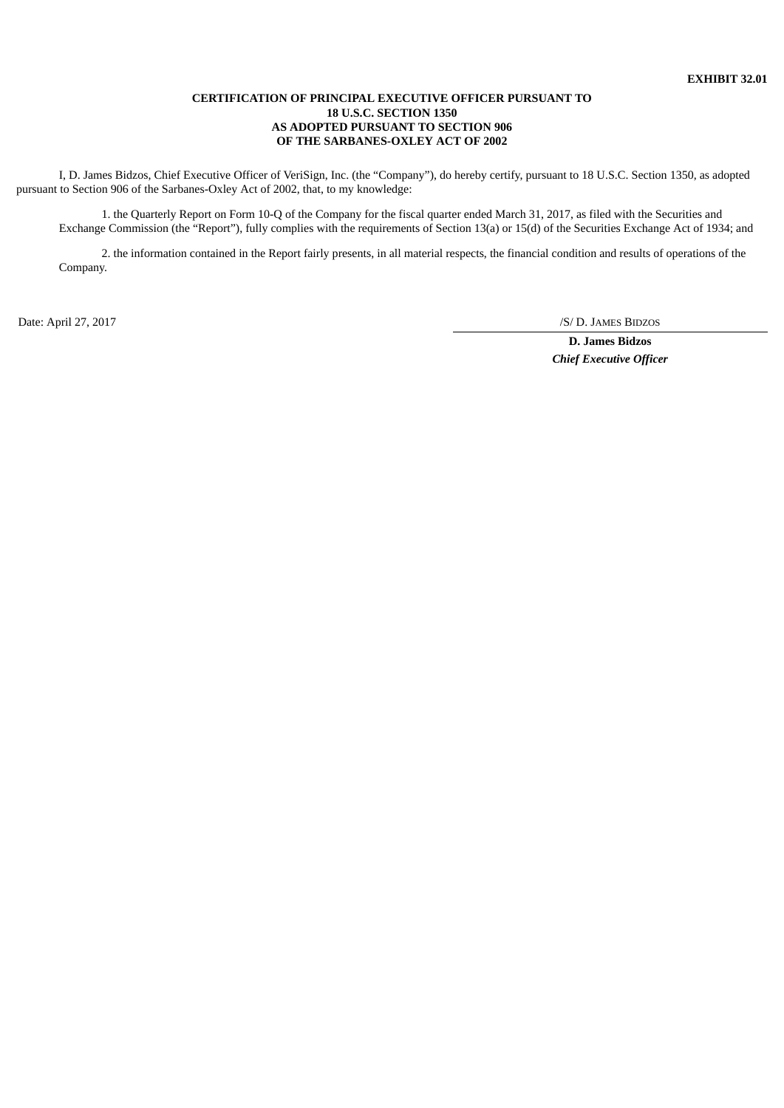# **CERTIFICATION OF PRINCIPAL EXECUTIVE OFFICER PURSUANT TO 18 U.S.C. SECTION 1350 AS ADOPTED PURSUANT TO SECTION 906 OF THE SARBANES-OXLEY ACT OF 2002**

I, D. James Bidzos, Chief Executive Officer of VeriSign, Inc. (the "Company"), do hereby certify, pursuant to 18 U.S.C. Section 1350, as adopted pursuant to Section 906 of the Sarbanes-Oxley Act of 2002, that, to my knowledge:

1. the Quarterly Report on Form 10-Q of the Company for the fiscal quarter ended March 31, 2017, as filed with the Securities and Exchange Commission (the "Report"), fully complies with the requirements of Section 13(a) or 15(d) of the Securities Exchange Act of 1934; and

2. the information contained in the Report fairly presents, in all material respects, the financial condition and results of operations of the Company.

Date: April 27, 2017 /S/ D. JAMES BIDZOS

**D. James Bidzos** *Chief Executive Officer*